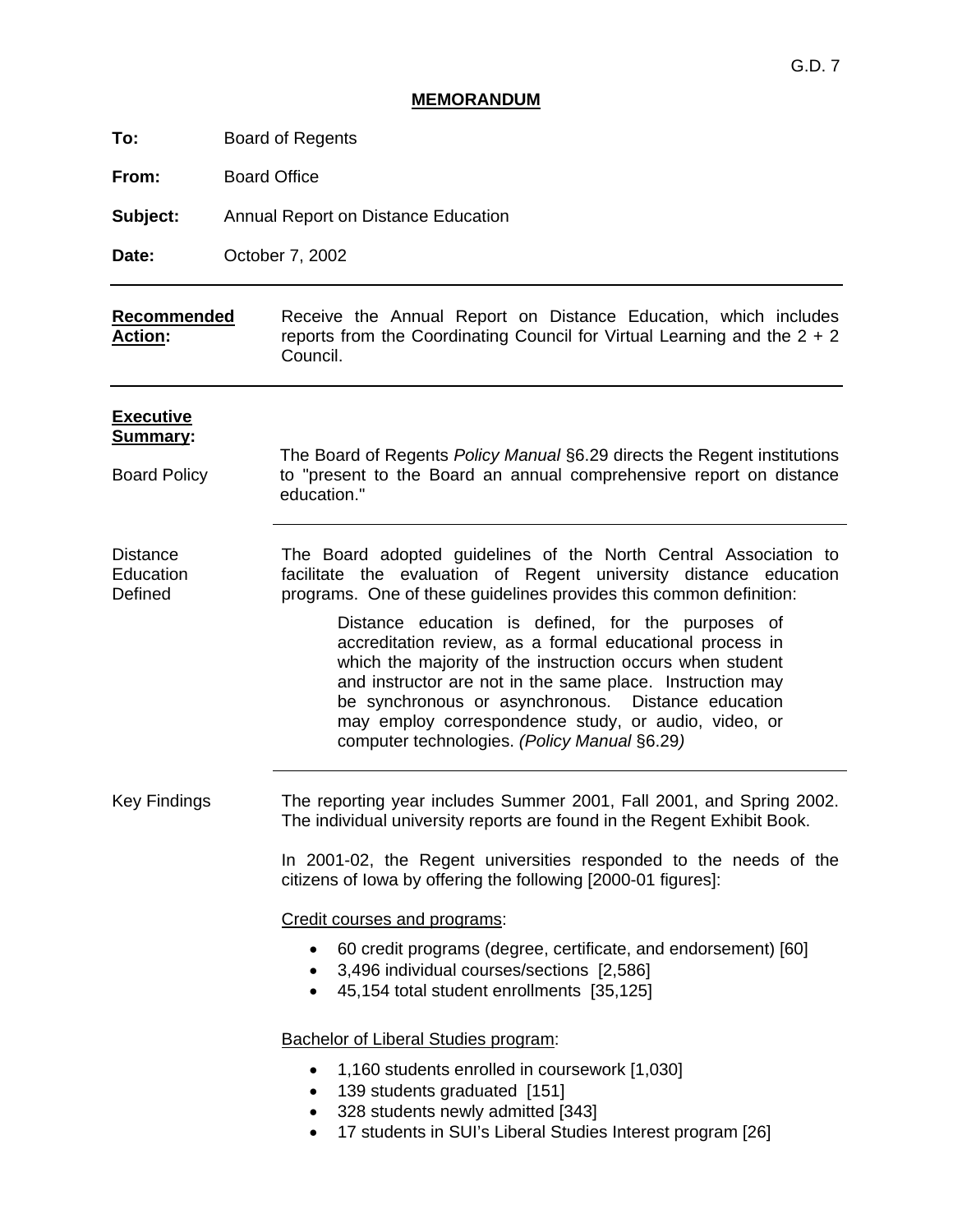# **MEMORANDUM**

**From:** Board Office

**Subject:** Annual Report on Distance Education

**Date:** October 7, 2002

#### **Recommended Action:**  Receive the Annual Report on Distance Education, which includes reports from the Coordinating Council for Virtual Learning and the 2 + 2 Council.

| <b>Executive</b><br>Summary:<br><b>Board Policy</b> | The Board of Regents Policy Manual §6.29 directs the Regent institutions<br>to "present to the Board an annual comprehensive report on distance<br>education."                                                                                                                                                                |  |  |  |  |
|-----------------------------------------------------|-------------------------------------------------------------------------------------------------------------------------------------------------------------------------------------------------------------------------------------------------------------------------------------------------------------------------------|--|--|--|--|
| Distance<br>Education<br>Defined                    | The Board adopted guidelines of the North Central Association to<br>facilitate the evaluation of Regent university distance education<br>programs. One of these guidelines provides this common definition:<br>Distance education is defined, for the purposes of<br>accreditation review, as a formal educational process in |  |  |  |  |
|                                                     | which the majority of the instruction occurs when student<br>and instructor are not in the same place. Instruction may<br>be synchronous or asynchronous. Distance education<br>may employ correspondence study, or audio, video, or<br>computer technologies. (Policy Manual §6.29)                                          |  |  |  |  |
| <b>Key Findings</b>                                 | The reporting year includes Summer 2001, Fall 2001, and Spring 2002.<br>The individual university reports are found in the Regent Exhibit Book.                                                                                                                                                                               |  |  |  |  |
|                                                     | In 2001-02, the Regent universities responded to the needs of the<br>citizens of lowa by offering the following [2000-01 figures]:                                                                                                                                                                                            |  |  |  |  |
|                                                     | Credit courses and programs:                                                                                                                                                                                                                                                                                                  |  |  |  |  |
|                                                     | 60 credit programs (degree, certificate, and endorsement) [60]<br>3,496 individual courses/sections [2,586]<br>45,154 total student enrollments [35,125]                                                                                                                                                                      |  |  |  |  |
|                                                     | <b>Bachelor of Liberal Studies program:</b>                                                                                                                                                                                                                                                                                   |  |  |  |  |
|                                                     | 1,160 students enrolled in coursework [1,030]<br>$\bullet$<br>139 students graduated [151]<br>$\bullet$<br>328 students newly admitted [343]<br>٠<br>17 students in SUI's Liberal Studies Interest program [26]<br>$\bullet$                                                                                                  |  |  |  |  |
|                                                     |                                                                                                                                                                                                                                                                                                                               |  |  |  |  |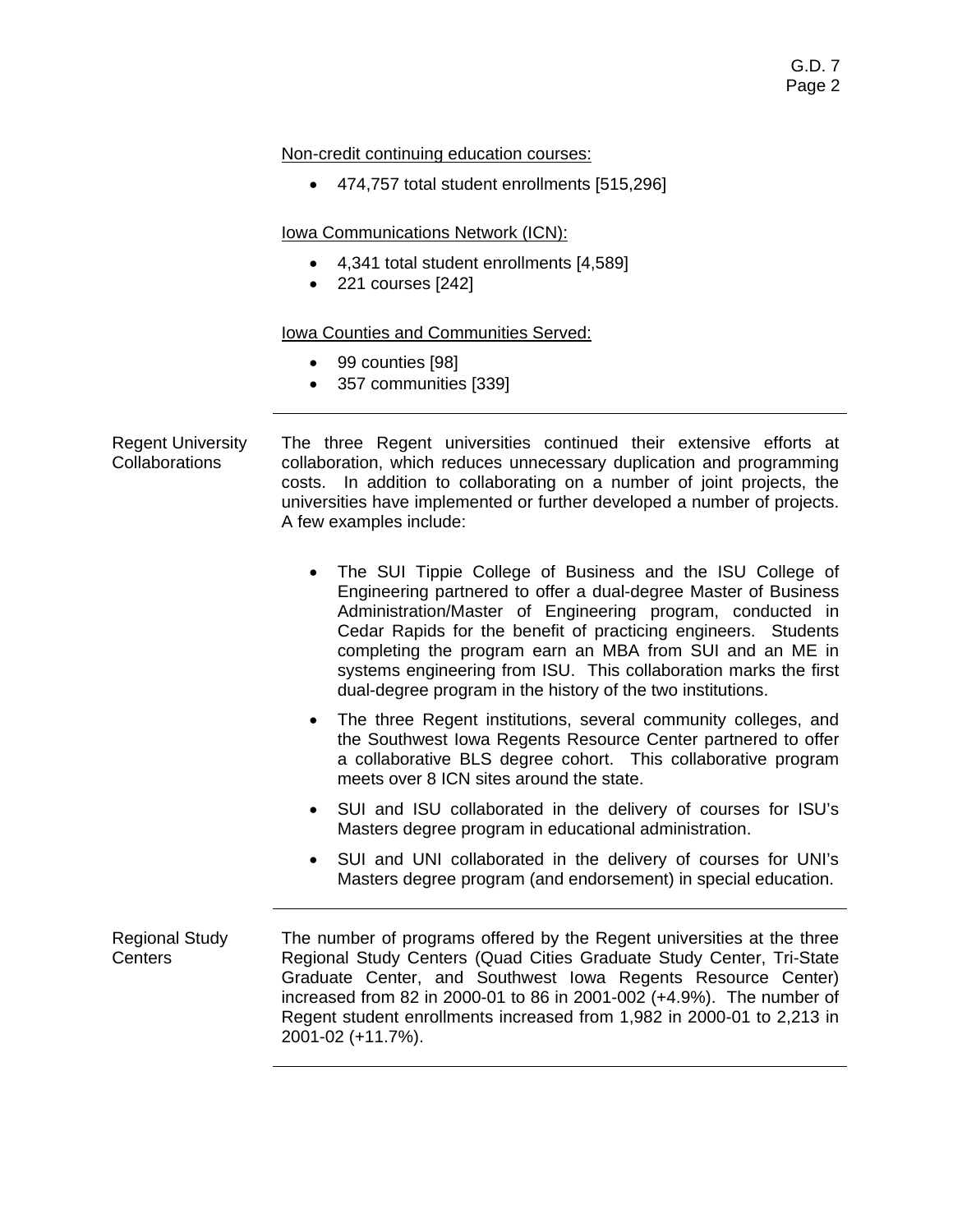Non-credit continuing education courses:

• 474,757 total student enrollments [515,296]

Iowa Communications Network (ICN):

- 4,341 total student enrollments [4,589]
- 221 courses [242]

# Iowa Counties and Communities Served:

- 99 counties [98]
- 357 communities [339]

Regent University Collaborations The three Regent universities continued their extensive efforts at collaboration, which reduces unnecessary duplication and programming costs. In addition to collaborating on a number of joint projects, the universities have implemented or further developed a number of projects. A few examples include:

- The SUI Tippie College of Business and the ISU College of Engineering partnered to offer a dual-degree Master of Business Administration/Master of Engineering program, conducted in Cedar Rapids for the benefit of practicing engineers. Students completing the program earn an MBA from SUI and an ME in systems engineering from ISU. This collaboration marks the first dual-degree program in the history of the two institutions.
- The three Regent institutions, several community colleges, and the Southwest Iowa Regents Resource Center partnered to offer a collaborative BLS degree cohort. This collaborative program meets over 8 ICN sites around the state.
- SUI and ISU collaborated in the delivery of courses for ISU's Masters degree program in educational administration.
- SUI and UNI collaborated in the delivery of courses for UNI's Masters degree program (and endorsement) in special education.

Regional Study **Centers** The number of programs offered by the Regent universities at the three Regional Study Centers (Quad Cities Graduate Study Center, Tri-State Graduate Center, and Southwest Iowa Regents Resource Center) increased from 82 in 2000-01 to 86 in 2001-002 (+4.9%). The number of Regent student enrollments increased from 1,982 in 2000-01 to 2,213 in 2001-02 (+11.7%).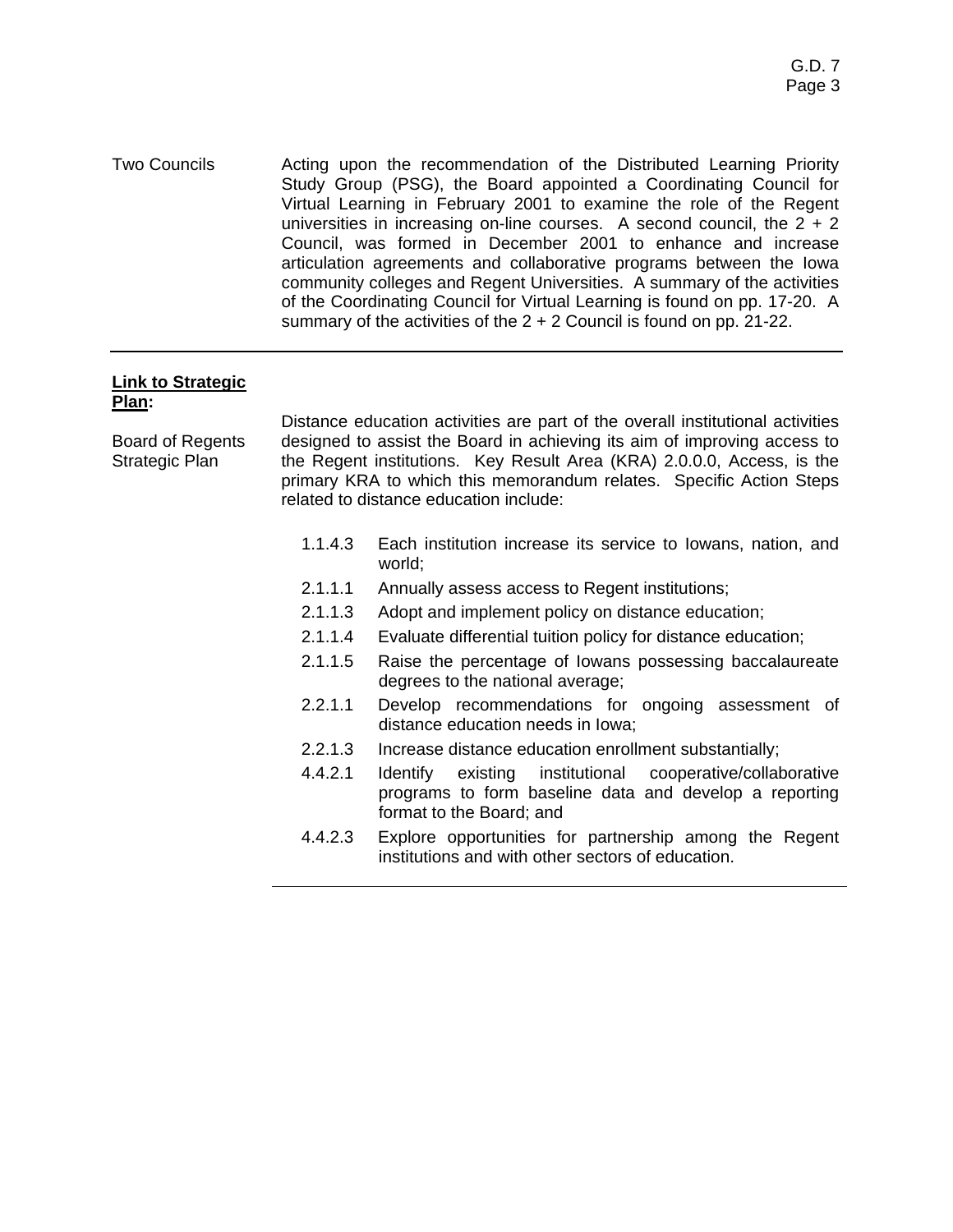Two Councils Acting upon the recommendation of the Distributed Learning Priority Study Group (PSG), the Board appointed a Coordinating Council for Virtual Learning in February 2001 to examine the role of the Regent universities in increasing on-line courses. A second council, the  $2 + 2$ Council, was formed in December 2001 to enhance and increase articulation agreements and collaborative programs between the Iowa community colleges and Regent Universities. A summary of the activities of the Coordinating Council for Virtual Learning is found on pp. 17-20. A summary of the activities of the  $2 + 2$  Council is found on pp. 21-22.

#### **Link to Strategic Plan:**

Board of Regents Strategic Plan

Distance education activities are part of the overall institutional activities designed to assist the Board in achieving its aim of improving access to the Regent institutions. Key Result Area (KRA) 2.0.0.0, Access, is the primary KRA to which this memorandum relates. Specific Action Steps related to distance education include:

- 1.1.4.3 Each institution increase its service to Iowans, nation, and world;
- 2.1.1.1 Annually assess access to Regent institutions;
- 2.1.1.3 Adopt and implement policy on distance education;
- 2.1.1.4 Evaluate differential tuition policy for distance education;
- 2.1.1.5 Raise the percentage of Iowans possessing baccalaureate degrees to the national average;
- 2.2.1.1 Develop recommendations for ongoing assessment of distance education needs in Iowa;
- 2.2.1.3 Increase distance education enrollment substantially;
- 4.4.2.1 Identify existing institutional cooperative/collaborative programs to form baseline data and develop a reporting format to the Board; and
- 4.4.2.3 Explore opportunities for partnership among the Regent institutions and with other sectors of education.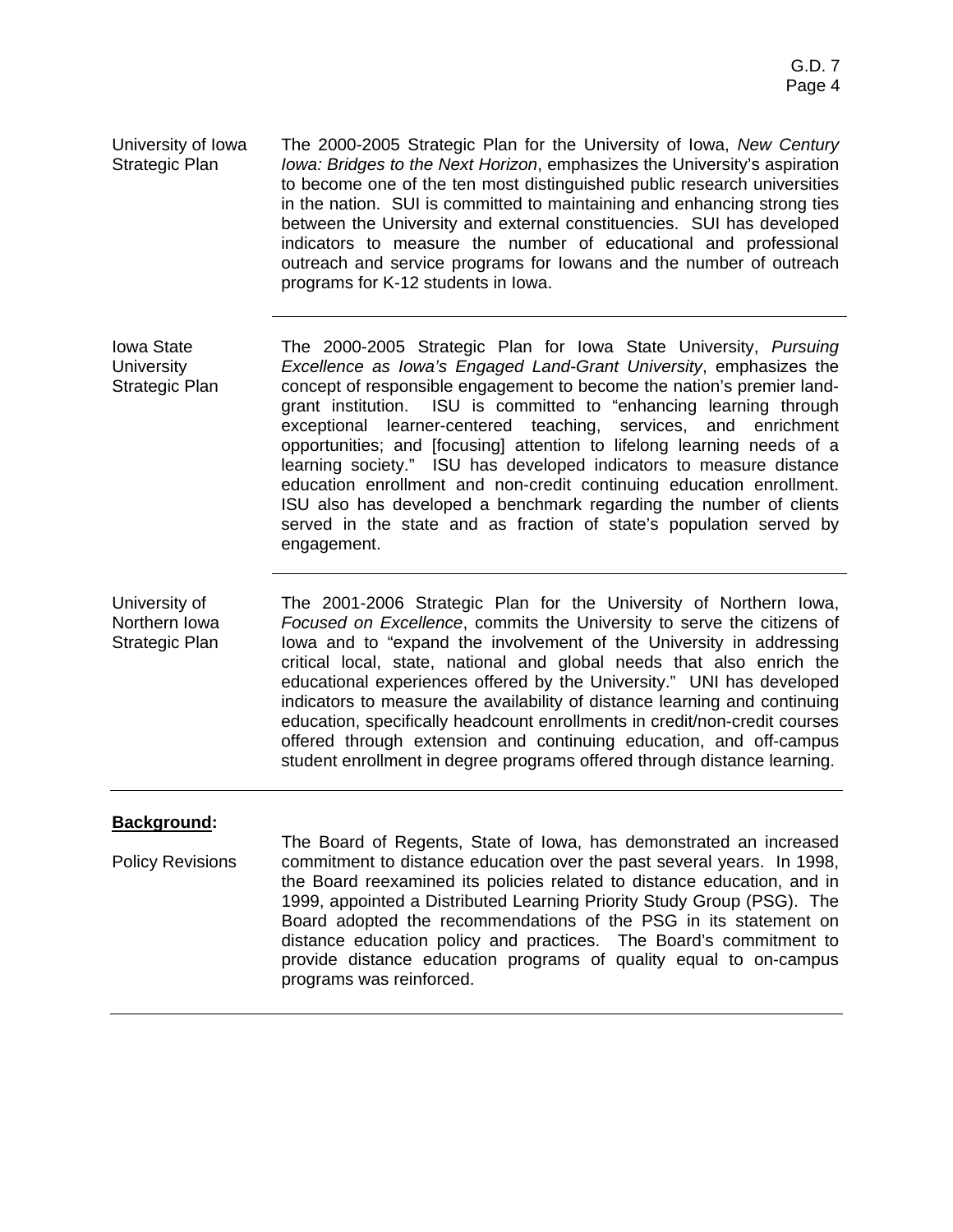University of Iowa Strategic Plan The 2000-2005 Strategic Plan for the University of Iowa, *New Century Iowa: Bridges to the Next Horizon*, emphasizes the University's aspiration to become one of the ten most distinguished public research universities in the nation. SUI is committed to maintaining and enhancing strong ties between the University and external constituencies. SUI has developed indicators to measure the number of educational and professional outreach and service programs for Iowans and the number of outreach programs for K-12 students in Iowa.

Iowa State **University** Strategic Plan The 2000-2005 Strategic Plan for Iowa State University, *Pursuing Excellence as Iowa's Engaged Land-Grant University*, emphasizes the concept of responsible engagement to become the nation's premier landgrant institution. ISU is committed to "enhancing learning through exceptional learner-centered teaching, services, and enrichment opportunities; and [focusing] attention to lifelong learning needs of a learning society." ISU has developed indicators to measure distance education enrollment and non-credit continuing education enrollment. ISU also has developed a benchmark regarding the number of clients served in the state and as fraction of state's population served by engagement.

University of Northern Iowa Strategic Plan The 2001-2006 Strategic Plan for the University of Northern Iowa, *Focused on Excellence*, commits the University to serve the citizens of Iowa and to "expand the involvement of the University in addressing critical local, state, national and global needs that also enrich the educational experiences offered by the University." UNI has developed indicators to measure the availability of distance learning and continuing education, specifically headcount enrollments in credit/non-credit courses offered through extension and continuing education, and off-campus student enrollment in degree programs offered through distance learning.

#### **Background:**

Policy Revisions The Board of Regents, State of Iowa, has demonstrated an increased commitment to distance education over the past several years. In 1998, the Board reexamined its policies related to distance education, and in 1999, appointed a Distributed Learning Priority Study Group (PSG). The Board adopted the recommendations of the PSG in its statement on distance education policy and practices. The Board's commitment to provide distance education programs of quality equal to on-campus programs was reinforced.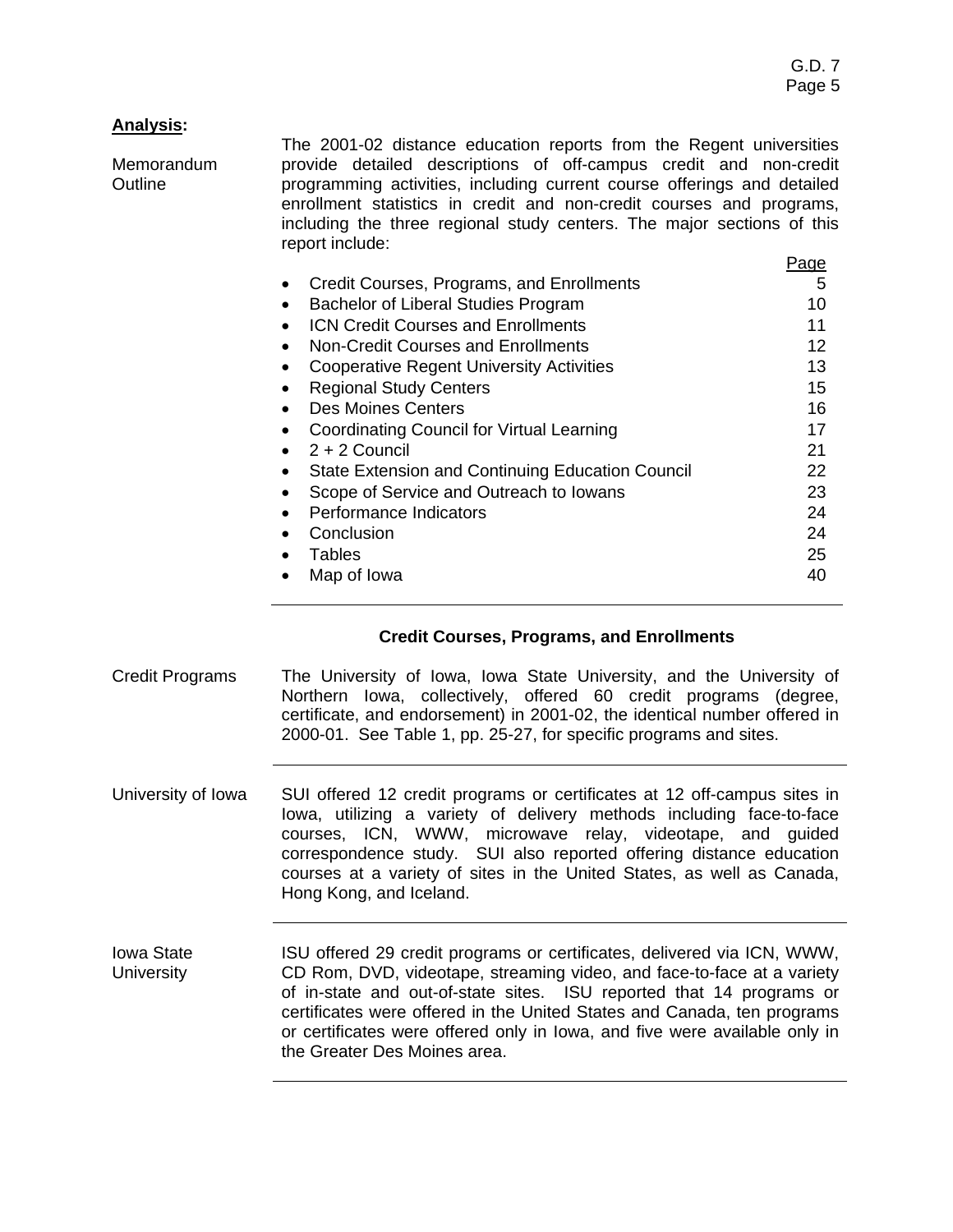# **Analysis:**

Memorandum **Outline** The 2001-02 distance education reports from the Regent universities provide detailed descriptions of off-campus credit and non-credit programming activities, including current course offerings and detailed enrollment statistics in credit and non-credit courses and programs, including the three regional study centers. The major sections of this report include: Page **Credit Courses, Programs, and Enrollments** 5 **Bachelor of Liberal Studies Program 10** • ICN Credit Courses and Enrollments 11 • Non-Credit Courses and Enrollments 12 Cooperative Regent University Activities **13** • Regional Study Centers 15 • Des Moines Centers 16 • Coordinating Council for Virtual Learning 17  $2 + 2$  Council 21 • State Extension and Continuing Education Council 22 • Scope of Service and Outreach to Iowans 23 • Performance Indicators 24 • Conclusion 24 • Tables 25 • Map of Iowa 40

### **Credit Courses, Programs, and Enrollments**

- Credit Programs The University of Iowa, Iowa State University, and the University of Northern Iowa, collectively, offered 60 credit programs (degree, certificate, and endorsement) in 2001-02, the identical number offered in 2000-01. See Table 1, pp. 25-27, for specific programs and sites.
- University of Iowa SUI offered 12 credit programs or certificates at 12 off-campus sites in Iowa, utilizing a variety of delivery methods including face-to-face courses, ICN, WWW, microwave relay, videotape, and guided correspondence study. SUI also reported offering distance education courses at a variety of sites in the United States, as well as Canada, Hong Kong, and Iceland.
- Iowa State **University** ISU offered 29 credit programs or certificates, delivered via ICN, WWW, CD Rom, DVD, videotape, streaming video, and face-to-face at a variety of in-state and out-of-state sites. ISU reported that 14 programs or certificates were offered in the United States and Canada, ten programs or certificates were offered only in Iowa, and five were available only in the Greater Des Moines area.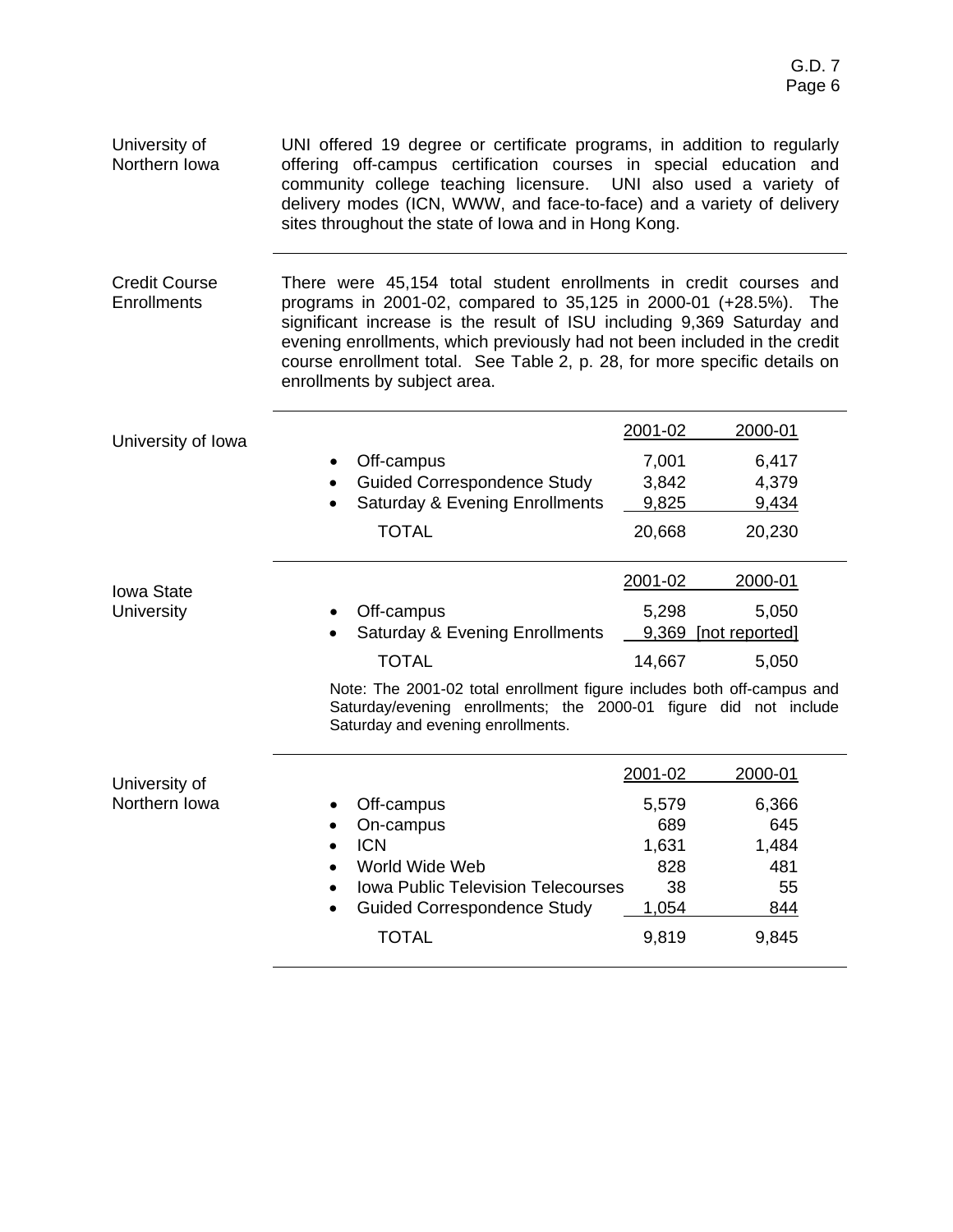| University of<br>Northern Iowa             | UNI offered 19 degree or certificate programs, in addition to regularly<br>offering off-campus certification courses in special education and<br>community college teaching licensure.  UNI also used a variety of<br>delivery modes (ICN, WWW, and face-to-face) and a variety of delivery<br>sites throughout the state of Iowa and in Hong Kong.                                                          |                                   |                                   |  |  |  |
|--------------------------------------------|--------------------------------------------------------------------------------------------------------------------------------------------------------------------------------------------------------------------------------------------------------------------------------------------------------------------------------------------------------------------------------------------------------------|-----------------------------------|-----------------------------------|--|--|--|
| <b>Credit Course</b><br><b>Enrollments</b> | There were 45,154 total student enrollments in credit courses and<br>programs in 2001-02, compared to 35,125 in 2000-01 (+28.5%).<br>The<br>significant increase is the result of ISU including 9,369 Saturday and<br>evening enrollments, which previously had not been included in the credit<br>course enrollment total. See Table 2, p. 28, for more specific details on<br>enrollments by subject area. |                                   |                                   |  |  |  |
|                                            |                                                                                                                                                                                                                                                                                                                                                                                                              | 2001-02                           | 2000-01                           |  |  |  |
| University of Iowa                         | Off-campus<br><b>Guided Correspondence Study</b><br><b>Saturday &amp; Evening Enrollments</b><br><b>TOTAL</b>                                                                                                                                                                                                                                                                                                | 7,001<br>3,842<br>9,825<br>20,668 | 6,417<br>4,379<br>9,434<br>20,230 |  |  |  |
|                                            |                                                                                                                                                                                                                                                                                                                                                                                                              | 2001-02                           | 2000-01                           |  |  |  |
| Iowa State<br><b>University</b>            | Off-campus<br><b>Saturday &amp; Evening Enrollments</b>                                                                                                                                                                                                                                                                                                                                                      | 5,298                             | 5,050<br>9,369 [not reported]     |  |  |  |
|                                            | <b>TOTAL</b>                                                                                                                                                                                                                                                                                                                                                                                                 | 14,667                            | 5,050                             |  |  |  |
|                                            | Note: The 2001-02 total enrollment figure includes both off-campus and<br>Saturday/evening enrollments; the 2000-01 figure did not include<br>Saturday and evening enrollments.                                                                                                                                                                                                                              |                                   |                                   |  |  |  |
| University of                              |                                                                                                                                                                                                                                                                                                                                                                                                              | 2001-02                           | 2000-01                           |  |  |  |
| Northern Iowa                              | Off-campus                                                                                                                                                                                                                                                                                                                                                                                                   | 5,579                             | 6,366                             |  |  |  |
|                                            | On-campus<br>$\bullet$                                                                                                                                                                                                                                                                                                                                                                                       | 689                               | 645                               |  |  |  |
|                                            | <b>ICN</b><br>$\bullet$                                                                                                                                                                                                                                                                                                                                                                                      | 1,631                             | 1,484                             |  |  |  |
|                                            | World Wide Web<br>$\bullet$                                                                                                                                                                                                                                                                                                                                                                                  | 828                               | 481                               |  |  |  |
|                                            | <b>Iowa Public Television Telecourses</b>                                                                                                                                                                                                                                                                                                                                                                    | 38                                | 55                                |  |  |  |
|                                            | <b>Guided Correspondence Study</b>                                                                                                                                                                                                                                                                                                                                                                           | 1,054                             | 844                               |  |  |  |

TOTAL 9,819 9,845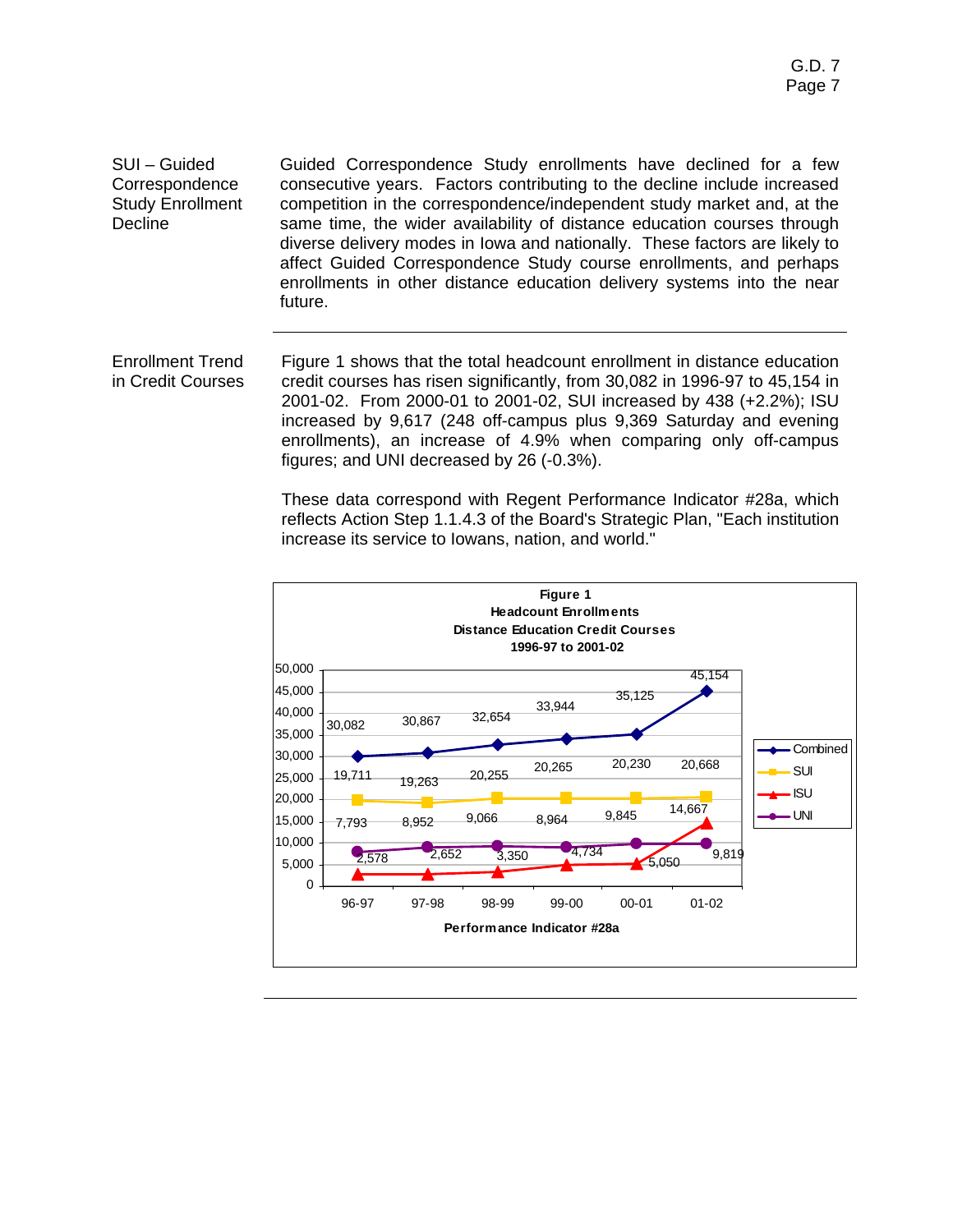SUI – Guided **Correspondence** Study Enrollment **Decline** Guided Correspondence Study enrollments have declined for a few consecutive years. Factors contributing to the decline include increased competition in the correspondence/independent study market and, at the same time, the wider availability of distance education courses through diverse delivery modes in Iowa and nationally. These factors are likely to affect Guided Correspondence Study course enrollments, and perhaps enrollments in other distance education delivery systems into the near future.

Enrollment Trend in Credit Courses Figure 1 shows that the total headcount enrollment in distance education credit courses has risen significantly, from 30,082 in 1996-97 to 45,154 in 2001-02. From 2000-01 to 2001-02, SUI increased by 438 (+2.2%); ISU increased by 9,617 (248 off-campus plus 9,369 Saturday and evening enrollments), an increase of 4.9% when comparing only off-campus figures; and UNI decreased by 26 (-0.3%).

> These data correspond with Regent Performance Indicator #28a, which reflects Action Step 1.1.4.3 of the Board's Strategic Plan, "Each institution increase its service to Iowans, nation, and world."

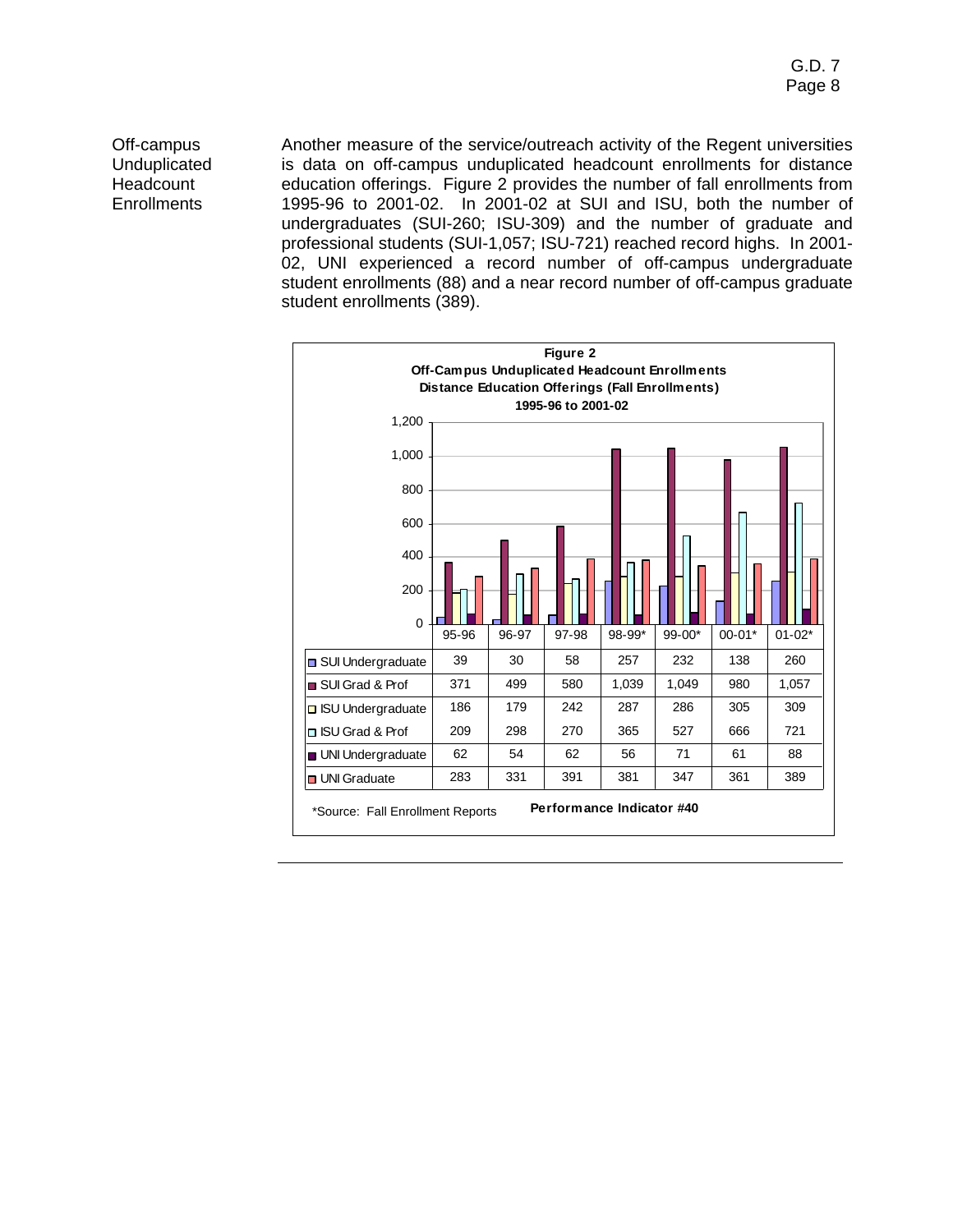Off-campus **Unduplicated Headcount Enrollments** 

Another measure of the service/outreach activity of the Regent universities is data on off-campus unduplicated headcount enrollments for distance education offerings. Figure 2 provides the number of fall enrollments from 1995-96 to 2001-02. In 2001-02 at SUI and ISU, both the number of undergraduates (SUI-260; ISU-309) and the number of graduate and professional students (SUI-1,057; ISU-721) reached record highs. In 2001- 02, UNI experienced a record number of off-campus undergraduate student enrollments (88) and a near record number of off-campus graduate student enrollments (389).

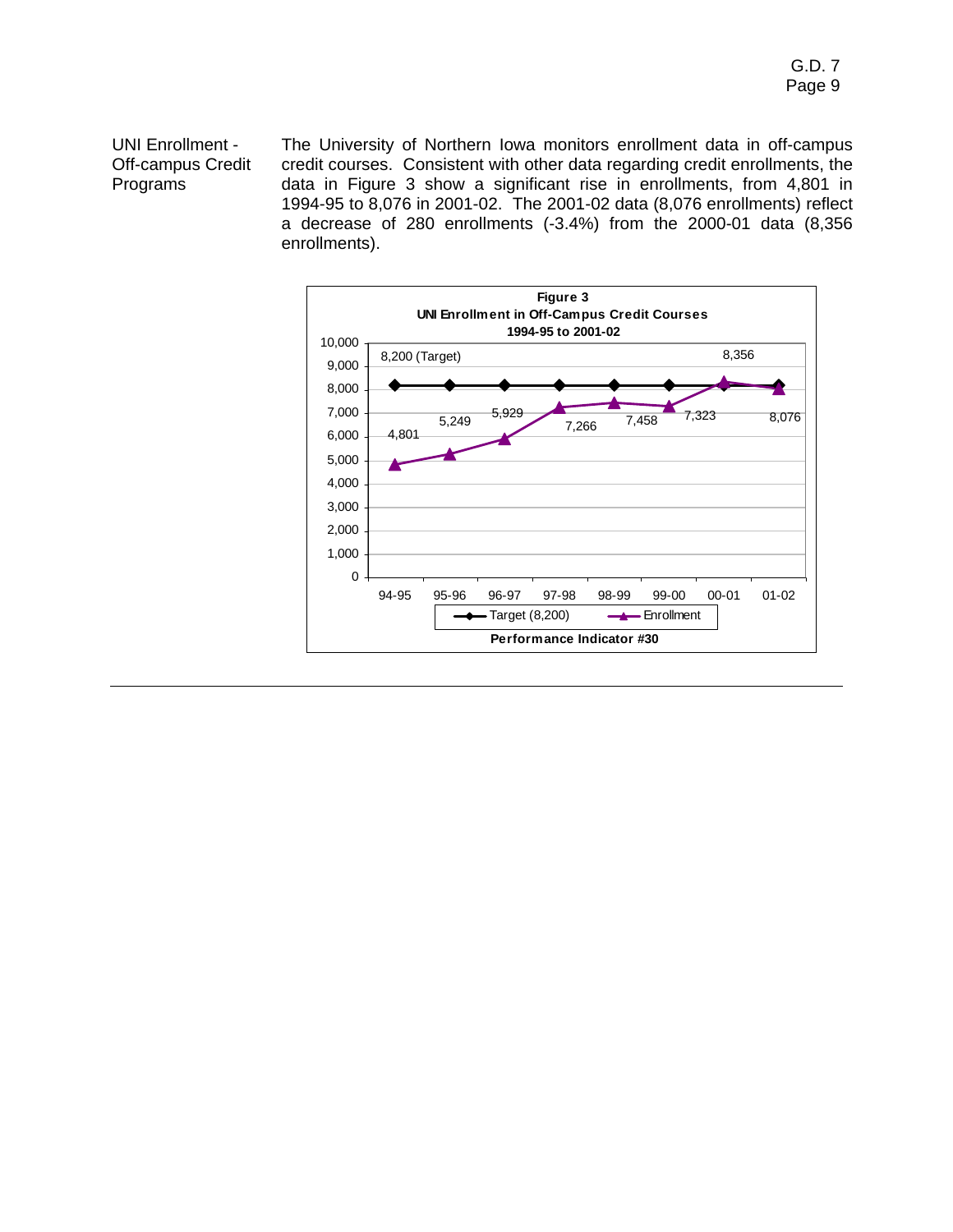# UNI Enrollment - Off-campus Credit Programs

The University of Northern Iowa monitors enrollment data in off-campus credit courses. Consistent with other data regarding credit enrollments, the data in Figure 3 show a significant rise in enrollments, from 4,801 in 1994-95 to 8,076 in 2001-02. The 2001-02 data (8,076 enrollments) reflect a decrease of 280 enrollments (-3.4%) from the 2000-01 data (8,356 enrollments).

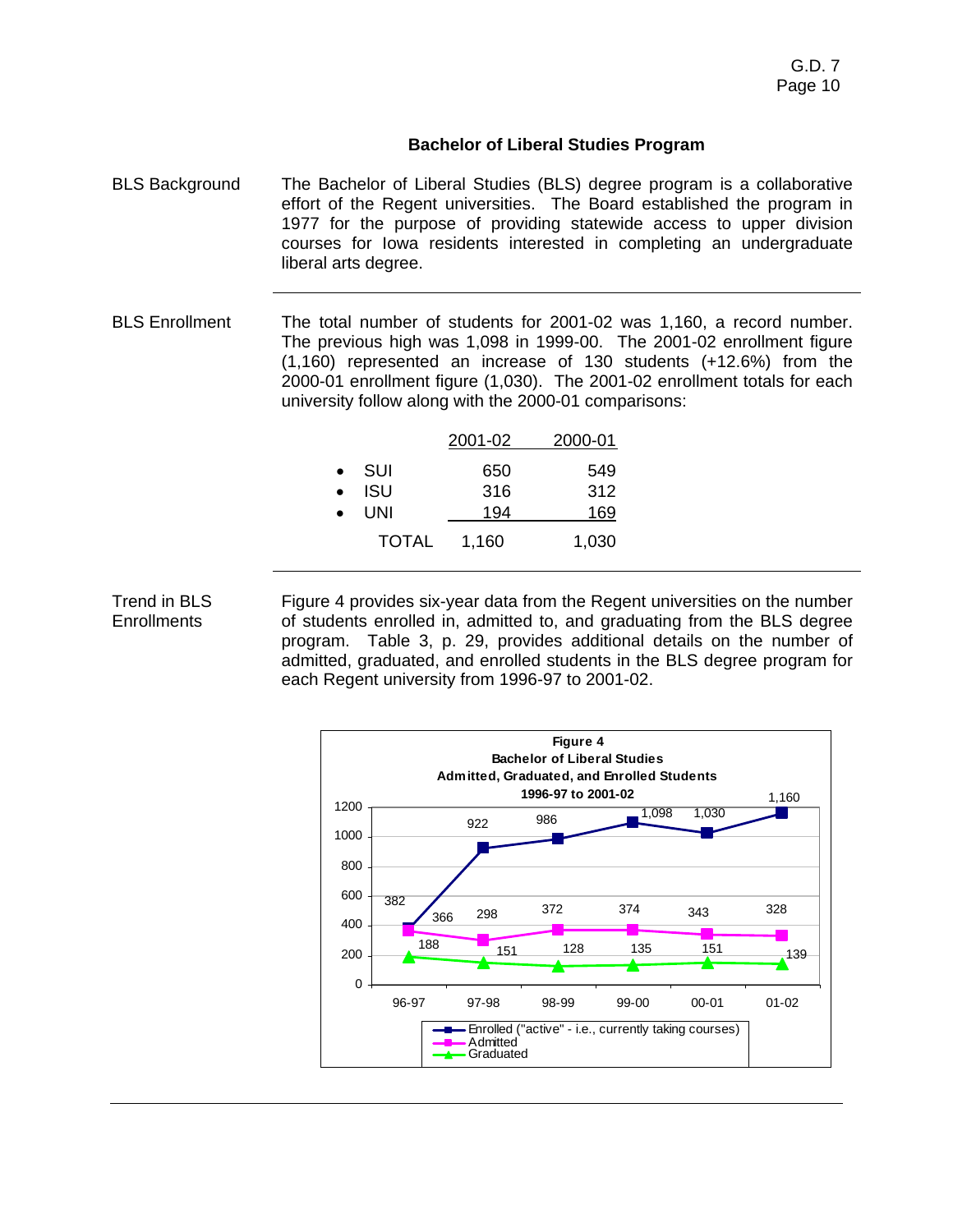# **Bachelor of Liberal Studies Program**

- BLS Background The Bachelor of Liberal Studies (BLS) degree program is a collaborative effort of the Regent universities. The Board established the program in 1977 for the purpose of providing statewide access to upper division courses for Iowa residents interested in completing an undergraduate liberal arts degree.
- BLS Enrollment The total number of students for 2001-02 was 1,160, a record number. The previous high was 1,098 in 1999-00. The 2001-02 enrollment figure (1,160) represented an increase of 130 students (+12.6%) from the 2000-01 enrollment figure (1,030). The 2001-02 enrollment totals for each university follow along with the 2000-01 comparisons:

|           |            | 2001-02 | 2000-01    |
|-----------|------------|---------|------------|
| $\bullet$ | – SUI      | 650     | 549        |
| $\bullet$ | <b>ISU</b> | 316     | 312        |
| $\bullet$ | <b>UNI</b> | 194     | <u>169</u> |
|           | TOTAL      | 1,160   | 1,030      |

# Trend in BLS **Enrollments**

Figure 4 provides six-year data from the Regent universities on the number of students enrolled in, admitted to, and graduating from the BLS degree program. Table 3, p. 29, provides additional details on the number of admitted, graduated, and enrolled students in the BLS degree program for each Regent university from 1996-97 to 2001-02.

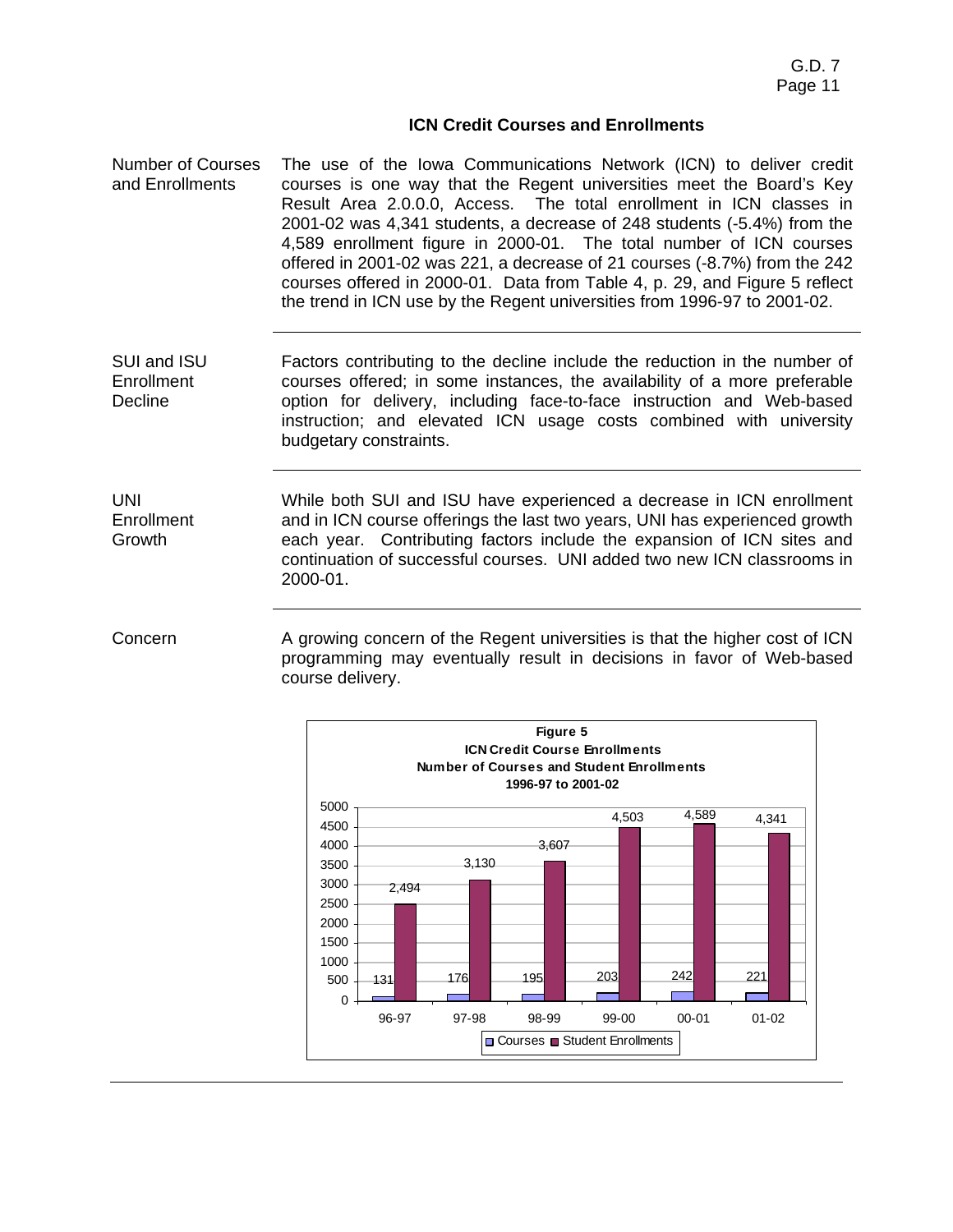## **ICN Credit Courses and Enrollments**

Number of Courses and Enrollments The use of the Iowa Communications Network (ICN) to deliver credit courses is one way that the Regent universities meet the Board's Key Result Area 2.0.0.0, Access. The total enrollment in ICN classes in 2001-02 was 4,341 students, a decrease of 248 students (-5.4%) from the 4,589 enrollment figure in 2000-01. The total number of ICN courses offered in 2001-02 was 221, a decrease of 21 courses (-8.7%) from the 242 courses offered in 2000-01. Data from Table 4, p. 29, and Figure 5 reflect the trend in ICN use by the Regent universities from 1996-97 to 2001-02.

SUI and ISU Enrollment **Decline** Factors contributing to the decline include the reduction in the number of courses offered; in some instances, the availability of a more preferable option for delivery, including face-to-face instruction and Web-based instruction; and elevated ICN usage costs combined with university budgetary constraints.

UNI **Enrollment** Growth

While both SUI and ISU have experienced a decrease in ICN enrollment and in ICN course offerings the last two years, UNI has experienced growth each year. Contributing factors include the expansion of ICN sites and continuation of successful courses. UNI added two new ICN classrooms in 2000-01.

Concern **A growing concern of the Regent universities is that the higher cost of ICN** programming may eventually result in decisions in favor of Web-based course delivery.

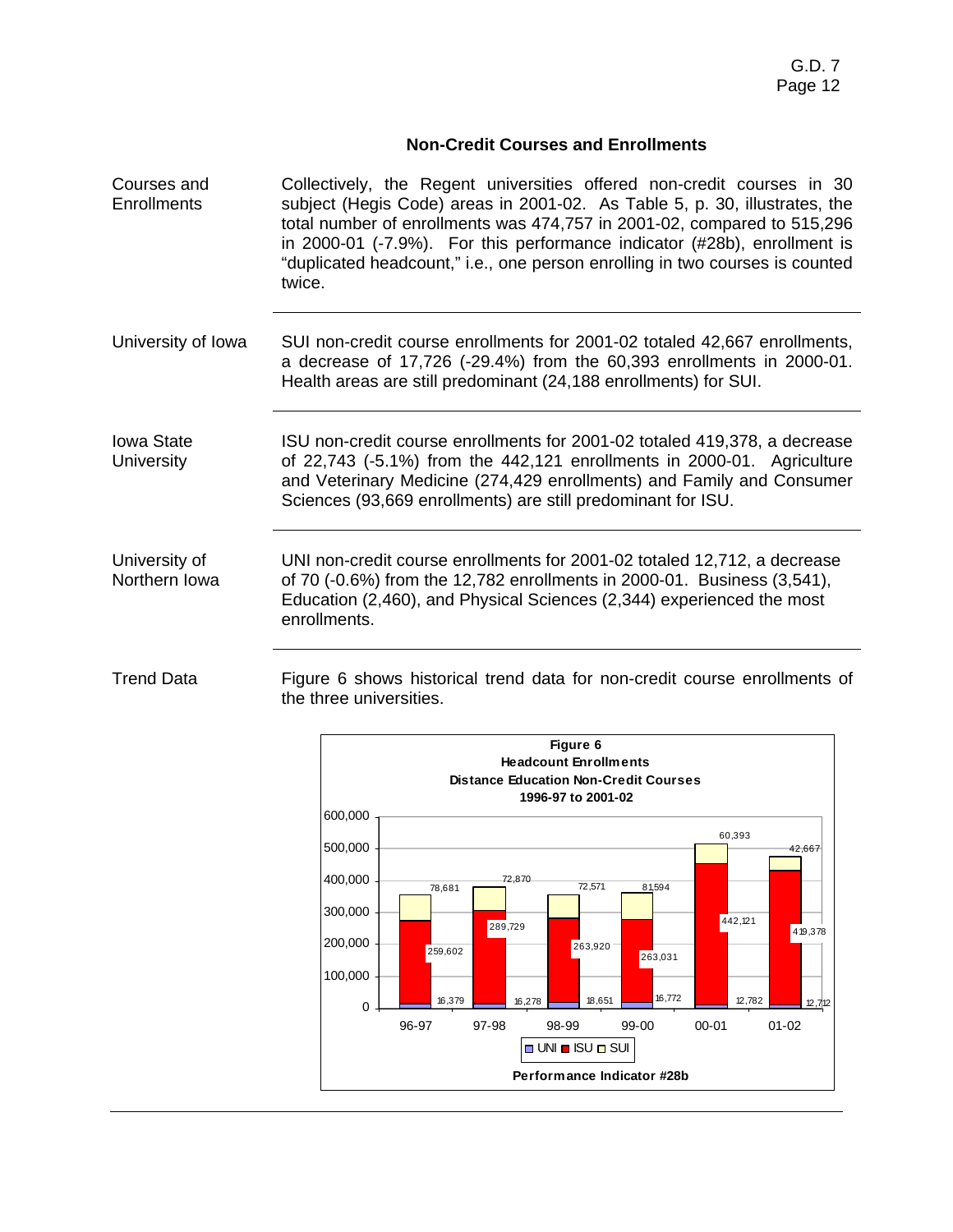# **Non-Credit Courses and Enrollments**

- Courses and **Enrollments** Collectively, the Regent universities offered non-credit courses in 30 subject (Hegis Code) areas in 2001-02. As Table 5, p. 30, illustrates, the total number of enrollments was 474,757 in 2001-02, compared to 515,296 in 2000-01 (-7.9%). For this performance indicator (#28b), enrollment is "duplicated headcount," i.e., one person enrolling in two courses is counted twice.
- University of Iowa SUI non-credit course enrollments for 2001-02 totaled 42,667 enrollments, a decrease of 17,726 (-29.4%) from the 60,393 enrollments in 2000-01. Health areas are still predominant (24,188 enrollments) for SUI.

Iowa State **University** ISU non-credit course enrollments for 2001-02 totaled 419,378, a decrease of 22,743 (-5.1%) from the 442,121 enrollments in 2000-01. Agriculture and Veterinary Medicine (274,429 enrollments) and Family and Consumer Sciences (93,669 enrollments) are still predominant for ISU.

University of Northern Iowa UNI non-credit course enrollments for 2001-02 totaled 12,712, a decrease of 70 (-0.6%) from the 12,782 enrollments in 2000-01. Business (3,541), Education (2,460), and Physical Sciences (2,344) experienced the most enrollments.

Trend Data Figure 6 shows historical trend data for non-credit course enrollments of the three universities.

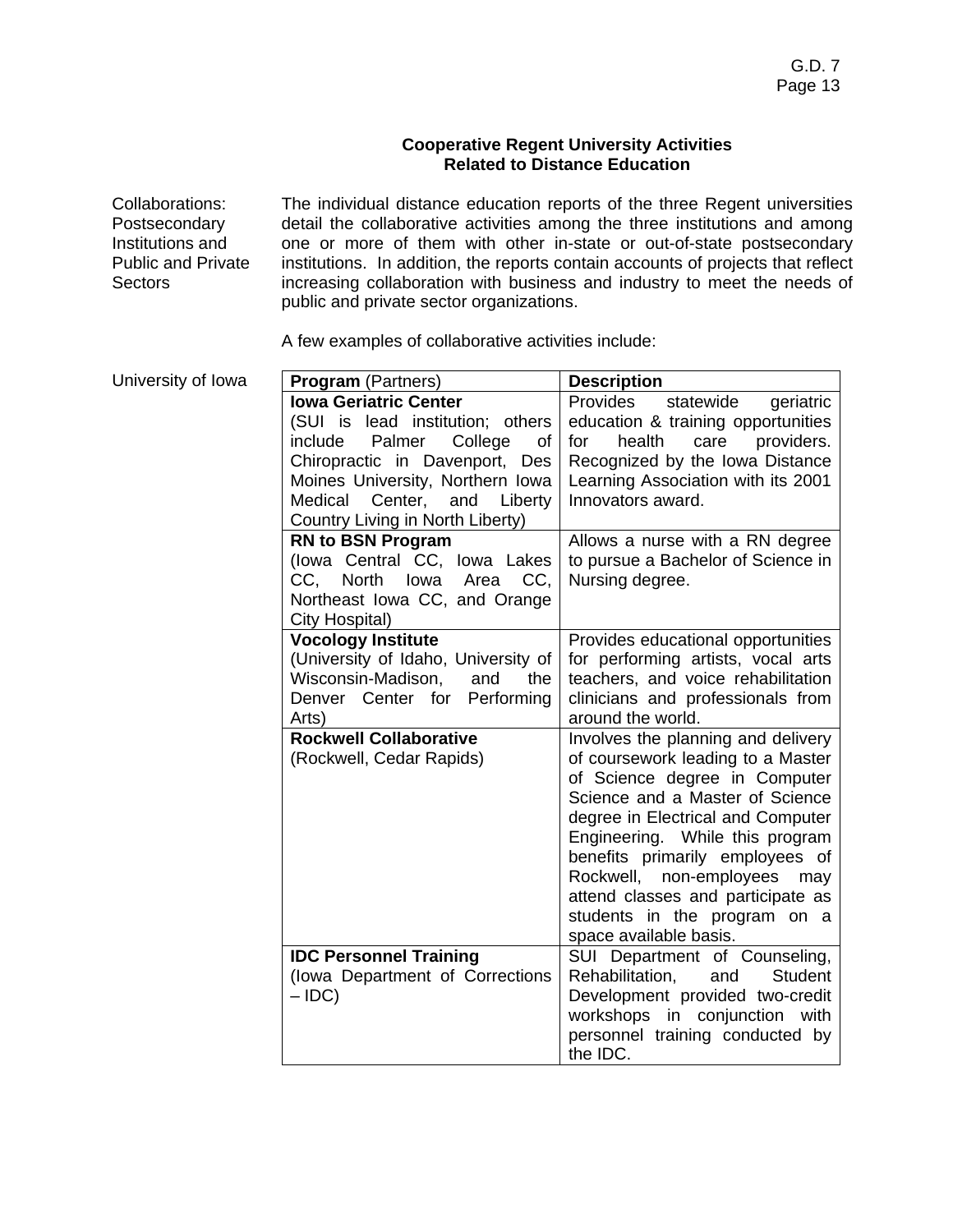## **Cooperative Regent University Activities Related to Distance Education**

Collaborations: Postsecondary Institutions and Public and Private **Sectors** 

The individual distance education reports of the three Regent universities detail the collaborative activities among the three institutions and among one or more of them with other in-state or out-of-state postsecondary institutions. In addition, the reports contain accounts of projects that reflect increasing collaboration with business and industry to meet the needs of public and private sector organizations.

A few examples of collaborative activities include:

| University of Iowa | <b>Program</b> (Partners)           | <b>Description</b>                                     |  |  |
|--------------------|-------------------------------------|--------------------------------------------------------|--|--|
|                    | <b>Iowa Geriatric Center</b>        | Provides<br>statewide<br>geriatric                     |  |  |
|                    | (SUI is lead institution; others    | education & training opportunities                     |  |  |
|                    | include<br>Palmer<br>College<br>οf  | health<br>care<br>providers.<br>for                    |  |  |
|                    | Chiropractic in Davenport, Des      | Recognized by the Iowa Distance                        |  |  |
|                    | Moines University, Northern Iowa    | Learning Association with its 2001                     |  |  |
|                    | Medical Center,<br>and Liberty      | Innovators award.                                      |  |  |
|                    | Country Living in North Liberty)    |                                                        |  |  |
|                    | <b>RN to BSN Program</b>            | Allows a nurse with a RN degree                        |  |  |
|                    | (lowa Central CC, lowa Lakes        | to pursue a Bachelor of Science in                     |  |  |
|                    | CC.<br>North<br>CC,<br>lowa<br>Area | Nursing degree.                                        |  |  |
|                    | Northeast Iowa CC, and Orange       |                                                        |  |  |
|                    | City Hospital)                      |                                                        |  |  |
|                    | <b>Vocology Institute</b>           | Provides educational opportunities                     |  |  |
|                    | (University of Idaho, University of | for performing artists, vocal arts                     |  |  |
|                    | Wisconsin-Madison,<br>and<br>the    | teachers, and voice rehabilitation                     |  |  |
|                    | Denver Center for<br>Performing     | clinicians and professionals from                      |  |  |
|                    | Arts)                               | around the world.                                      |  |  |
|                    | <b>Rockwell Collaborative</b>       | Involves the planning and delivery                     |  |  |
|                    | (Rockwell, Cedar Rapids)            | of coursework leading to a Master                      |  |  |
|                    |                                     | of Science degree in Computer                          |  |  |
|                    |                                     | Science and a Master of Science                        |  |  |
|                    |                                     | degree in Electrical and Computer                      |  |  |
|                    |                                     | Engineering. While this program                        |  |  |
|                    |                                     | benefits primarily employees of                        |  |  |
|                    |                                     | Rockwell,<br>non-employees<br>may                      |  |  |
|                    |                                     | attend classes and participate as                      |  |  |
|                    |                                     | students in the program on a<br>space available basis. |  |  |
|                    | <b>IDC Personnel Training</b>       | SUI Department of Counseling,                          |  |  |
|                    | (lowa Department of Corrections     | <b>Student</b><br>Rehabilitation,<br>and               |  |  |
|                    | $-$ IDC)                            | Development provided two-credit                        |  |  |
|                    |                                     | workshops in conjunction<br>with                       |  |  |
|                    |                                     | personnel training conducted by                        |  |  |
|                    |                                     | the IDC.                                               |  |  |
|                    |                                     |                                                        |  |  |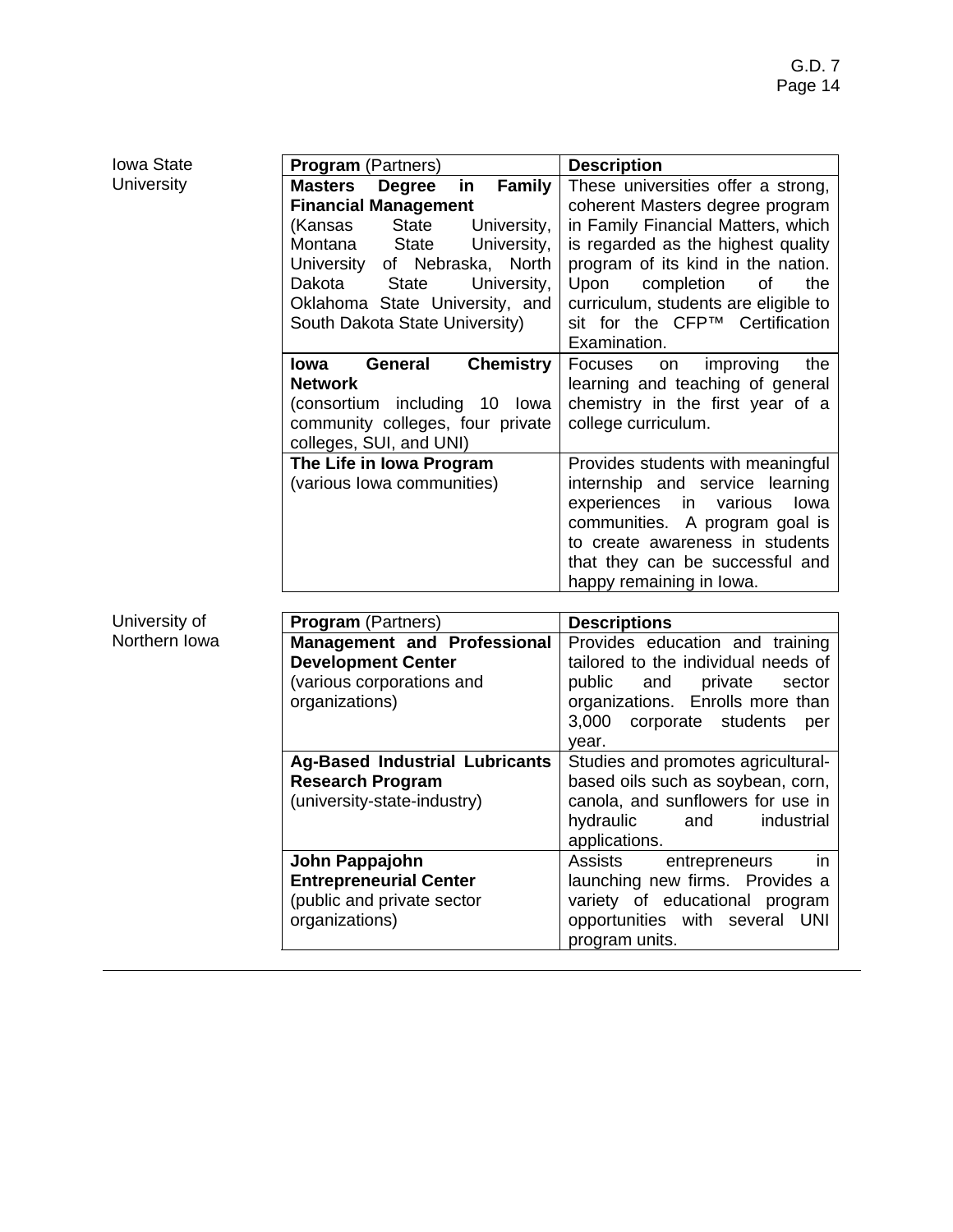| Iowa State        | <b>Program</b> (Partners)                                                                                                                                                                                                                                                                                                                                                                                                                                | <b>Description</b>                                                                                                                                                                                                                                                                                                                                                                                                                                              |
|-------------------|----------------------------------------------------------------------------------------------------------------------------------------------------------------------------------------------------------------------------------------------------------------------------------------------------------------------------------------------------------------------------------------------------------------------------------------------------------|-----------------------------------------------------------------------------------------------------------------------------------------------------------------------------------------------------------------------------------------------------------------------------------------------------------------------------------------------------------------------------------------------------------------------------------------------------------------|
| <b>University</b> | <b>Masters</b><br><b>Family</b><br><b>Degree</b><br>in<br><b>Financial Management</b><br><b>State</b><br>(Kansas<br>University,<br>Montana<br>University,<br><b>State</b><br>University<br>of Nebraska, North<br>Dakota<br><b>State</b><br>University,<br>Oklahoma State University, and<br>South Dakota State University)<br>General<br><b>Chemistry</b><br>lowa<br><b>Network</b><br>(consortium including 10 lowa<br>community colleges, four private | These universities offer a strong,<br>coherent Masters degree program<br>in Family Financial Matters, which<br>is regarded as the highest quality<br>program of its kind in the nation.<br>Upon<br>completion<br>of<br>the<br>curriculum, students are eligible to<br>sit for the CFP™ Certification<br>Examination.<br><b>Focuses</b><br>improving<br>the<br>on<br>learning and teaching of general<br>chemistry in the first year of a<br>college curriculum. |
|                   | colleges, SUI, and UNI)<br>The Life in Iowa Program<br>(various lowa communities)                                                                                                                                                                                                                                                                                                                                                                        | Provides students with meaningful<br>internship and service learning<br>experiences<br>various<br>in<br>lowa<br>communities. A program goal is<br>to create awareness in students<br>that they can be successful and<br>happy remaining in lowa.                                                                                                                                                                                                                |
| University of     |                                                                                                                                                                                                                                                                                                                                                                                                                                                          |                                                                                                                                                                                                                                                                                                                                                                                                                                                                 |
| Northern Iowa     | Program (Partners)<br><b>Management and Professional</b><br><b>Development Center</b><br>(various corporations and<br>organizations)                                                                                                                                                                                                                                                                                                                     | <b>Descriptions</b><br>Provides education and training<br>tailored to the individual needs of<br>public<br>and<br>private<br>sector<br>organizations. Enrolls more than<br>3,000<br>corporate<br>students<br>per<br>year.                                                                                                                                                                                                                                       |
|                   | <b>Ag-Based Industrial Lubricants</b><br><b>Research Program</b><br>(university-state-industry)                                                                                                                                                                                                                                                                                                                                                          | Studies and promotes agricultural-<br>based oils such as soybean, corn,<br>canola, and sunflowers for use in<br>hydraulic<br>industrial<br>and<br>applications.                                                                                                                                                                                                                                                                                                 |
|                   | John Pappajohn<br><b>Entrepreneurial Center</b><br>(public and private sector<br>organizations)                                                                                                                                                                                                                                                                                                                                                          | <b>Assists</b><br>entrepreneurs<br>in<br>launching new firms. Provides a<br>variety of educational program<br>opportunities with several UNI<br>program units.                                                                                                                                                                                                                                                                                                  |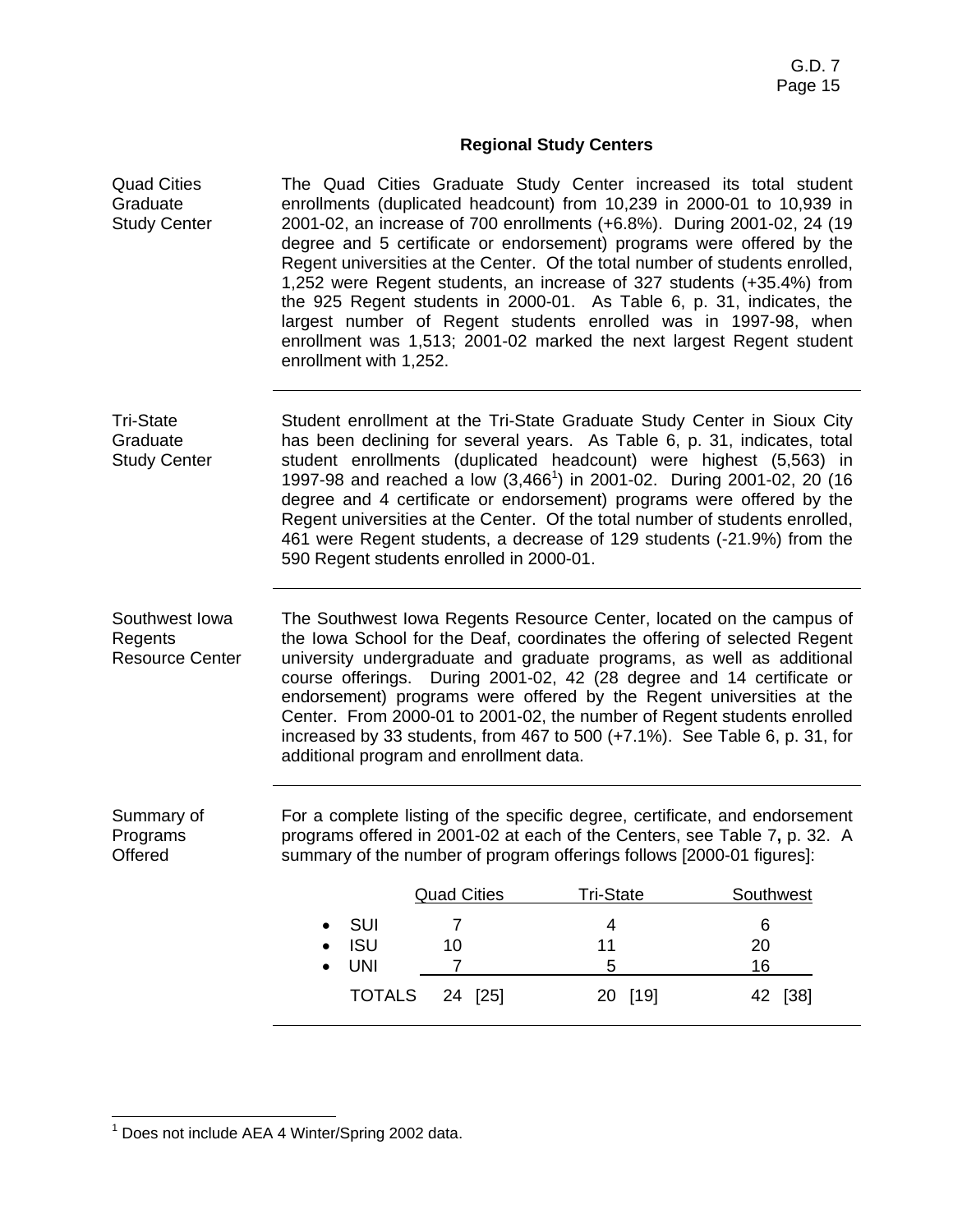# **Regional Study Centers**

| <b>Quad Cities</b><br>Graduate<br><b>Study Center</b> | The Quad Cities Graduate Study Center increased its total student<br>enrollments (duplicated headcount) from 10,239 in 2000-01 to 10,939 in<br>2001-02, an increase of 700 enrollments (+6.8%). During 2001-02, 24 (19<br>degree and 5 certificate or endorsement) programs were offered by the<br>Regent universities at the Center. Of the total number of students enrolled,<br>1,252 were Regent students, an increase of 327 students (+35.4%) from<br>the 925 Regent students in 2000-01. As Table 6, p. 31, indicates, the<br>largest number of Regent students enrolled was in 1997-98, when<br>enrollment was 1,513; 2001-02 marked the next largest Regent student<br>enrollment with 1,252. |                      |                                                                                                                                                                                                                                                                                                                                                                                                                                                                                                                                                     |           |  |  |
|-------------------------------------------------------|--------------------------------------------------------------------------------------------------------------------------------------------------------------------------------------------------------------------------------------------------------------------------------------------------------------------------------------------------------------------------------------------------------------------------------------------------------------------------------------------------------------------------------------------------------------------------------------------------------------------------------------------------------------------------------------------------------|----------------------|-----------------------------------------------------------------------------------------------------------------------------------------------------------------------------------------------------------------------------------------------------------------------------------------------------------------------------------------------------------------------------------------------------------------------------------------------------------------------------------------------------------------------------------------------------|-----------|--|--|
| <b>Tri-State</b><br>Graduate<br><b>Study Center</b>   | 590 Regent students enrolled in 2000-01.                                                                                                                                                                                                                                                                                                                                                                                                                                                                                                                                                                                                                                                               |                      | Student enrollment at the Tri-State Graduate Study Center in Sioux City<br>has been declining for several years. As Table 6, p. 31, indicates, total<br>student enrollments (duplicated headcount) were highest (5,563) in<br>1997-98 and reached a low (3,466 <sup>1</sup> ) in 2001-02. During 2001-02, 20 (16<br>degree and 4 certificate or endorsement) programs were offered by the<br>Regent universities at the Center. Of the total number of students enrolled,<br>461 were Regent students, a decrease of 129 students (-21.9%) from the |           |  |  |
| Southwest Iowa<br>Regents<br><b>Resource Center</b>   | additional program and enrollment data.                                                                                                                                                                                                                                                                                                                                                                                                                                                                                                                                                                                                                                                                |                      | The Southwest Iowa Regents Resource Center, located on the campus of<br>the Iowa School for the Deaf, coordinates the offering of selected Regent<br>university undergraduate and graduate programs, as well as additional<br>course offerings. During 2001-02, 42 (28 degree and 14 certificate or<br>endorsement) programs were offered by the Regent universities at the<br>Center. From 2000-01 to 2001-02, the number of Regent students enrolled<br>increased by 33 students, from 467 to 500 (+7.1%). See Table 6, p. 31, for                |           |  |  |
| Summary of<br>Programs<br>Offered                     |                                                                                                                                                                                                                                                                                                                                                                                                                                                                                                                                                                                                                                                                                                        |                      | For a complete listing of the specific degree, certificate, and endorsement<br>programs offered in 2001-02 at each of the Centers, see Table 7, p. 32. A<br>summary of the number of program offerings follows [2000-01 figures]:                                                                                                                                                                                                                                                                                                                   |           |  |  |
|                                                       |                                                                                                                                                                                                                                                                                                                                                                                                                                                                                                                                                                                                                                                                                                        | <b>Quad Cities</b>   | Tri-State                                                                                                                                                                                                                                                                                                                                                                                                                                                                                                                                           | Southwest |  |  |
|                                                       | SUI                                                                                                                                                                                                                                                                                                                                                                                                                                                                                                                                                                                                                                                                                                    | $\overline{7}$       | $\overline{\mathbf{4}}$                                                                                                                                                                                                                                                                                                                                                                                                                                                                                                                             | $\,6$     |  |  |
|                                                       | <b>ISU</b><br><b>UNI</b>                                                                                                                                                                                                                                                                                                                                                                                                                                                                                                                                                                                                                                                                               | 10<br>$\overline{7}$ | 11<br>5                                                                                                                                                                                                                                                                                                                                                                                                                                                                                                                                             | 20<br>16  |  |  |
|                                                       | <b>TOTALS</b>                                                                                                                                                                                                                                                                                                                                                                                                                                                                                                                                                                                                                                                                                          | 24 [25]              | 20 [19]                                                                                                                                                                                                                                                                                                                                                                                                                                                                                                                                             | 42 [38]   |  |  |

 1 Does not include AEA 4 Winter/Spring 2002 data.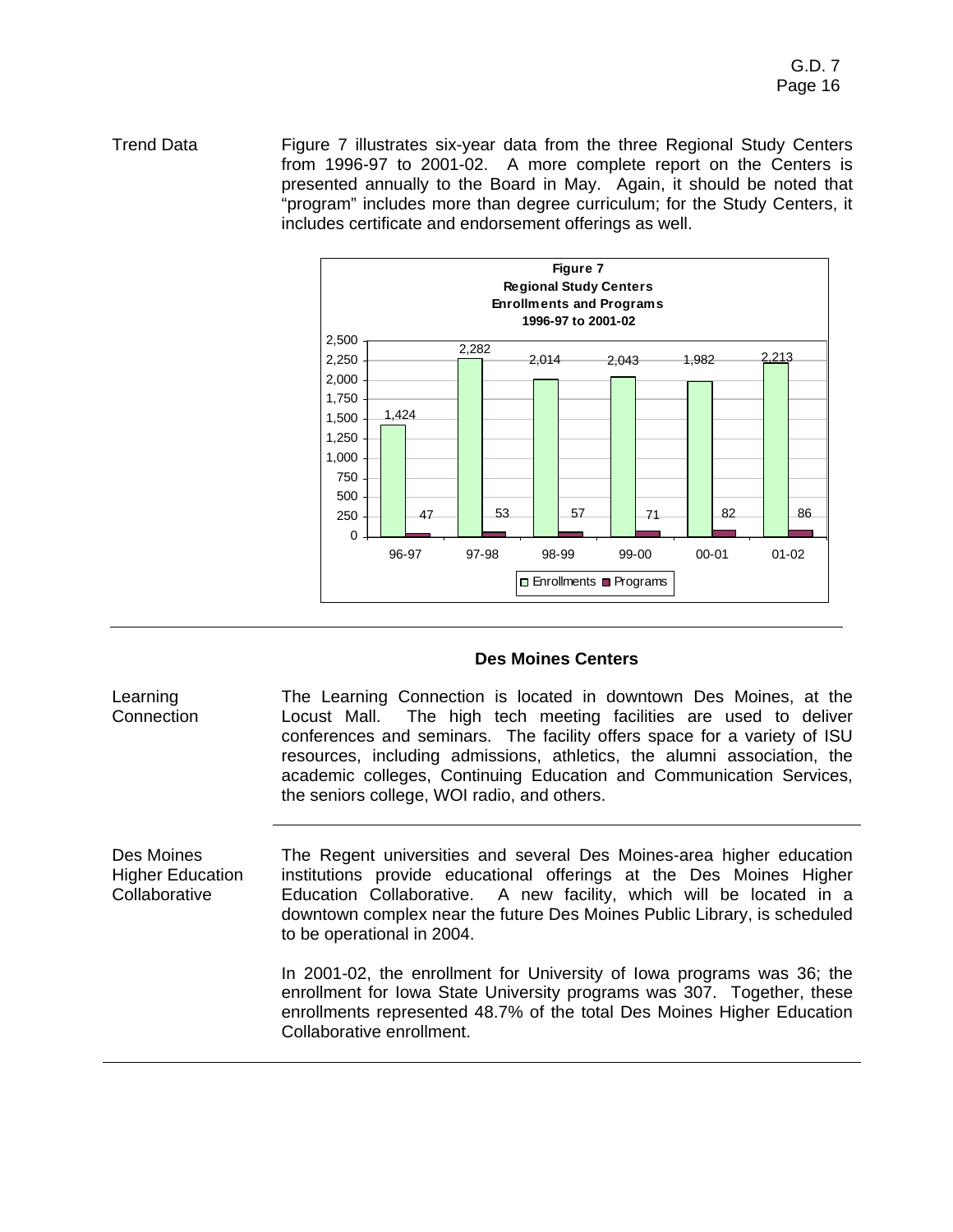Trend Data Figure 7 illustrates six-year data from the three Regional Study Centers from 1996-97 to 2001-02. A more complete report on the Centers is presented annually to the Board in May. Again, it should be noted that "program" includes more than degree curriculum; for the Study Centers, it includes certificate and endorsement offerings as well.



# **Des Moines Centers**

**Learning Connection** The Learning Connection is located in downtown Des Moines, at the Locust Mall. The high tech meeting facilities are used to deliver conferences and seminars. The facility offers space for a variety of ISU resources, including admissions, athletics, the alumni association, the academic colleges, Continuing Education and Communication Services, the seniors college, WOI radio, and others.

Des Moines Higher Education **Collaborative** The Regent universities and several Des Moines-area higher education institutions provide educational offerings at the Des Moines Higher Education Collaborative. A new facility, which will be located in a downtown complex near the future Des Moines Public Library, is scheduled to be operational in 2004.

In 2001-02, the enrollment for University of Iowa programs was 36; the enrollment for Iowa State University programs was 307. Together, these enrollments represented 48.7% of the total Des Moines Higher Education Collaborative enrollment.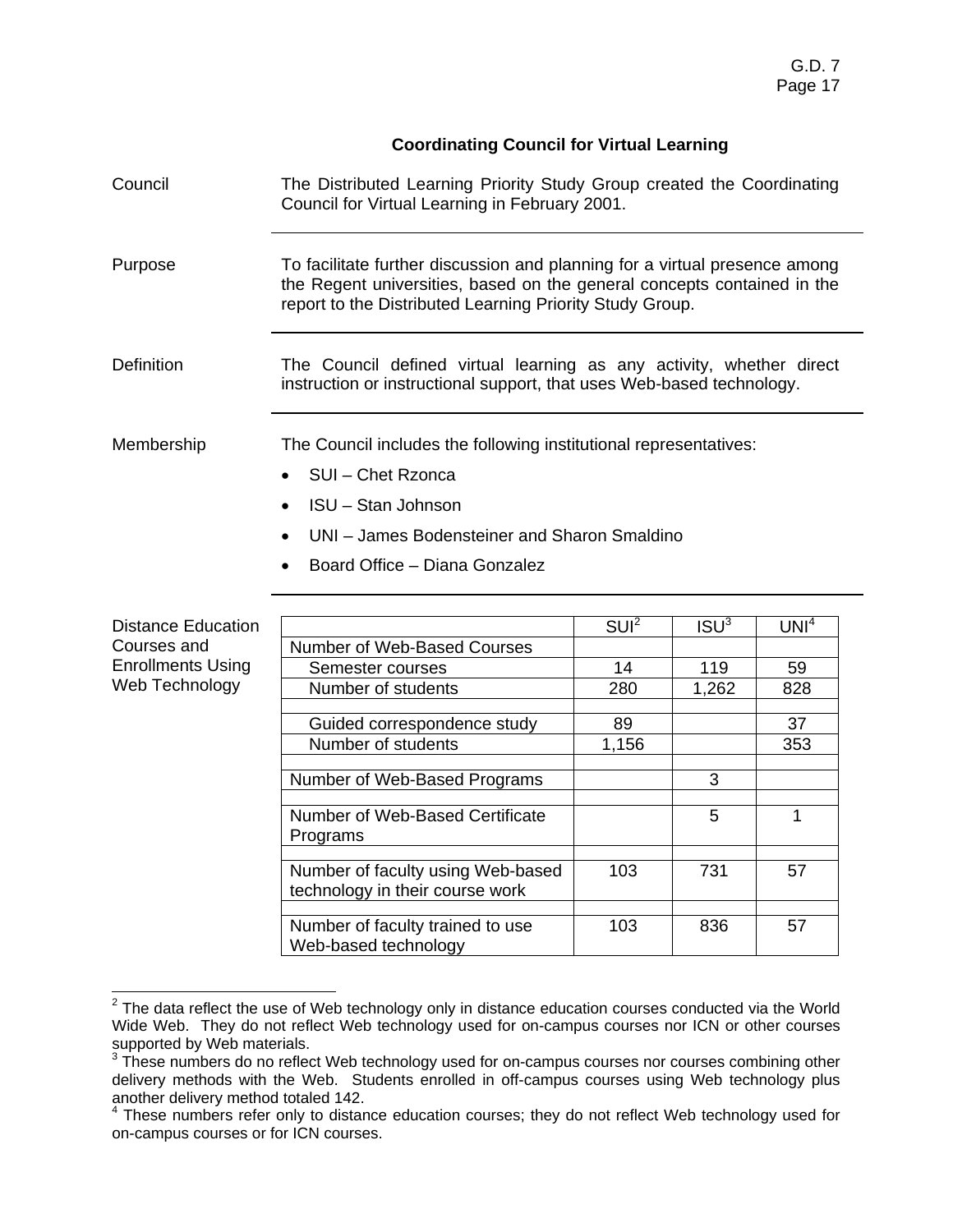# **Coordinating Council for Virtual Learning**

| Council                   | The Distributed Learning Priority Study Group created the Coordinating<br>Council for Virtual Learning in February 2001.                                                                                          |                  |                  |                  |  |  |  |  |
|---------------------------|-------------------------------------------------------------------------------------------------------------------------------------------------------------------------------------------------------------------|------------------|------------------|------------------|--|--|--|--|
| Purpose                   | To facilitate further discussion and planning for a virtual presence among<br>the Regent universities, based on the general concepts contained in the<br>report to the Distributed Learning Priority Study Group. |                  |                  |                  |  |  |  |  |
| <b>Definition</b>         | The Council defined virtual learning as any activity, whether direct<br>instruction or instructional support, that uses Web-based technology.                                                                     |                  |                  |                  |  |  |  |  |
| Membership                | The Council includes the following institutional representatives:                                                                                                                                                 |                  |                  |                  |  |  |  |  |
|                           | SUI - Chet Rzonca                                                                                                                                                                                                 |                  |                  |                  |  |  |  |  |
|                           | <b>ISU - Stan Johnson</b>                                                                                                                                                                                         |                  |                  |                  |  |  |  |  |
|                           | UNI - James Bodensteiner and Sharon Smaldino                                                                                                                                                                      |                  |                  |                  |  |  |  |  |
|                           | Board Office - Diana Gonzalez                                                                                                                                                                                     |                  |                  |                  |  |  |  |  |
| <b>Distance Education</b> |                                                                                                                                                                                                                   | SUI <sup>2</sup> | ISU <sup>3</sup> | UNI <sup>4</sup> |  |  |  |  |
| Courses and               | Number of Web-Based Courses                                                                                                                                                                                       |                  |                  |                  |  |  |  |  |
| <b>Enrollments Using</b>  | Semester courses                                                                                                                                                                                                  | 14               | 119              | 59               |  |  |  |  |
| Web Technology            | Number of students                                                                                                                                                                                                | 280              | 1,262            | 828              |  |  |  |  |
|                           | Guided correspondence study                                                                                                                                                                                       | 89               |                  | 37               |  |  |  |  |
|                           | Number of students                                                                                                                                                                                                | 1,156            |                  | 353              |  |  |  |  |
|                           | Number of Web-Based Programs                                                                                                                                                                                      |                  | 3                |                  |  |  |  |  |
|                           | Number of Web-Based Certificate<br>Programs                                                                                                                                                                       |                  | 5                | $\mathbf{1}$     |  |  |  |  |
|                           | Number of faculty using Web-based<br>technology in their course work                                                                                                                                              | 103              | 731              | 57               |  |  |  |  |
|                           | Number of faculty trained to use<br>Web-based technology                                                                                                                                                          | 103              | 836              | 57               |  |  |  |  |

**EXECUTE:**<br><sup>2</sup> The data reflect the use of Web technology only in distance education courses conducted via the World Wide Web. They do not reflect Web technology used for on-campus courses nor ICN or other courses

supported by Web materials.<br><sup>3</sup> These numbers do no reflect Web technology used for on-campus courses nor courses combining other delivery methods with the Web. Students enrolled in off-campus courses using Web technology plus another delivery method totaled 142.<br><sup>4</sup> These numbers refer only to distance education courses; they do not reflect Web technology used for

on-campus courses or for ICN courses.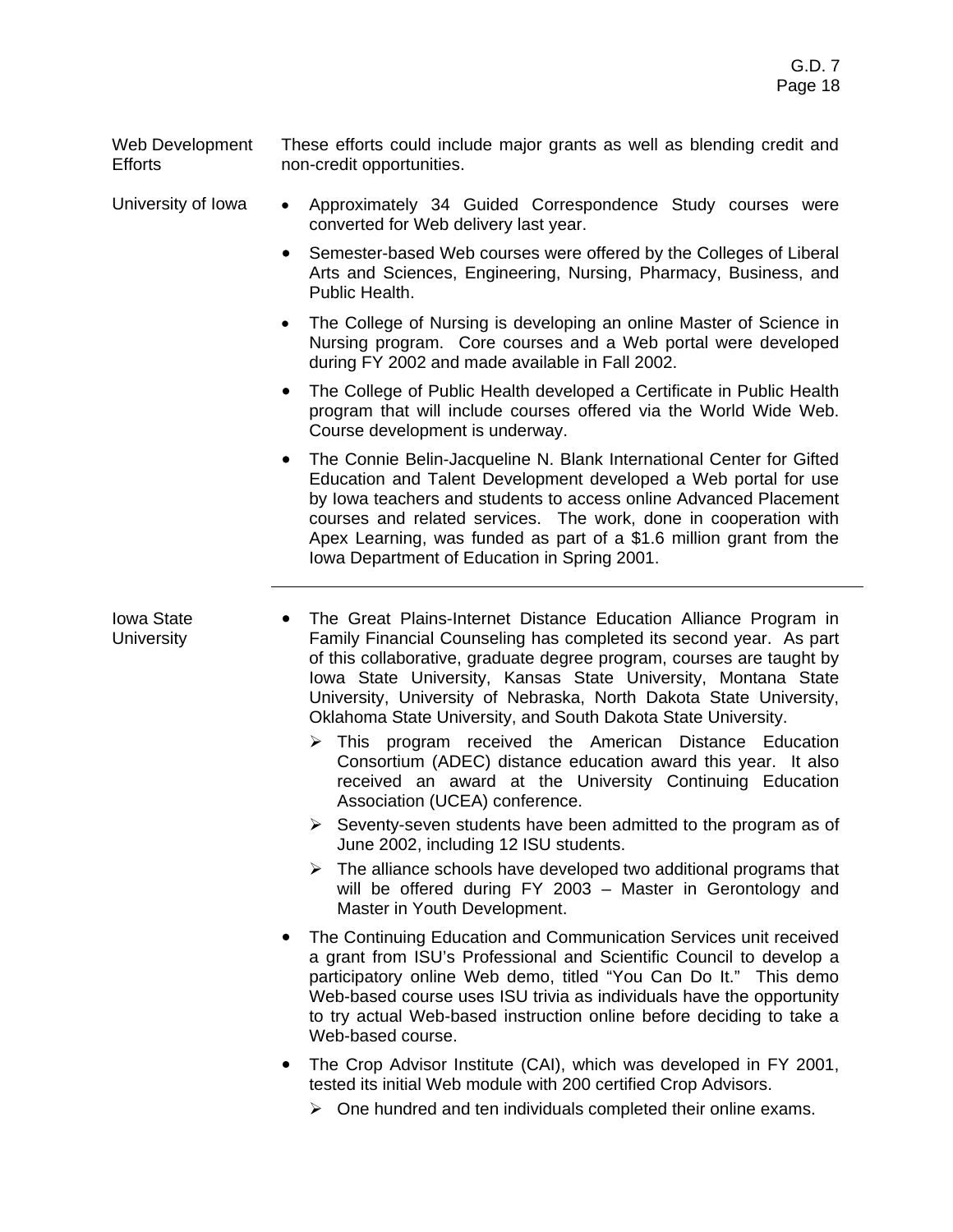Web Development **Efforts** These efforts could include major grants as well as blending credit and non-credit opportunities.

- University of Iowa Approximately 34 Guided Correspondence Study courses were converted for Web delivery last year.
	- Semester-based Web courses were offered by the Colleges of Liberal Arts and Sciences, Engineering, Nursing, Pharmacy, Business, and Public Health.
	- The College of Nursing is developing an online Master of Science in Nursing program. Core courses and a Web portal were developed during FY 2002 and made available in Fall 2002.
	- The College of Public Health developed a Certificate in Public Health program that will include courses offered via the World Wide Web. Course development is underway.
	- The Connie Belin-Jacqueline N. Blank International Center for Gifted Education and Talent Development developed a Web portal for use by Iowa teachers and students to access online Advanced Placement courses and related services. The work, done in cooperation with Apex Learning, was funded as part of a \$1.6 million grant from the Iowa Department of Education in Spring 2001.

Iowa State **University** 

- The Great Plains-Internet Distance Education Alliance Program in Family Financial Counseling has completed its second year. As part of this collaborative, graduate degree program, courses are taught by Iowa State University, Kansas State University, Montana State University, University of Nebraska, North Dakota State University, Oklahoma State University, and South Dakota State University.
	- $\triangleright$  This program received the American Distance Education Consortium (ADEC) distance education award this year. It also received an award at the University Continuing Education Association (UCEA) conference.
	- $\triangleright$  Seventy-seven students have been admitted to the program as of June 2002, including 12 ISU students.
	- $\triangleright$  The alliance schools have developed two additional programs that will be offered during FY 2003 – Master in Gerontology and Master in Youth Development.
- ! The Continuing Education and Communication Services unit received a grant from ISU's Professional and Scientific Council to develop a participatory online Web demo, titled "You Can Do It." This demo Web-based course uses ISU trivia as individuals have the opportunity to try actual Web-based instruction online before deciding to take a Web-based course.
- ! The Crop Advisor Institute (CAI), which was developed in FY 2001, tested its initial Web module with 200 certified Crop Advisors.
	- $\triangleright$  One hundred and ten individuals completed their online exams.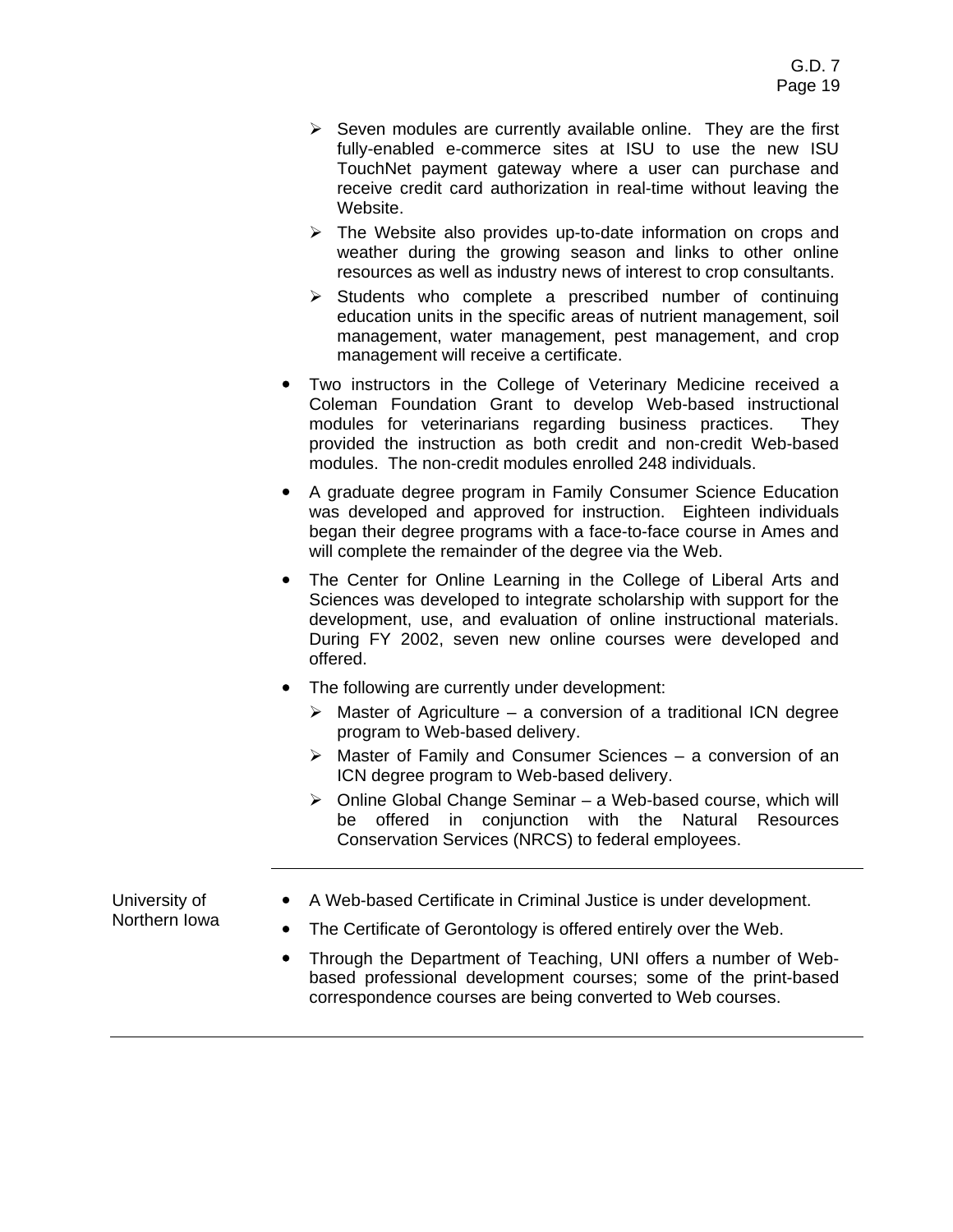- $\triangleright$  Seven modules are currently available online. They are the first fully-enabled e-commerce sites at ISU to use the new ISU TouchNet payment gateway where a user can purchase and receive credit card authorization in real-time without leaving the Website.
- $\triangleright$  The Website also provides up-to-date information on crops and weather during the growing season and links to other online resources as well as industry news of interest to crop consultants.
- $\triangleright$  Students who complete a prescribed number of continuing education units in the specific areas of nutrient management, soil management, water management, pest management, and crop management will receive a certificate.
- Two instructors in the College of Veterinary Medicine received a Coleman Foundation Grant to develop Web-based instructional modules for veterinarians regarding business practices. They provided the instruction as both credit and non-credit Web-based modules. The non-credit modules enrolled 248 individuals.
- ! A graduate degree program in Family Consumer Science Education was developed and approved for instruction. Eighteen individuals began their degree programs with a face-to-face course in Ames and will complete the remainder of the degree via the Web.
- The Center for Online Learning in the College of Liberal Arts and Sciences was developed to integrate scholarship with support for the development, use, and evaluation of online instructional materials. During FY 2002, seven new online courses were developed and offered.
- The following are currently under development:
	- $\triangleright$  Master of Agriculture a conversion of a traditional ICN degree program to Web-based delivery.
	- $\triangleright$  Master of Family and Consumer Sciences a conversion of an ICN degree program to Web-based delivery.
	- $\triangleright$  Online Global Change Seminar a Web-based course, which will be offered in conjunction with the Natural Resources Conservation Services (NRCS) to federal employees.

University of Northern Iowa

- A Web-based Certificate in Criminal Justice is under development.
- The Certificate of Gerontology is offered entirely over the Web.
- Through the Department of Teaching, UNI offers a number of Webbased professional development courses; some of the print-based correspondence courses are being converted to Web courses.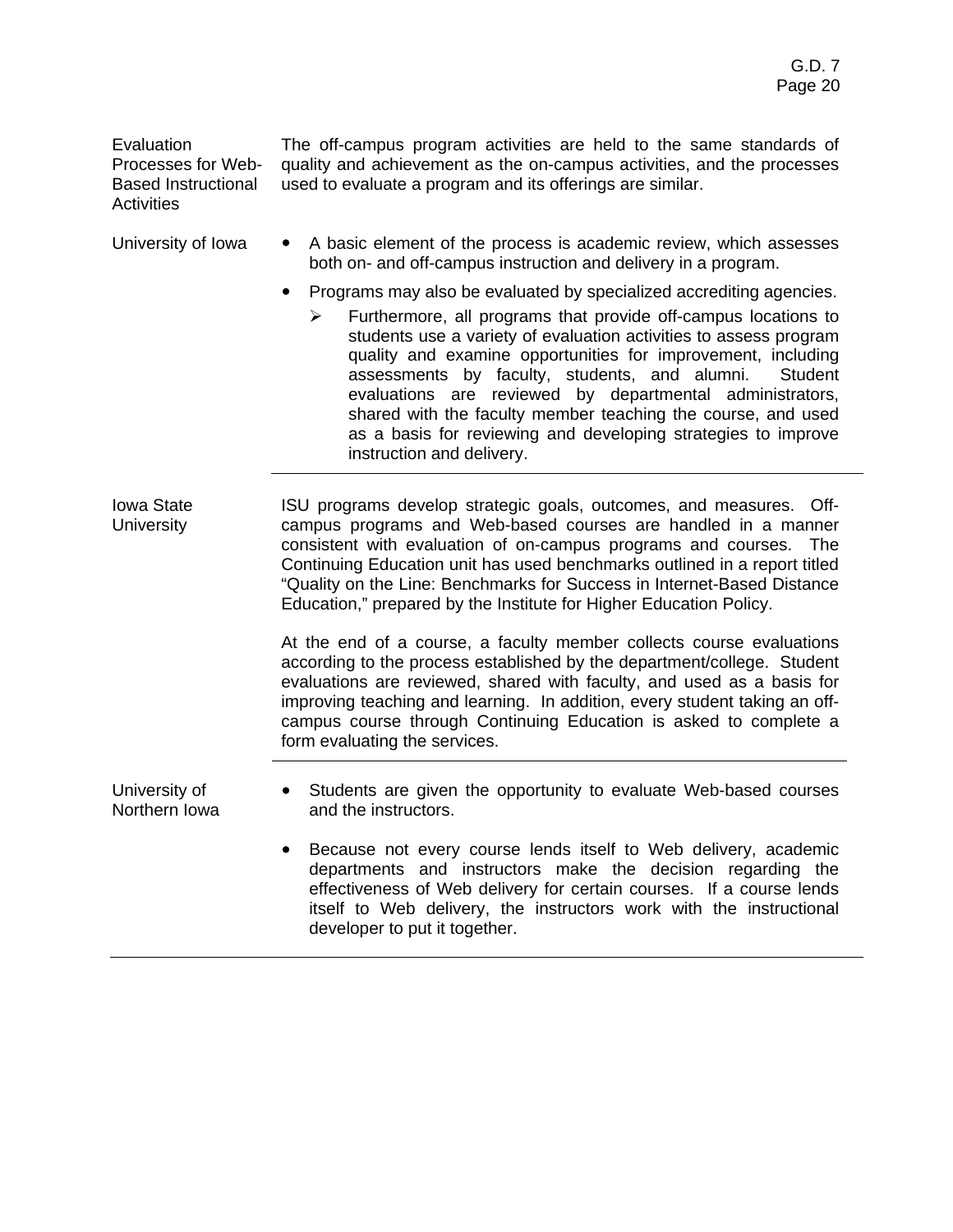**Evaluation** Processes for Web-Based Instructional **Activities** 

The off-campus program activities are held to the same standards of quality and achievement as the on-campus activities, and the processes used to evaluate a program and its offerings are similar.

- University of Iowa  $\bullet$  A basic element of the process is academic review, which assesses both on- and off-campus instruction and delivery in a program.
	- ! Programs may also be evaluated by specialized accrediting agencies.
		- Furthermore, all programs that provide off-campus locations to students use a variety of evaluation activities to assess program quality and examine opportunities for improvement, including assessments by faculty, students, and alumni. Student evaluations are reviewed by departmental administrators, shared with the faculty member teaching the course, and used as a basis for reviewing and developing strategies to improve instruction and delivery.
- Iowa State **University** ISU programs develop strategic goals, outcomes, and measures. Offcampus programs and Web-based courses are handled in a manner consistent with evaluation of on-campus programs and courses. The Continuing Education unit has used benchmarks outlined in a report titled "Quality on the Line: Benchmarks for Success in Internet-Based Distance Education," prepared by the Institute for Higher Education Policy.

At the end of a course, a faculty member collects course evaluations according to the process established by the department/college. Student evaluations are reviewed, shared with faculty, and used as a basis for improving teaching and learning. In addition, every student taking an offcampus course through Continuing Education is asked to complete a form evaluating the services.

University of Northern Iowa

- Students are given the opportunity to evaluate Web-based courses and the instructors.
- ! Because not every course lends itself to Web delivery, academic departments and instructors make the decision regarding the effectiveness of Web delivery for certain courses. If a course lends itself to Web delivery, the instructors work with the instructional developer to put it together.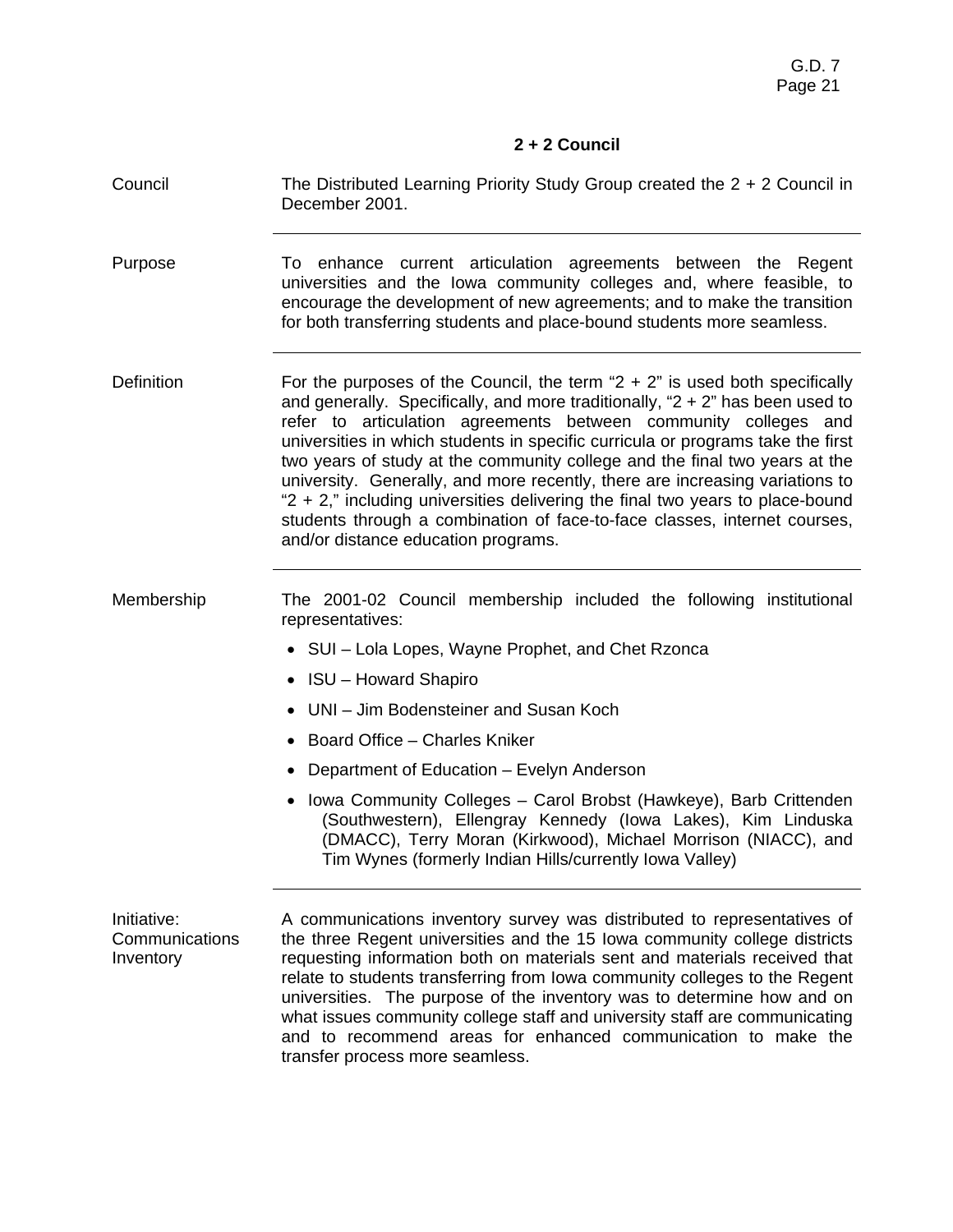# **2 + 2 Council**

| Council                                    | The Distributed Learning Priority Study Group created the $2 + 2$ Council in<br>December 2001.                                                                                                                                                                                                                                                                                                                                                                                                                                                                                                                                                                                                |
|--------------------------------------------|-----------------------------------------------------------------------------------------------------------------------------------------------------------------------------------------------------------------------------------------------------------------------------------------------------------------------------------------------------------------------------------------------------------------------------------------------------------------------------------------------------------------------------------------------------------------------------------------------------------------------------------------------------------------------------------------------|
| Purpose                                    | To enhance current articulation agreements between the Regent<br>universities and the lowa community colleges and, where feasible, to<br>encourage the development of new agreements; and to make the transition<br>for both transferring students and place-bound students more seamless.                                                                                                                                                                                                                                                                                                                                                                                                    |
| Definition                                 | For the purposes of the Council, the term " $2 + 2$ " is used both specifically<br>and generally. Specifically, and more traditionally, " $2 + 2$ " has been used to<br>refer to articulation agreements between community colleges and<br>universities in which students in specific curricula or programs take the first<br>two years of study at the community college and the final two years at the<br>university. Generally, and more recently, there are increasing variations to<br>"2 + 2," including universities delivering the final two years to place-bound<br>students through a combination of face-to-face classes, internet courses,<br>and/or distance education programs. |
| Membership                                 | The 2001-02 Council membership included the following institutional<br>representatives:                                                                                                                                                                                                                                                                                                                                                                                                                                                                                                                                                                                                       |
|                                            | • SUI – Lola Lopes, Wayne Prophet, and Chet Rzonca                                                                                                                                                                                                                                                                                                                                                                                                                                                                                                                                                                                                                                            |
|                                            | • ISU – Howard Shapiro                                                                                                                                                                                                                                                                                                                                                                                                                                                                                                                                                                                                                                                                        |
|                                            | UNI – Jim Bodensteiner and Susan Koch                                                                                                                                                                                                                                                                                                                                                                                                                                                                                                                                                                                                                                                         |
|                                            | • Board Office - Charles Kniker                                                                                                                                                                                                                                                                                                                                                                                                                                                                                                                                                                                                                                                               |
|                                            | Department of Education – Evelyn Anderson                                                                                                                                                                                                                                                                                                                                                                                                                                                                                                                                                                                                                                                     |
|                                            | Iowa Community Colleges - Carol Brobst (Hawkeye), Barb Crittenden<br>(Southwestern), Ellengray Kennedy (Iowa Lakes), Kim Linduska<br>(DMACC), Terry Moran (Kirkwood), Michael Morrison (NIACC), and<br>Tim Wynes (formerly Indian Hills/currently Iowa Valley)                                                                                                                                                                                                                                                                                                                                                                                                                                |
| Initiative:<br>Communications<br>Inventory | A communications inventory survey was distributed to representatives of<br>the three Regent universities and the 15 Iowa community college districts<br>requesting information both on materials sent and materials received that<br>relate to students transferring from Iowa community colleges to the Regent<br>universities. The purpose of the inventory was to determine how and on<br>what issues community college staff and university staff are communicating                                                                                                                                                                                                                       |

and to recommend areas for enhanced communication to make the

transfer process more seamless.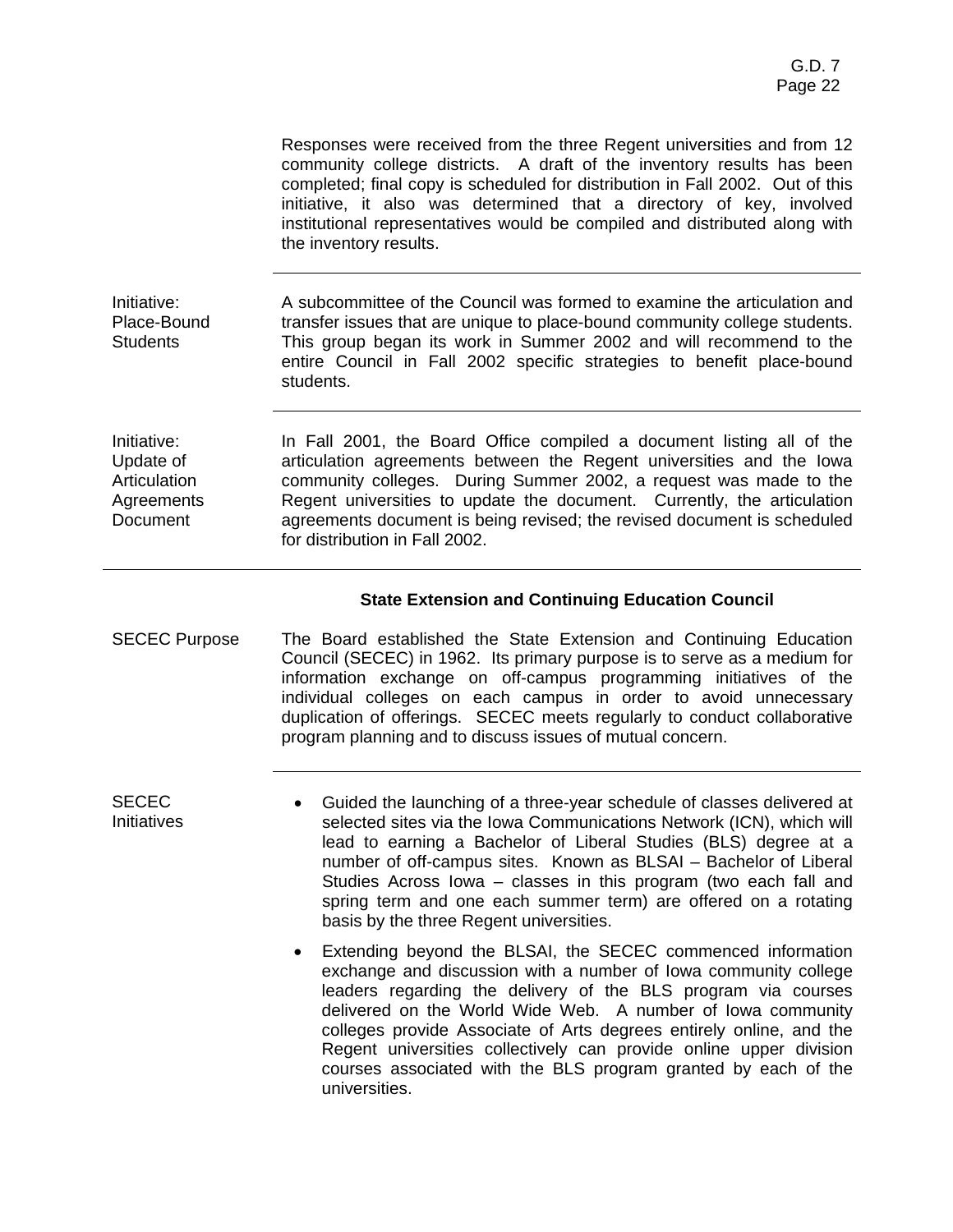|                                                                    | Responses were received from the three Regent universities and from 12<br>community college districts. A draft of the inventory results has been<br>completed; final copy is scheduled for distribution in Fall 2002. Out of this<br>initiative, it also was determined that a directory of key, involved<br>institutional representatives would be compiled and distributed along with<br>the inventory results.                        |
|--------------------------------------------------------------------|------------------------------------------------------------------------------------------------------------------------------------------------------------------------------------------------------------------------------------------------------------------------------------------------------------------------------------------------------------------------------------------------------------------------------------------|
| Initiative:<br>Place-Bound<br><b>Students</b>                      | A subcommittee of the Council was formed to examine the articulation and<br>transfer issues that are unique to place-bound community college students.<br>This group began its work in Summer 2002 and will recommend to the<br>entire Council in Fall 2002 specific strategies to benefit place-bound<br>students.                                                                                                                      |
| Initiative:<br>Update of<br>Articulation<br>Agreements<br>Document | In Fall 2001, the Board Office compiled a document listing all of the<br>articulation agreements between the Regent universities and the lowa<br>community colleges. During Summer 2002, a request was made to the<br>Regent universities to update the document. Currently, the articulation<br>agreements document is being revised; the revised document is scheduled<br>for distribution in Fall 2002.                               |
|                                                                    | <b>State Extension and Continuing Education Council</b>                                                                                                                                                                                                                                                                                                                                                                                  |
| <b>SECEC Purpose</b>                                               | The Board established the State Extension and Continuing Education<br>Council (SECEC) in 1962. Its primary purpose is to serve as a medium for<br>information exchange on off-campus programming initiatives of the<br>individual colleges on each campus in order to avoid unnecessary<br>duplication of offerings. SECEC meets regularly to conduct collaborative<br>program planning and to discuss issues of mutual concern.         |
| <b>SECEC</b><br>Initiatives                                        | Guided the launching of a three-year schedule of classes delivered at<br>$\bullet$<br>selected sites via the Iowa Communications Network (ICN), which will<br>lead to earning a Bachelor of Liberal Studies (BLS) degree at a<br>number of off-campus sites. Known as BLSAI - Bachelor of Liberal<br>Studies Across Iowa - classes in this program (two each fall and<br>spring term and one each summer term) are offered on a rotating |

basis by the three Regent universities.

• Extending beyond the BLSAI, the SECEC commenced information exchange and discussion with a number of Iowa community college leaders regarding the delivery of the BLS program via courses delivered on the World Wide Web. A number of Iowa community colleges provide Associate of Arts degrees entirely online, and the Regent universities collectively can provide online upper division courses associated with the BLS program granted by each of the universities.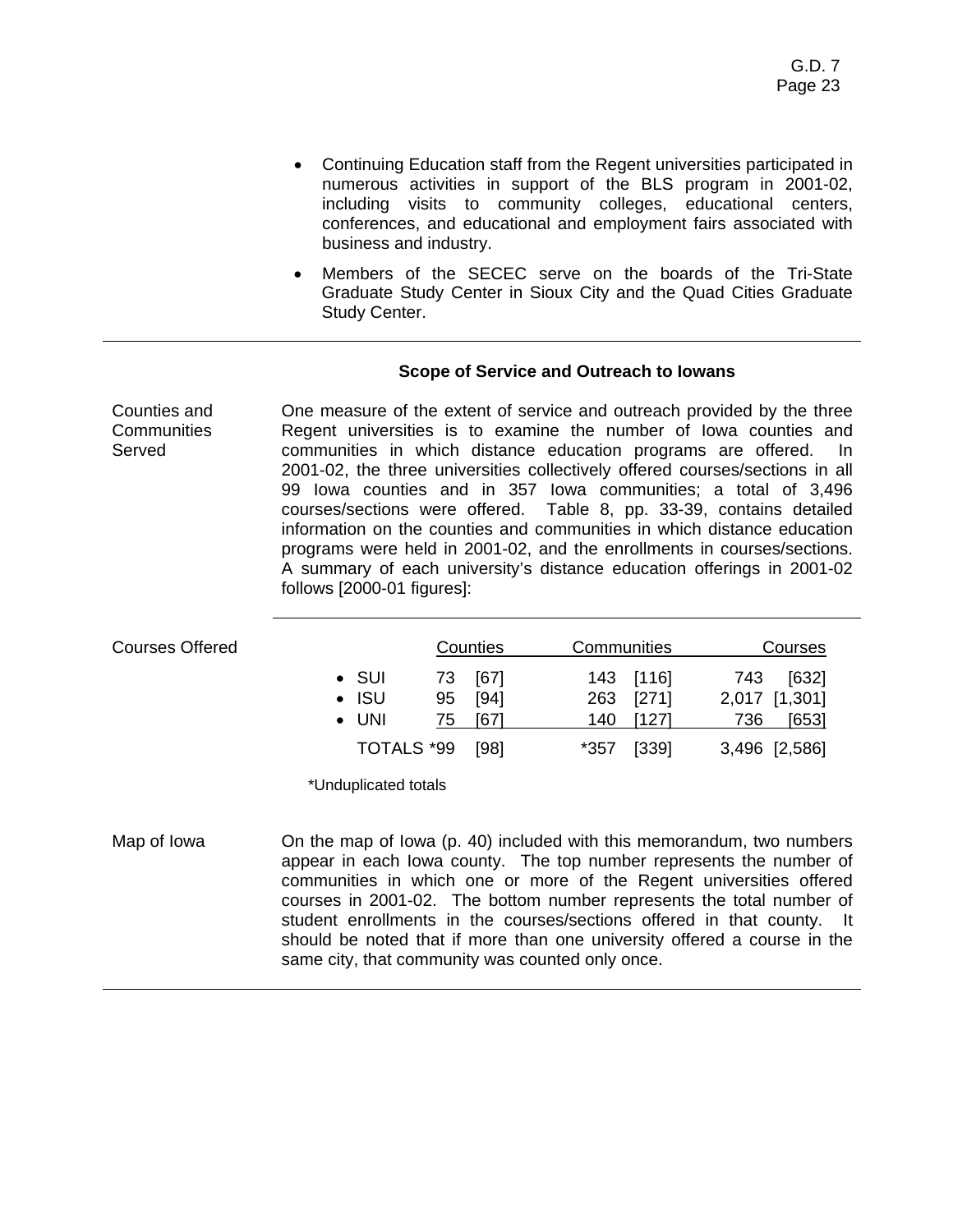- Continuing Education staff from the Regent universities participated in numerous activities in support of the BLS program in 2001-02, including visits to community colleges, educational centers, conferences, and educational and employment fairs associated with business and industry.
- Members of the SECEC serve on the boards of the Tri-State Graduate Study Center in Sioux City and the Quad Cities Graduate Study Center.

### **Scope of Service and Outreach to Iowans**

Counties and **Communities** Served One measure of the extent of service and outreach provided by the three Regent universities is to examine the number of Iowa counties and communities in which distance education programs are offered. In 2001-02, the three universities collectively offered courses/sections in all 99 Iowa counties and in 357 Iowa communities; a total of 3,496 courses/sections were offered. Table 8, pp. 33-39, contains detailed information on the counties and communities in which distance education programs were held in 2001-02, and the enrollments in courses/sections. A summary of each university's distance education offerings in 2001-02 follows [2000-01 figures]:

| <b>Courses Offered</b> |  | <b>Counties</b> |    |      | Communities |       | Courses |               |
|------------------------|--|-----------------|----|------|-------------|-------|---------|---------------|
|                        |  | $\bullet$ SUI   | 73 | [67] | 143         | [116] | 743     | [632]         |
|                        |  | $\cdot$ ISU     | 95 | [94] | 263         | [271] |         | 2,017 [1,301] |
|                        |  | $\bullet$ UNI   | 75 | [67] | 140         | [127] | 736     | [653]         |
|                        |  | TOTALS *99      |    | [98] | *357        | [339] |         | 3,496 [2,586] |

\*Unduplicated totals

Map of Iowa **On the map of Iowa (p. 40) included with this memorandum, two numbers** appear in each Iowa county. The top number represents the number of communities in which one or more of the Regent universities offered courses in 2001-02. The bottom number represents the total number of student enrollments in the courses/sections offered in that county. It should be noted that if more than one university offered a course in the same city, that community was counted only once.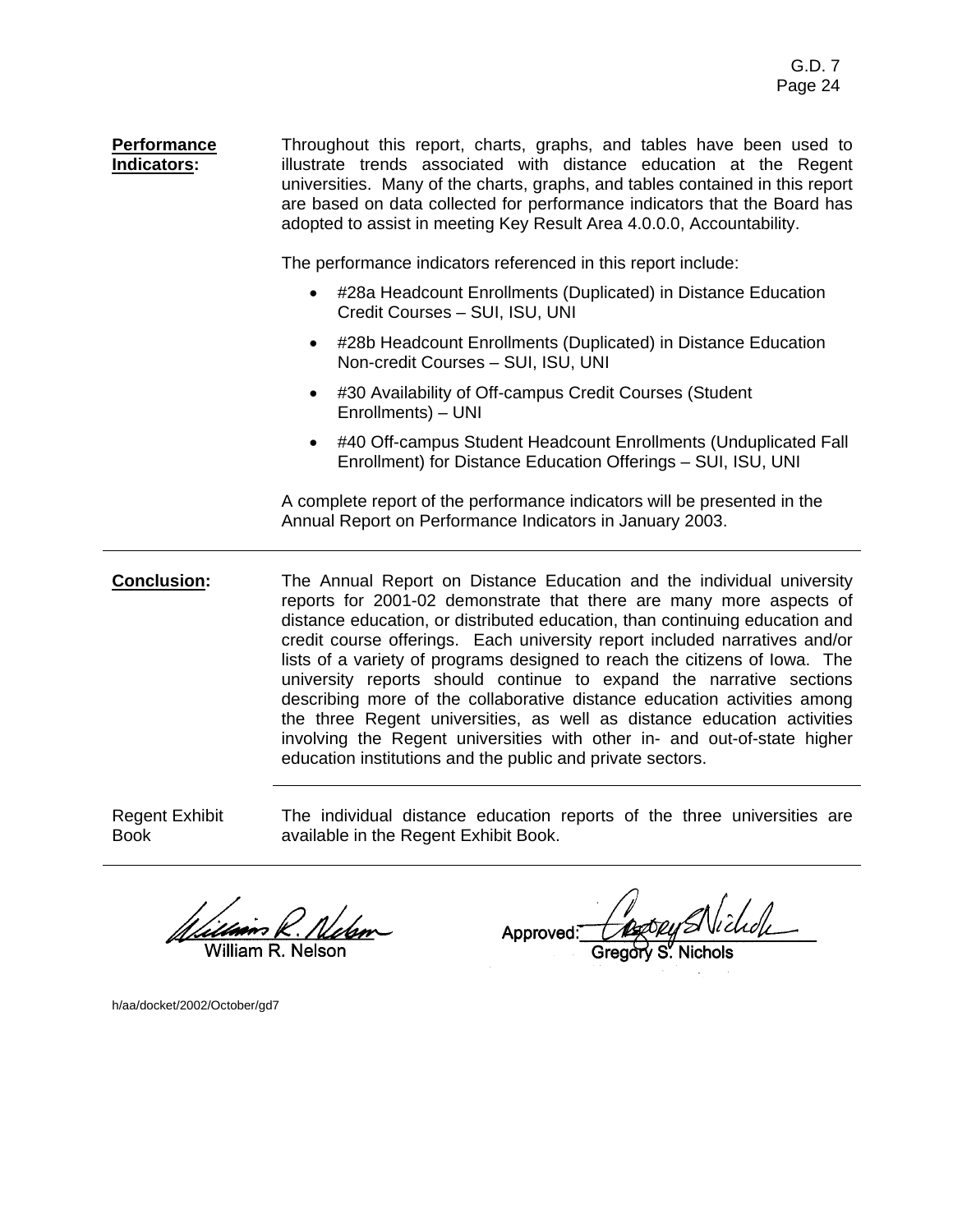**Performance Indicators:**  Throughout this report, charts, graphs, and tables have been used to illustrate trends associated with distance education at the Regent universities. Many of the charts, graphs, and tables contained in this report are based on data collected for performance indicators that the Board has adopted to assist in meeting Key Result Area 4.0.0.0, Accountability.

The performance indicators referenced in this report include:

- #28a Headcount Enrollments (Duplicated) in Distance Education Credit Courses – SUI, ISU, UNI
- #28b Headcount Enrollments (Duplicated) in Distance Education Non-credit Courses – SUI, ISU, UNI
- #30 Availability of Off-campus Credit Courses (Student Enrollments) – UNI
- #40 Off-campus Student Headcount Enrollments (Unduplicated Fall Enrollment) for Distance Education Offerings – SUI, ISU, UNI

A complete report of the performance indicators will be presented in the Annual Report on Performance Indicators in January 2003.

**Conclusion:** The Annual Report on Distance Education and the individual university reports for 2001-02 demonstrate that there are many more aspects of distance education, or distributed education, than continuing education and credit course offerings. Each university report included narratives and/or lists of a variety of programs designed to reach the citizens of Iowa. The university reports should continue to expand the narrative sections describing more of the collaborative distance education activities among the three Regent universities, as well as distance education activities involving the Regent universities with other in- and out-of-state higher education institutions and the public and private sectors.

Regent Exhibit Book

The individual distance education reports of the three universities are available in the Regent Exhibit Book.

illiam R. Nelson

h/aa/docket/2002/October/gd7

Approved: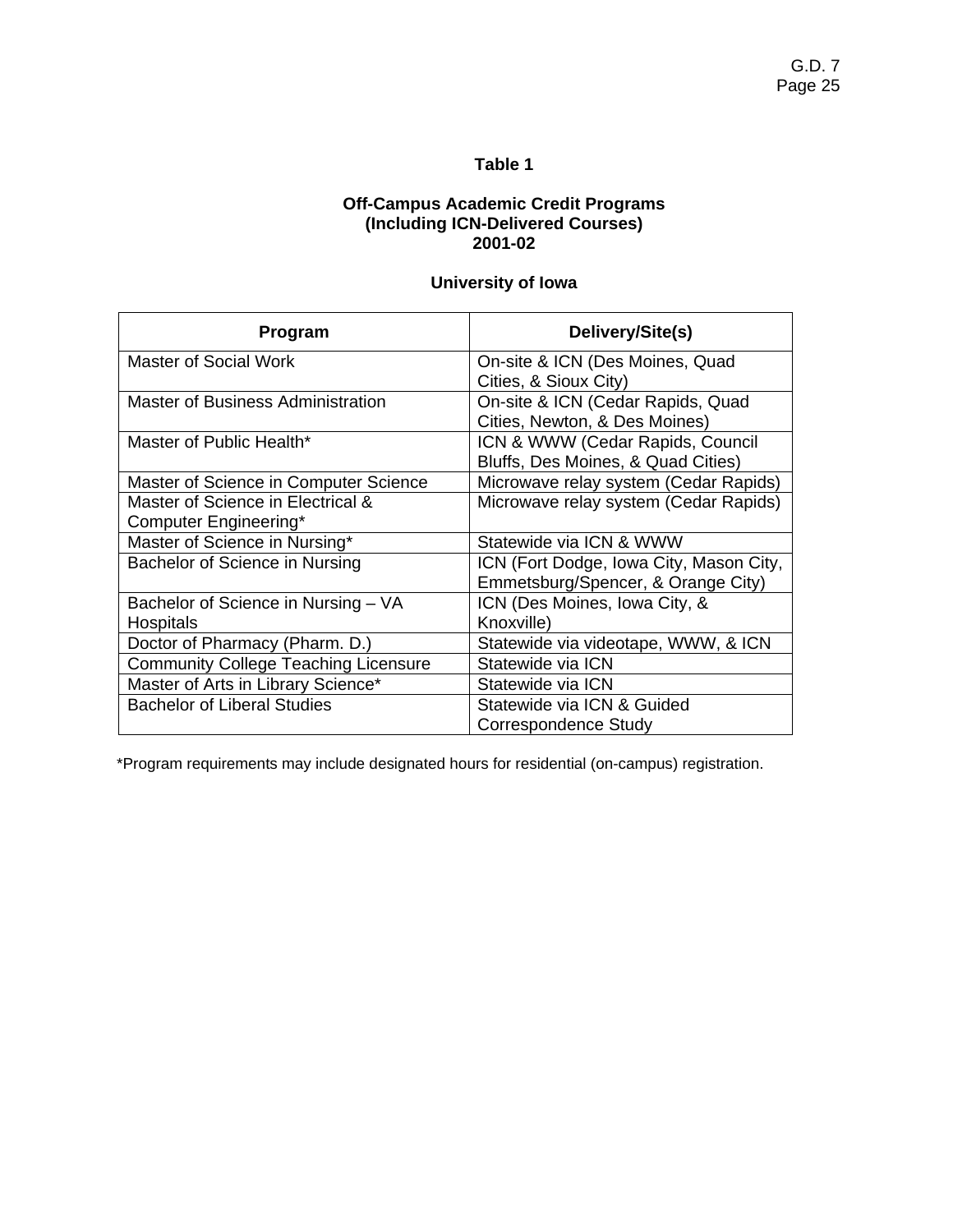#### **Off-Campus Academic Credit Programs (Including ICN-Delivered Courses) 2001-02**

# **University of Iowa**

| Program                                     | Delivery/Site(s)                        |
|---------------------------------------------|-----------------------------------------|
| Master of Social Work                       | On-site & ICN (Des Moines, Quad         |
|                                             | Cities, & Sioux City)                   |
| <b>Master of Business Administration</b>    | On-site & ICN (Cedar Rapids, Quad       |
|                                             | Cities, Newton, & Des Moines)           |
| Master of Public Health*                    | ICN & WWW (Cedar Rapids, Council        |
|                                             | Bluffs, Des Moines, & Quad Cities)      |
| Master of Science in Computer Science       | Microwave relay system (Cedar Rapids)   |
| Master of Science in Electrical &           | Microwave relay system (Cedar Rapids)   |
| Computer Engineering*                       |                                         |
| Master of Science in Nursing*               | Statewide via ICN & WWW                 |
| Bachelor of Science in Nursing              | ICN (Fort Dodge, Iowa City, Mason City, |
|                                             | Emmetsburg/Spencer, & Orange City)      |
| Bachelor of Science in Nursing - VA         | ICN (Des Moines, Iowa City, &           |
| Hospitals                                   | Knoxville)                              |
| Doctor of Pharmacy (Pharm. D.)              | Statewide via videotape, WWW, & ICN     |
| <b>Community College Teaching Licensure</b> | Statewide via ICN                       |
| Master of Arts in Library Science*          | Statewide via ICN                       |
| <b>Bachelor of Liberal Studies</b>          | Statewide via ICN & Guided              |
|                                             | Correspondence Study                    |

\*Program requirements may include designated hours for residential (on-campus) registration.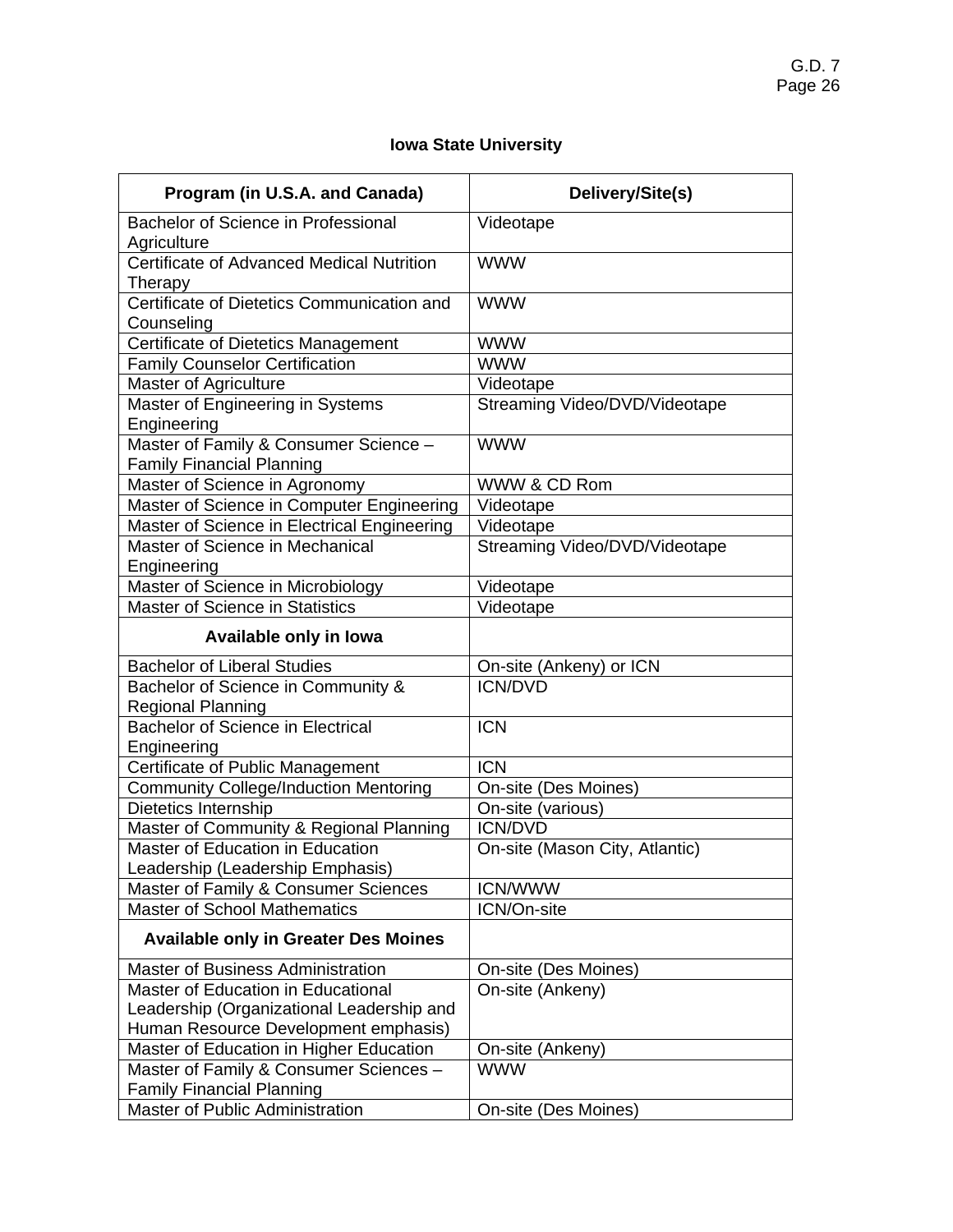# **Iowa State University**

| Program (in U.S.A. and Canada)                                                                                          | Delivery/Site(s)               |  |  |  |
|-------------------------------------------------------------------------------------------------------------------------|--------------------------------|--|--|--|
| Bachelor of Science in Professional<br>Agriculture                                                                      | Videotape                      |  |  |  |
| Certificate of Advanced Medical Nutrition<br>Therapy                                                                    | <b>WWW</b>                     |  |  |  |
| Certificate of Dietetics Communication and<br>Counseling                                                                | <b>WWW</b>                     |  |  |  |
| Certificate of Dietetics Management                                                                                     | <b>WWW</b>                     |  |  |  |
| <b>Family Counselor Certification</b>                                                                                   | <b>WWW</b>                     |  |  |  |
| Master of Agriculture                                                                                                   | Videotape                      |  |  |  |
| Master of Engineering in Systems<br>Engineering                                                                         | Streaming Video/DVD/Videotape  |  |  |  |
| Master of Family & Consumer Science -<br><b>Family Financial Planning</b>                                               | <b>WWW</b>                     |  |  |  |
| Master of Science in Agronomy                                                                                           | WWW & CD Rom                   |  |  |  |
| Master of Science in Computer Engineering                                                                               | Videotape                      |  |  |  |
| Master of Science in Electrical Engineering                                                                             | Videotape                      |  |  |  |
| Master of Science in Mechanical<br>Engineering                                                                          | Streaming Video/DVD/Videotape  |  |  |  |
| Master of Science in Microbiology                                                                                       | Videotape                      |  |  |  |
| Master of Science in Statistics                                                                                         | Videotape                      |  |  |  |
| Available only in lowa                                                                                                  |                                |  |  |  |
| <b>Bachelor of Liberal Studies</b>                                                                                      | On-site (Ankeny) or ICN        |  |  |  |
| Bachelor of Science in Community &<br>Regional Planning                                                                 | <b>ICN/DVD</b>                 |  |  |  |
| <b>Bachelor of Science in Electrical</b><br>Engineering                                                                 | <b>ICN</b>                     |  |  |  |
| Certificate of Public Management                                                                                        | <b>ICN</b>                     |  |  |  |
| <b>Community College/Induction Mentoring</b>                                                                            | On-site (Des Moines)           |  |  |  |
| Dietetics Internship                                                                                                    | On-site (various)              |  |  |  |
| Master of Community & Regional Planning                                                                                 | <b>ICN/DVD</b>                 |  |  |  |
| Master of Education in Education<br>Leadership (Leadership Emphasis)                                                    | On-site (Mason City, Atlantic) |  |  |  |
| Master of Family & Consumer Sciences                                                                                    | <b>ICN/WWW</b>                 |  |  |  |
| <b>Master of School Mathematics</b>                                                                                     | ICN/On-site                    |  |  |  |
| <b>Available only in Greater Des Moines</b>                                                                             |                                |  |  |  |
| <b>Master of Business Administration</b>                                                                                | On-site (Des Moines)           |  |  |  |
| Master of Education in Educational<br>Leadership (Organizational Leadership and<br>Human Resource Development emphasis) | On-site (Ankeny)               |  |  |  |
| Master of Education in Higher Education                                                                                 | On-site (Ankeny)               |  |  |  |
| Master of Family & Consumer Sciences -<br><b>Family Financial Planning</b>                                              | <b>WWW</b>                     |  |  |  |
| Master of Public Administration                                                                                         | On-site (Des Moines)           |  |  |  |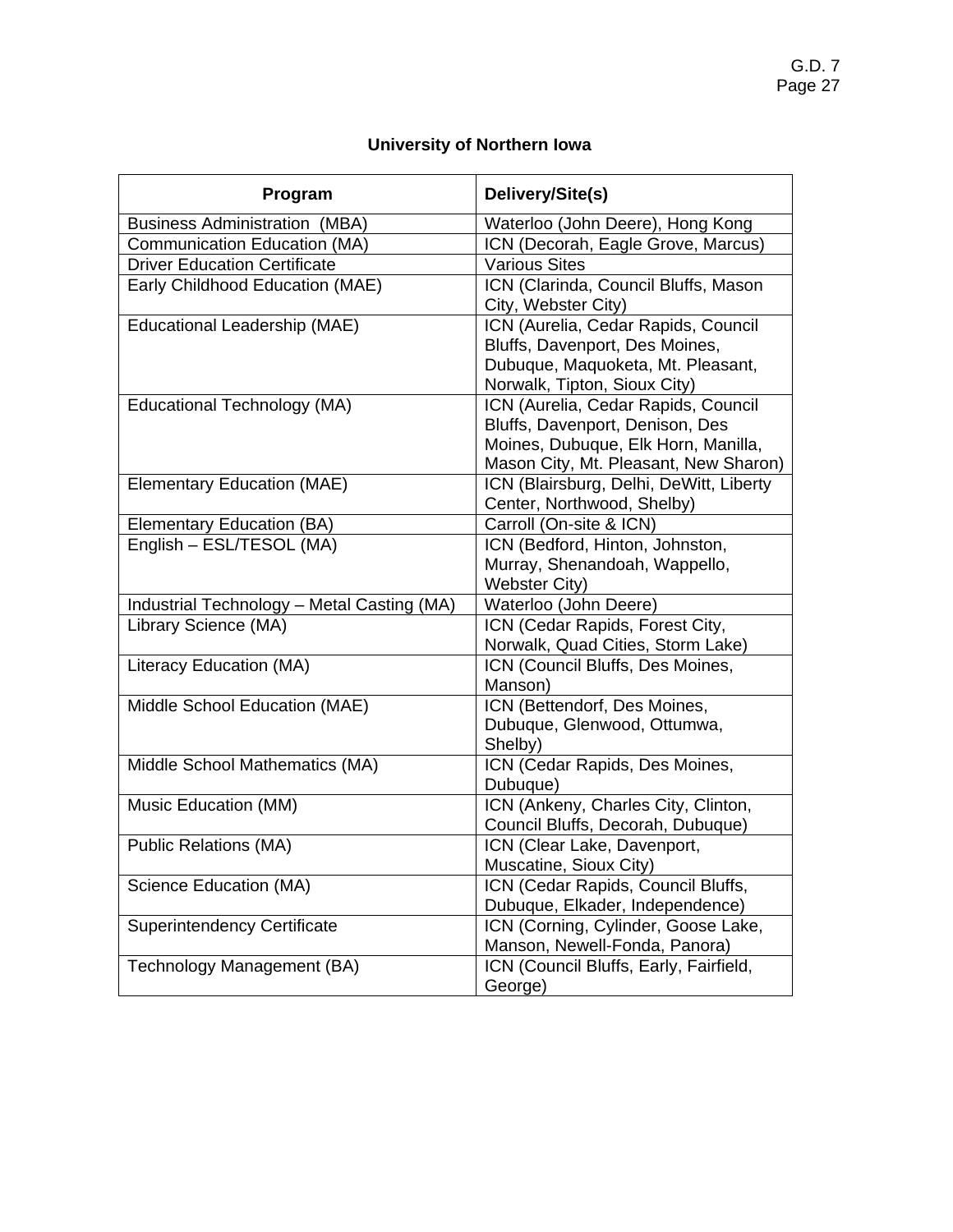# **University of Northern Iowa**

| Program                                    | Delivery/Site(s)                                                                                                                                       |
|--------------------------------------------|--------------------------------------------------------------------------------------------------------------------------------------------------------|
| <b>Business Administration (MBA)</b>       | Waterloo (John Deere), Hong Kong                                                                                                                       |
| <b>Communication Education (MA)</b>        | ICN (Decorah, Eagle Grove, Marcus)                                                                                                                     |
| <b>Driver Education Certificate</b>        | <b>Various Sites</b>                                                                                                                                   |
| Early Childhood Education (MAE)            | ICN (Clarinda, Council Bluffs, Mason<br>City, Webster City)                                                                                            |
| Educational Leadership (MAE)               | ICN (Aurelia, Cedar Rapids, Council<br>Bluffs, Davenport, Des Moines,<br>Dubuque, Maquoketa, Mt. Pleasant,<br>Norwalk, Tipton, Sioux City)             |
| Educational Technology (MA)                | ICN (Aurelia, Cedar Rapids, Council<br>Bluffs, Davenport, Denison, Des<br>Moines, Dubuque, Elk Horn, Manilla,<br>Mason City, Mt. Pleasant, New Sharon) |
| <b>Elementary Education (MAE)</b>          | ICN (Blairsburg, Delhi, DeWitt, Liberty<br>Center, Northwood, Shelby)                                                                                  |
| <b>Elementary Education (BA)</b>           | Carroll (On-site & ICN)                                                                                                                                |
| English - ESL/TESOL (MA)                   | ICN (Bedford, Hinton, Johnston,<br>Murray, Shenandoah, Wappello,<br><b>Webster City)</b>                                                               |
| Industrial Technology - Metal Casting (MA) | Waterloo (John Deere)                                                                                                                                  |
| Library Science (MA)                       | ICN (Cedar Rapids, Forest City,<br>Norwalk, Quad Cities, Storm Lake)                                                                                   |
| Literacy Education (MA)                    | ICN (Council Bluffs, Des Moines,<br>Manson)                                                                                                            |
| Middle School Education (MAE)              | ICN (Bettendorf, Des Moines,<br>Dubuque, Glenwood, Ottumwa,<br>Shelby)                                                                                 |
| Middle School Mathematics (MA)             | ICN (Cedar Rapids, Des Moines,<br>Dubuque)                                                                                                             |
| Music Education (MM)                       | ICN (Ankeny, Charles City, Clinton,<br>Council Bluffs, Decorah, Dubuque)                                                                               |
| <b>Public Relations (MA)</b>               | ICN (Clear Lake, Davenport,<br>Muscatine, Sioux City)                                                                                                  |
| Science Education (MA)                     | ICN (Cedar Rapids, Council Bluffs,<br>Dubuque, Elkader, Independence)                                                                                  |
| <b>Superintendency Certificate</b>         | ICN (Corning, Cylinder, Goose Lake,<br>Manson, Newell-Fonda, Panora)                                                                                   |
| Technology Management (BA)                 | ICN (Council Bluffs, Early, Fairfield,<br>George)                                                                                                      |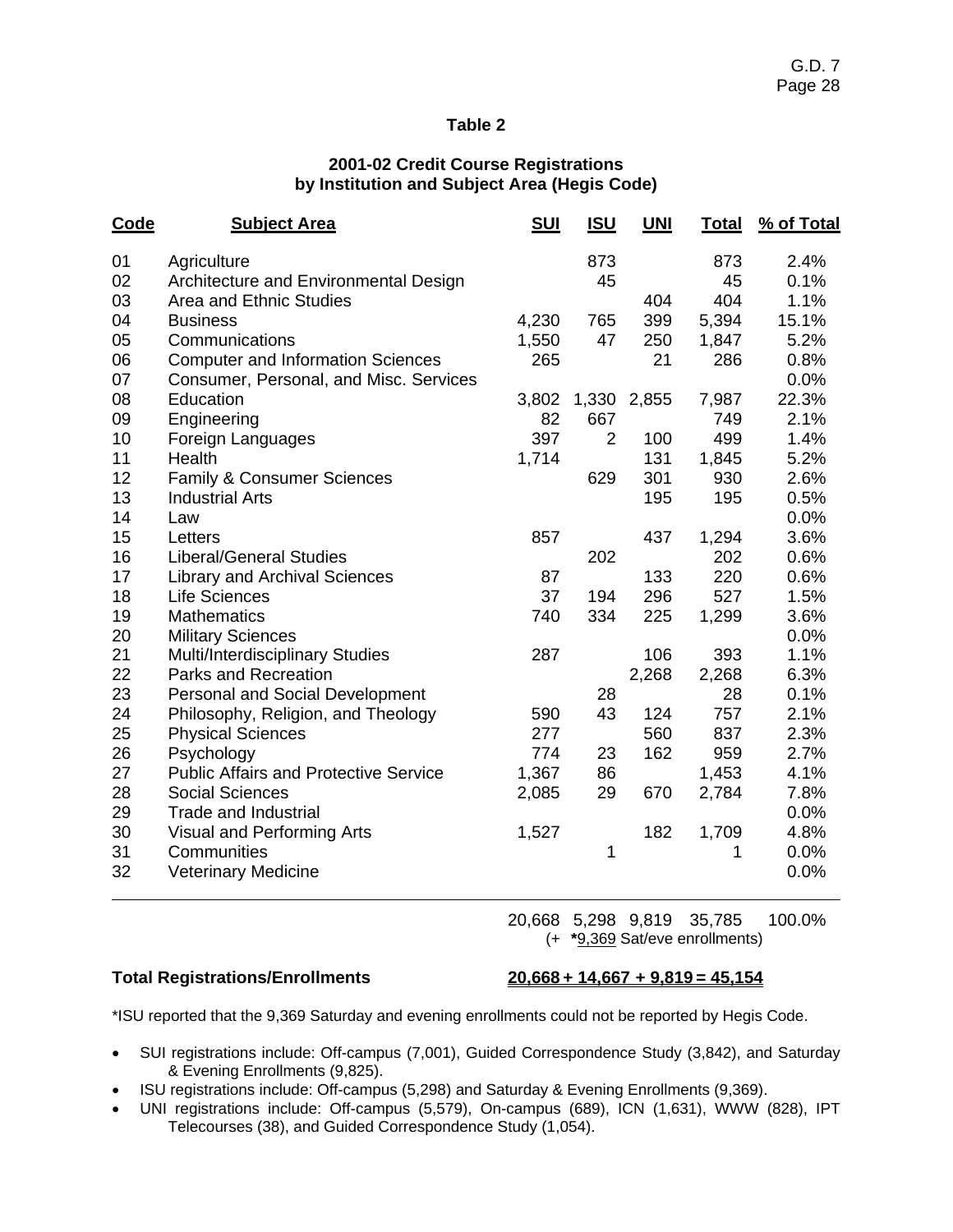## **2001-02 Credit Course Registrations by Institution and Subject Area (Hegis Code)**

| Code | <b>Subject Area</b>                          | <u>SUI</u> | <u>ISU</u> | <u>UNI</u> | <u>Total</u> | % of Total |
|------|----------------------------------------------|------------|------------|------------|--------------|------------|
| 01   | Agriculture                                  |            | 873        |            | 873          | 2.4%       |
| 02   | Architecture and Environmental Design        |            | 45         |            | 45           | 0.1%       |
| 03   | Area and Ethnic Studies                      |            |            | 404        | 404          | 1.1%       |
| 04   | <b>Business</b>                              | 4,230      | 765        | 399        | 5,394        | 15.1%      |
| 05   | Communications                               | 1,550      | 47         | 250        | 1,847        | 5.2%       |
| 06   | <b>Computer and Information Sciences</b>     | 265        |            | 21         | 286          | 0.8%       |
| 07   | Consumer, Personal, and Misc. Services       |            |            |            |              | 0.0%       |
| 08   | Education                                    | 3,802      | 1,330      | 2,855      | 7,987        | 22.3%      |
| 09   | Engineering                                  | 82         | 667        |            | 749          | 2.1%       |
| 10   | Foreign Languages                            | 397        | 2          | 100        | 499          | 1.4%       |
| 11   | Health                                       | 1,714      |            | 131        | 1,845        | 5.2%       |
| 12   | Family & Consumer Sciences                   |            | 629        | 301        | 930          | 2.6%       |
| 13   | <b>Industrial Arts</b>                       |            |            | 195        | 195          | 0.5%       |
| 14   | Law                                          |            |            |            |              | 0.0%       |
| 15   | Letters                                      | 857        |            | 437        | 1,294        | 3.6%       |
| 16   | <b>Liberal/General Studies</b>               |            | 202        |            | 202          | 0.6%       |
| 17   | <b>Library and Archival Sciences</b>         | 87         |            | 133        | 220          | 0.6%       |
| 18   | <b>Life Sciences</b>                         | 37         | 194        | 296        | 527          | 1.5%       |
| 19   | <b>Mathematics</b>                           | 740        | 334        | 225        | 1,299        | 3.6%       |
| 20   | <b>Military Sciences</b>                     |            |            |            |              | 0.0%       |
| 21   | Multi/Interdisciplinary Studies              | 287        |            | 106        | 393          | 1.1%       |
| 22   | <b>Parks and Recreation</b>                  |            |            | 2,268      | 2,268        | 6.3%       |
| 23   | <b>Personal and Social Development</b>       |            | 28         |            | 28           | 0.1%       |
| 24   | Philosophy, Religion, and Theology           | 590        | 43         | 124        | 757          | 2.1%       |
| 25   | <b>Physical Sciences</b>                     | 277        |            | 560        | 837          | 2.3%       |
| 26   | Psychology                                   | 774        | 23         | 162        | 959          | 2.7%       |
| 27   | <b>Public Affairs and Protective Service</b> | 1,367      | 86         |            | 1,453        | 4.1%       |
| 28   | <b>Social Sciences</b>                       | 2,085      | 29         | 670        | 2,784        | 7.8%       |
| 29   | <b>Trade and Industrial</b>                  |            |            |            |              | 0.0%       |
| 30   | Visual and Performing Arts                   | 1,527      |            | 182        | 1,709        | 4.8%       |
| 31   | Communities                                  |            | 1          |            | 1            | 0.0%       |
| 32   | <b>Veterinary Medicine</b>                   |            |            |            |              | 0.0%       |
|      |                                              |            |            |            |              |            |

 20,668 5,298 9,819 35,785 100.0% (+ **\***9,369 Sat/eve enrollments)

### **Total Registrations/Enrollments 20,668 + 14,667 + 9,819 = 45,154**

\*ISU reported that the 9,369 Saturday and evening enrollments could not be reported by Hegis Code.

- SUI registrations include: Off-campus (7,001), Guided Correspondence Study (3,842), and Saturday & Evening Enrollments (9,825).
- ISU registrations include: Off-campus (5,298) and Saturday & Evening Enrollments (9,369).
- UNI registrations include: Off-campus (5,579), On-campus (689), ICN (1,631), WWW (828), IPT Telecourses (38), and Guided Correspondence Study (1,054).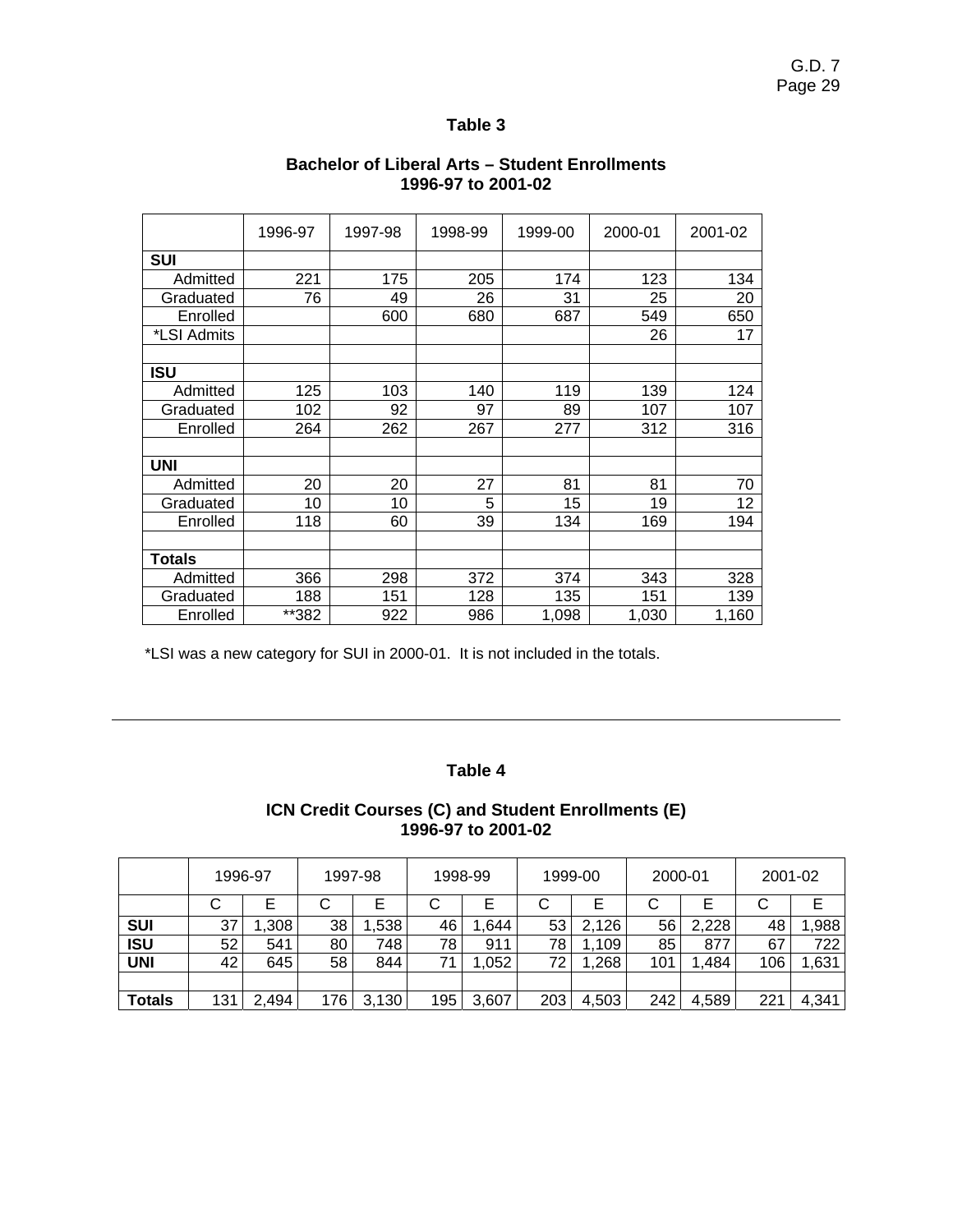|               | 1996-97 | 1997-98 | 1998-99 | 1999-00 | 2000-01 | 2001-02 |
|---------------|---------|---------|---------|---------|---------|---------|
| <b>SUI</b>    |         |         |         |         |         |         |
| Admitted      | 221     | 175     | 205     | 174     | 123     | 134     |
| Graduated     | 76      | 49      | 26      | 31      | 25      | 20      |
| Enrolled      |         | 600     | 680     | 687     | 549     | 650     |
| *LSI Admits   |         |         |         |         | 26      | 17      |
|               |         |         |         |         |         |         |
| ISU           |         |         |         |         |         |         |
| Admitted      | 125     | 103     | 140     | 119     | 139     | 124     |
| Graduated     | 102     | 92      | 97      | 89      | 107     | 107     |
| Enrolled      | 264     | 262     | 267     | 277     | 312     | 316     |
|               |         |         |         |         |         |         |
| <b>UNI</b>    |         |         |         |         |         |         |
| Admitted      | 20      | 20      | 27      | 81      | 81      | 70      |
| Graduated     | 10      | 10      | 5       | 15      | 19      | 12      |
| Enrolled      | 118     | 60      | 39      | 134     | 169     | 194     |
|               |         |         |         |         |         |         |
| <b>Totals</b> |         |         |         |         |         |         |
| Admitted      | 366     | 298     | 372     | 374     | 343     | 328     |
| Graduated     | 188     | 151     | 128     | 135     | 151     | 139     |
| Enrolled      | **382   | 922     | 986     | 1,098   | 1,030   | 1,160   |

# **Bachelor of Liberal Arts – Student Enrollments 1996-97 to 2001-02**

\*LSI was a new category for SUI in 2000-01. It is not included in the totals.

 $\overline{a}$ 

## **Table 4**

## **ICN Credit Courses (C) and Student Enrollments (E) 1996-97 to 2001-02**

|               | 1996-97 |       |     | 1997-98<br>1998-99 |     | 1999-00 |     | 2000-01 |     | 2001-02 |     |       |
|---------------|---------|-------|-----|--------------------|-----|---------|-----|---------|-----|---------|-----|-------|
|               | U       |       |     |                    | С   |         | ◡   |         |     |         | ◡   | E     |
| <b>SUI</b>    | 37      | ,308  | 38  | ,538               | 46  | .644    | 53  | 2,126   | 56  | 2,228   | 48  | 1,988 |
| <b>ISU</b>    | 52      | 541   | 80  | 748                | 78  | 911     | 78  | 109     | 85  | 877     | 67  | 722   |
| <b>UNI</b>    | 42      | 645   | 58  | 844                | 71  | 1,052   | 72  | .268    | 101 | ,484    | 106 | 1,631 |
|               |         |       |     |                    |     |         |     |         |     |         |     |       |
| <b>Totals</b> | 131     | 2,494 | 176 | 3,130              | 195 | 3,607   | 203 | 4,503   | 242 | 4,589   | 221 | 4,341 |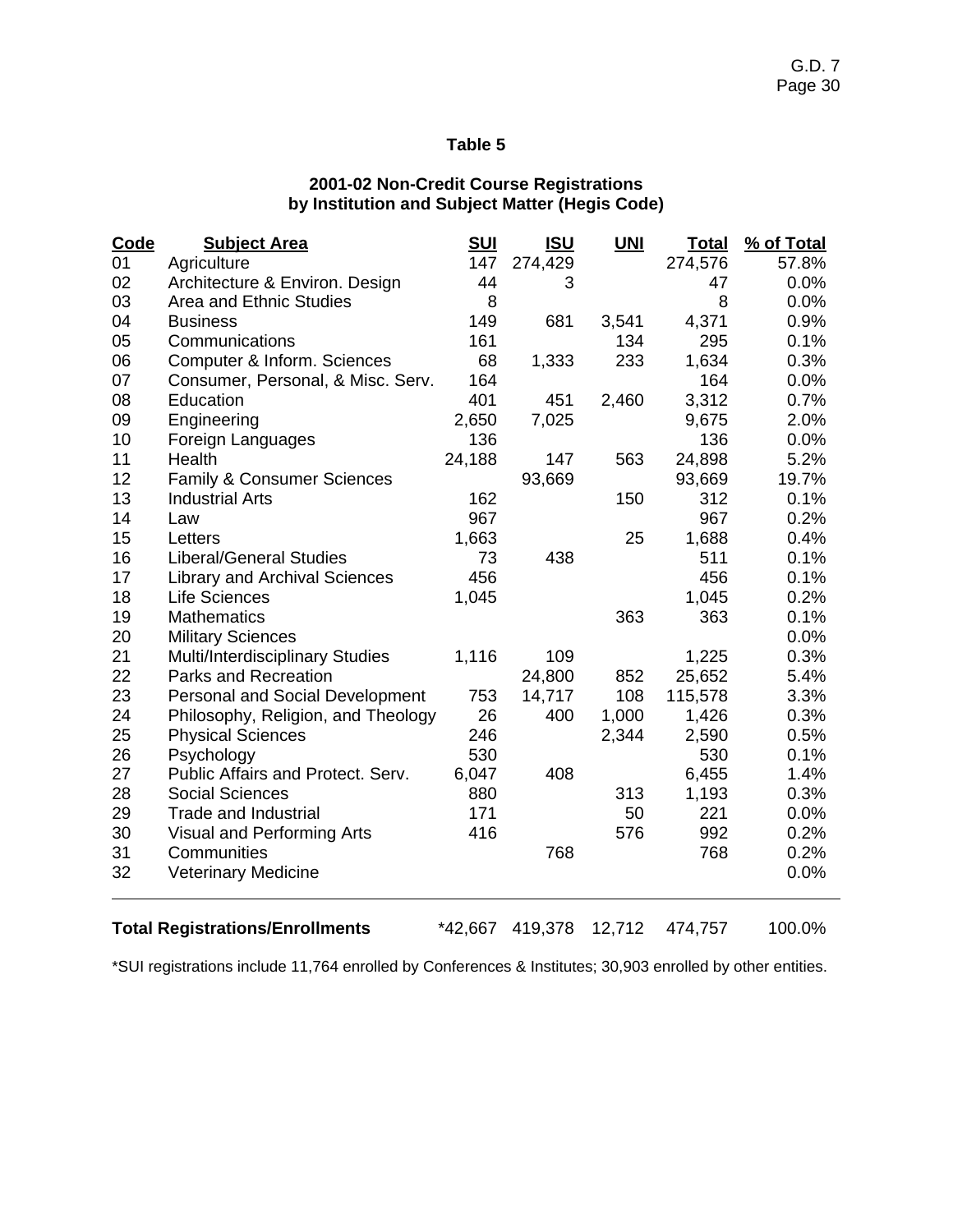# **2001-02 Non-Credit Course Registrations by Institution and Subject Matter (Hegis Code)**

| Code | <b>Subject Area</b>                    | <u>SUI</u> | <u>ISU</u> | <b>UNI</b> | <b>Total</b> | % of Total |
|------|----------------------------------------|------------|------------|------------|--------------|------------|
| 01   | Agriculture                            | 147        | 274,429    |            | 274,576      | 57.8%      |
| 02   | Architecture & Environ. Design         | 44         | 3          |            | 47           | 0.0%       |
| 03   | Area and Ethnic Studies                | 8          |            |            | 8            | 0.0%       |
| 04   | <b>Business</b>                        | 149        | 681        | 3,541      | 4,371        | 0.9%       |
| 05   | Communications                         | 161        |            | 134        | 295          | 0.1%       |
| 06   | Computer & Inform. Sciences            | 68         | 1,333      | 233        | 1,634        | 0.3%       |
| 07   | Consumer, Personal, & Misc. Serv.      | 164        |            |            | 164          | 0.0%       |
| 08   | Education                              | 401        | 451        | 2,460      | 3,312        | 0.7%       |
| 09   | Engineering                            | 2,650      | 7,025      |            | 9,675        | 2.0%       |
| 10   | Foreign Languages                      | 136        |            |            | 136          | 0.0%       |
| 11   | Health                                 | 24,188     | 147        | 563        | 24,898       | 5.2%       |
| 12   | Family & Consumer Sciences             |            | 93,669     |            | 93,669       | 19.7%      |
| 13   | <b>Industrial Arts</b>                 | 162        |            | 150        | 312          | 0.1%       |
| 14   | Law                                    | 967        |            |            | 967          | 0.2%       |
| 15   | Letters                                | 1,663      |            | 25         | 1,688        | 0.4%       |
| 16   | <b>Liberal/General Studies</b>         | 73         | 438        |            | 511          | 0.1%       |
| 17   | <b>Library and Archival Sciences</b>   | 456        |            |            | 456          | 0.1%       |
| 18   | <b>Life Sciences</b>                   | 1,045      |            |            | 1,045        | 0.2%       |
| 19   | <b>Mathematics</b>                     |            |            | 363        | 363          | 0.1%       |
| 20   | <b>Military Sciences</b>               |            |            |            |              | 0.0%       |
| 21   | Multi/Interdisciplinary Studies        | 1,116      | 109        |            | 1,225        | 0.3%       |
| 22   | <b>Parks and Recreation</b>            |            | 24,800     | 852        | 25,652       | 5.4%       |
| 23   | <b>Personal and Social Development</b> | 753        | 14,717     | 108        | 115,578      | 3.3%       |
| 24   | Philosophy, Religion, and Theology     | 26         | 400        | 1,000      | 1,426        | 0.3%       |
| 25   | <b>Physical Sciences</b>               | 246        |            | 2,344      | 2,590        | 0.5%       |
| 26   | Psychology                             | 530        |            |            | 530          | 0.1%       |
| 27   | Public Affairs and Protect. Serv.      | 6,047      | 408        |            | 6,455        | 1.4%       |
| 28   | <b>Social Sciences</b>                 | 880        |            | 313        | 1,193        | 0.3%       |
| 29   | Trade and Industrial                   | 171        |            | 50         | 221          | 0.0%       |
| 30   | Visual and Performing Arts             | 416        |            | 576        | 992          | 0.2%       |
| 31   | Communities                            |            | 768        |            | 768          | 0.2%       |
| 32   | <b>Veterinary Medicine</b>             |            |            |            |              | 0.0%       |
|      |                                        |            |            |            |              |            |

**Total Registrations/Enrollments** \*42,667 419,378 12,712 474,757 100.0%

\*SUI registrations include 11,764 enrolled by Conferences & Institutes; 30,903 enrolled by other entities.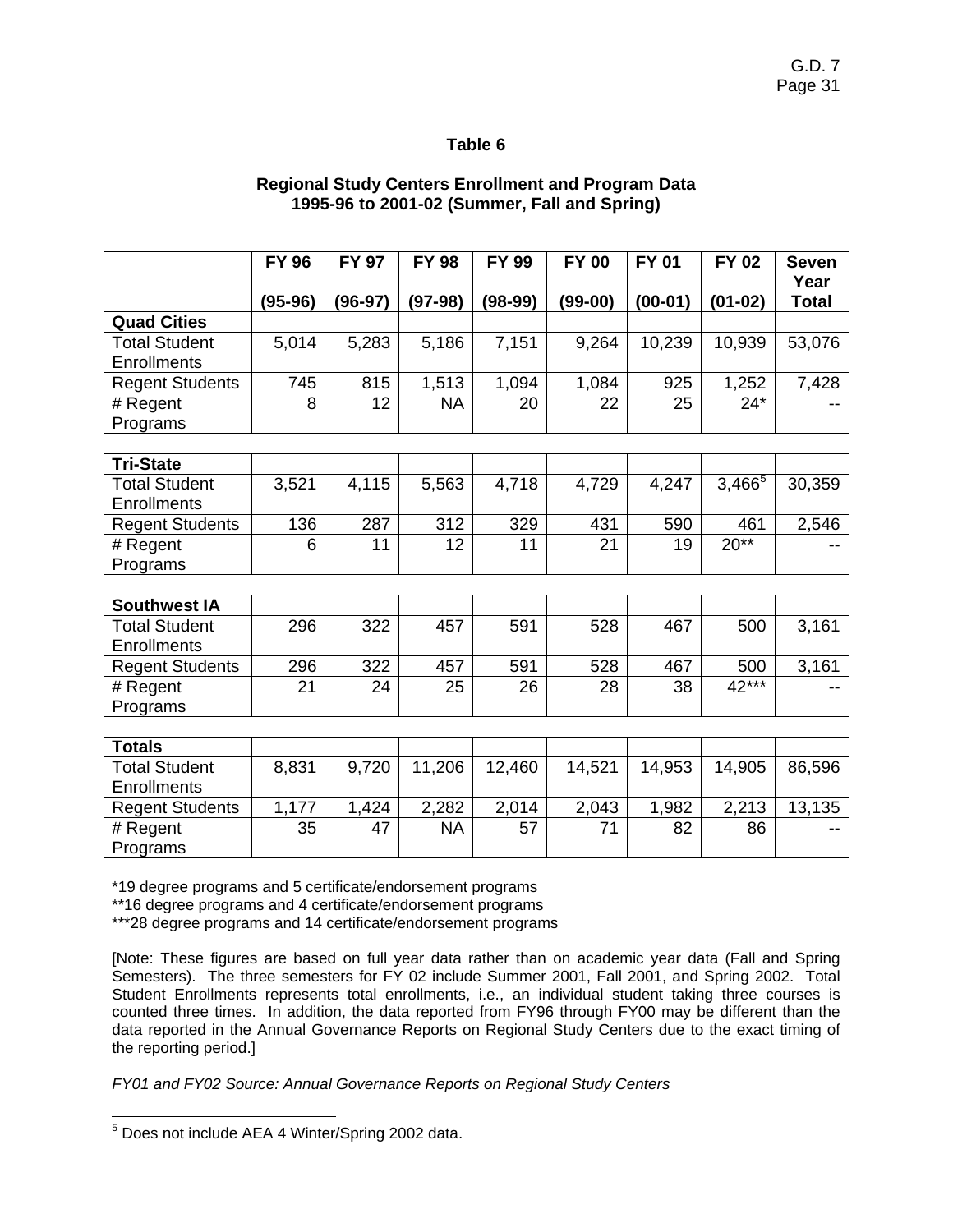# **Regional Study Centers Enrollment and Program Data 1995-96 to 2001-02 (Summer, Fall and Spring)**

|                        | <b>FY 96</b> | <b>FY 97</b> | <b>FY 98</b> | <b>FY 99</b> | <b>FY 00</b> | <b>FY 01</b> | <b>FY 02</b> | <b>Seven</b>         |
|------------------------|--------------|--------------|--------------|--------------|--------------|--------------|--------------|----------------------|
|                        | $(95-96)$    | $(96-97)$    | $(97-98)$    | $(98-99)$    | $(99-00)$    | $(00-01)$    | $(01-02)$    | Year<br><b>Total</b> |
| <b>Quad Cities</b>     |              |              |              |              |              |              |              |                      |
| Total Student          | 5,014        | 5,283        | 5,186        | 7,151        | 9,264        | 10,239       | 10,939       | 53,076               |
| <b>Enrollments</b>     |              |              |              |              |              |              |              |                      |
| <b>Regent Students</b> | 745          | 815          | 1,513        | 1,094        | 1,084        | 925          | 1,252        | 7,428                |
| # Regent               | 8            | 12           | <b>NA</b>    | 20           | 22           | 25           | $24*$        |                      |
| Programs               |              |              |              |              |              |              |              |                      |
|                        |              |              |              |              |              |              |              |                      |
| <b>Tri-State</b>       |              |              |              |              |              |              |              |                      |
| <b>Total Student</b>   | 3,521        | 4,115        | 5,563        | 4,718        | 4,729        | 4,247        | $3,466^{5}$  | 30,359               |
| <b>Enrollments</b>     |              |              |              |              |              |              |              |                      |
| <b>Regent Students</b> | 136          | 287          | 312          | 329          | 431          | 590          | 461          | 2,546                |
| # Regent               | 6            | 11           | 12           | 11           | 21           | 19           | $20**$       |                      |
| Programs               |              |              |              |              |              |              |              |                      |
|                        |              |              |              |              |              |              |              |                      |
| <b>Southwest IA</b>    |              |              |              |              |              |              |              |                      |
| <b>Total Student</b>   | 296          | 322          | 457          | 591          | 528          | 467          | 500          | 3,161                |
| <b>Enrollments</b>     |              |              |              |              |              |              |              |                      |
| <b>Regent Students</b> | 296          | 322          | 457          | 591          | 528          | 467          | 500          | 3,161                |
| # Regent               | 21           | 24           | 25           | 26           | 28           | 38           | 42***        |                      |
| Programs               |              |              |              |              |              |              |              |                      |
|                        |              |              |              |              |              |              |              |                      |
| <b>Totals</b>          |              |              |              |              |              |              |              |                      |
| <b>Total Student</b>   | 8,831        | 9,720        | 11,206       | 12,460       | 14,521       | 14,953       | 14,905       | 86,596               |
| <b>Enrollments</b>     |              |              |              |              |              |              |              |                      |
| <b>Regent Students</b> | 1,177        | 1,424        | 2,282        | 2,014        | 2,043        | 1,982        | 2,213        | 13,135               |
| # Regent               | 35           | 47           | <b>NA</b>    | 57           | 71           | 82           | 86           |                      |
| Programs               |              |              |              |              |              |              |              |                      |

\*19 degree programs and 5 certificate/endorsement programs

\*\*16 degree programs and 4 certificate/endorsement programs

\*\*\*28 degree programs and 14 certificate/endorsement programs

[Note: These figures are based on full year data rather than on academic year data (Fall and Spring Semesters). The three semesters for FY 02 include Summer 2001, Fall 2001, and Spring 2002. Total Student Enrollments represents total enrollments, i.e., an individual student taking three courses is counted three times. In addition, the data reported from FY96 through FY00 may be different than the data reported in the Annual Governance Reports on Regional Study Centers due to the exact timing of the reporting period.]

*FY01 and FY02 Source: Annual Governance Reports on Regional Study Centers* 

<sup>&</sup>lt;sup>5</sup> Does not include AEA 4 Winter/Spring 2002 data.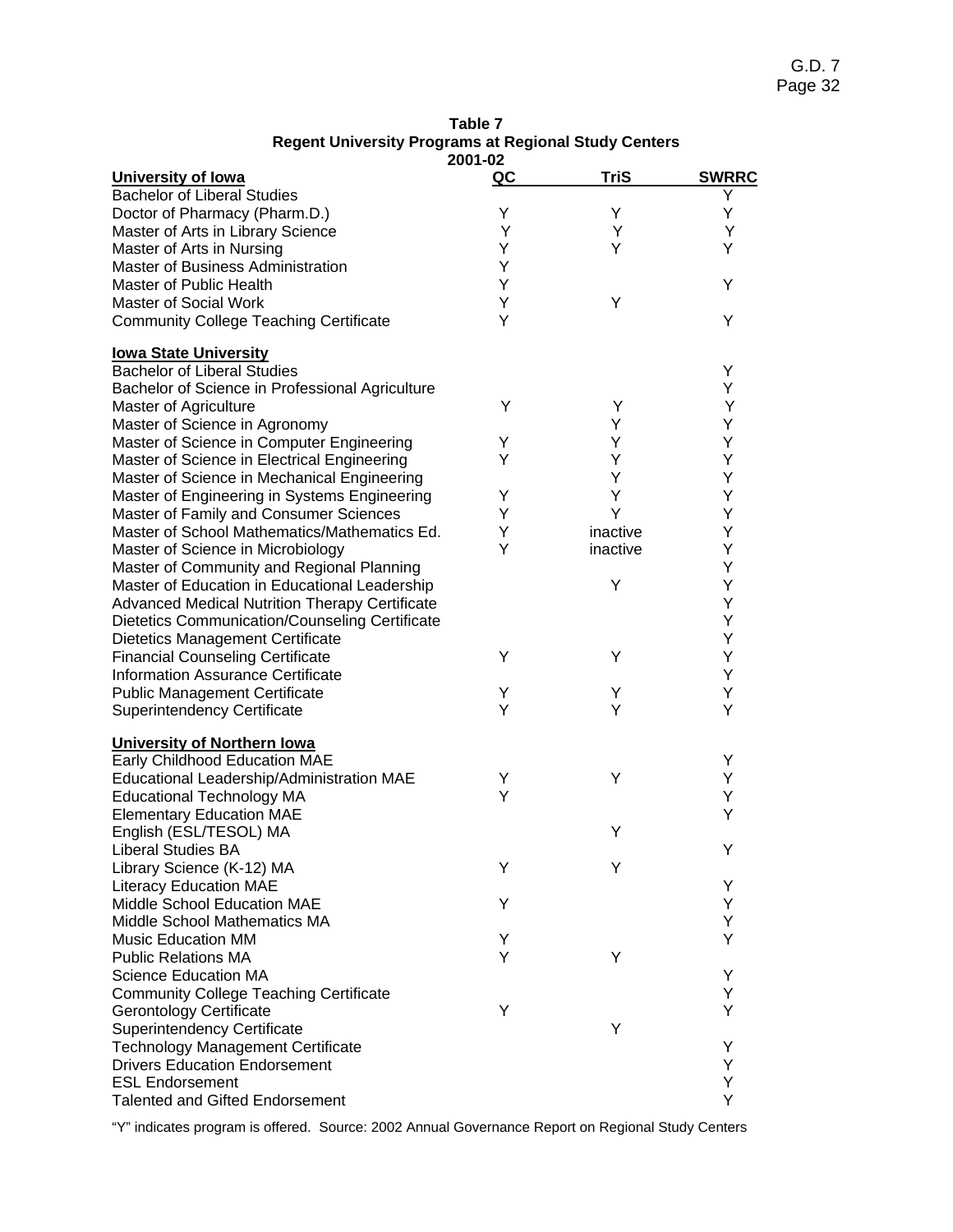| Table 7                                                     |  |  |  |  |  |  |  |  |
|-------------------------------------------------------------|--|--|--|--|--|--|--|--|
| <b>Regent University Programs at Regional Study Centers</b> |  |  |  |  |  |  |  |  |
| nna nn                                                      |  |  |  |  |  |  |  |  |

| 2001-02                                               |    |             |              |  |  |  |
|-------------------------------------------------------|----|-------------|--------------|--|--|--|
| University of lowa                                    | QC | <b>TriS</b> | <b>SWRRC</b> |  |  |  |
| <b>Bachelor of Liberal Studies</b>                    |    |             | Y            |  |  |  |
| Doctor of Pharmacy (Pharm.D.)                         | Υ  | Y           | Υ            |  |  |  |
| Master of Arts in Library Science                     | Y  | Y           | Y            |  |  |  |
| Master of Arts in Nursing                             | Υ  | Y           | Y            |  |  |  |
| Master of Business Administration                     | Y  |             |              |  |  |  |
| Master of Public Health                               | Y  |             | Y            |  |  |  |
| Master of Social Work                                 | Υ  | Υ           |              |  |  |  |
| <b>Community College Teaching Certificate</b>         | Y  |             | Y            |  |  |  |
|                                                       |    |             |              |  |  |  |
| <b>lowa State University</b>                          |    |             |              |  |  |  |
| <b>Bachelor of Liberal Studies</b>                    |    |             | Υ            |  |  |  |
| Bachelor of Science in Professional Agriculture       |    |             | Y            |  |  |  |
| Master of Agriculture                                 | Y  | Υ           | Υ            |  |  |  |
| Master of Science in Agronomy                         |    | Y           | Υ            |  |  |  |
| Master of Science in Computer Engineering             | Υ  | Υ           | Υ            |  |  |  |
| Master of Science in Electrical Engineering           | Y  | Υ           | Y            |  |  |  |
| Master of Science in Mechanical Engineering           |    | Υ           | Y            |  |  |  |
| Master of Engineering in Systems Engineering          | Υ  | Υ           | Y            |  |  |  |
| Master of Family and Consumer Sciences                | Y  | Y           | Y            |  |  |  |
| Master of School Mathematics/Mathematics Ed.          | Y  | inactive    | Y            |  |  |  |
|                                                       |    |             |              |  |  |  |
| Master of Science in Microbiology                     | Y  | inactive    | Y            |  |  |  |
| Master of Community and Regional Planning             |    |             | Y            |  |  |  |
| Master of Education in Educational Leadership         |    | Y           | Y            |  |  |  |
| <b>Advanced Medical Nutrition Therapy Certificate</b> |    |             | Y            |  |  |  |
| Dietetics Communication/Counseling Certificate        |    |             | Y            |  |  |  |
| Dietetics Management Certificate                      |    |             | Υ            |  |  |  |
| <b>Financial Counseling Certificate</b>               | Y  | Υ           | Υ            |  |  |  |
| <b>Information Assurance Certificate</b>              |    |             | Υ            |  |  |  |
| <b>Public Management Certificate</b>                  | Υ  | Υ           | Y            |  |  |  |
| <b>Superintendency Certificate</b>                    | Y  | Y           | Y            |  |  |  |
| <b>University of Northern lowa</b>                    |    |             |              |  |  |  |
| Early Childhood Education MAE                         |    |             | Y            |  |  |  |
|                                                       | Υ  | Υ           | Υ            |  |  |  |
| Educational Leadership/Administration MAE             | Υ  |             | Y            |  |  |  |
| <b>Educational Technology MA</b>                      |    |             | Y            |  |  |  |
| <b>Elementary Education MAE</b>                       |    |             |              |  |  |  |
| English (ESL/TESOL) MA                                |    | Υ           |              |  |  |  |
| Liberal Studies BA                                    |    |             | Y            |  |  |  |
| Library Science (K-12) MA                             | Y  | Y           |              |  |  |  |
| <b>Literacy Education MAE</b>                         |    |             | Y            |  |  |  |
| Middle School Education MAE                           | Y  |             | Y            |  |  |  |
| Middle School Mathematics MA                          |    |             | Y            |  |  |  |
| <b>Music Education MM</b>                             | Υ  |             | Y            |  |  |  |
| <b>Public Relations MA</b>                            | Y  | Υ           |              |  |  |  |
| <b>Science Education MA</b>                           |    |             | Y            |  |  |  |
| <b>Community College Teaching Certificate</b>         |    |             | Y            |  |  |  |
| <b>Gerontology Certificate</b>                        | Υ  |             | Y            |  |  |  |
| Superintendency Certificate                           |    | Υ           |              |  |  |  |
| <b>Technology Management Certificate</b>              |    |             | Y            |  |  |  |
| <b>Drivers Education Endorsement</b>                  |    |             | Y            |  |  |  |
| <b>ESL Endorsement</b>                                |    |             | Y            |  |  |  |
| <b>Talented and Gifted Endorsement</b>                |    |             | Y            |  |  |  |
|                                                       |    |             |              |  |  |  |

"Y" indicates program is offered. Source: 2002 Annual Governance Report on Regional Study Centers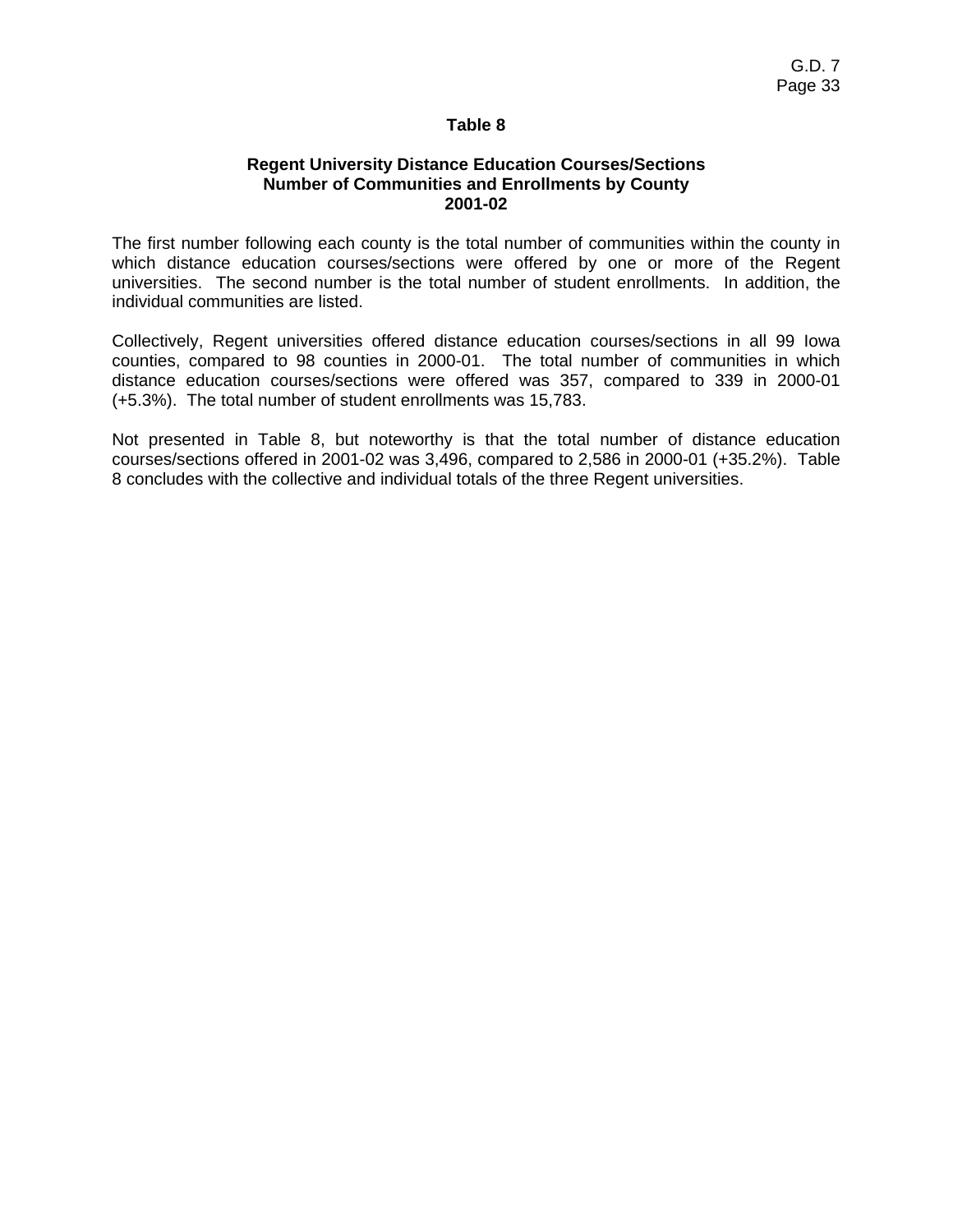#### **Regent University Distance Education Courses/Sections Number of Communities and Enrollments by County 2001-02**

The first number following each county is the total number of communities within the county in which distance education courses/sections were offered by one or more of the Regent universities. The second number is the total number of student enrollments. In addition, the individual communities are listed.

Collectively, Regent universities offered distance education courses/sections in all 99 Iowa counties, compared to 98 counties in 2000-01. The total number of communities in which distance education courses/sections were offered was 357, compared to 339 in 2000-01 (+5.3%). The total number of student enrollments was 15,783.

Not presented in Table 8, but noteworthy is that the total number of distance education courses/sections offered in 2001-02 was 3,496, compared to 2,586 in 2000-01 (+35.2%). Table 8 concludes with the collective and individual totals of the three Regent universities.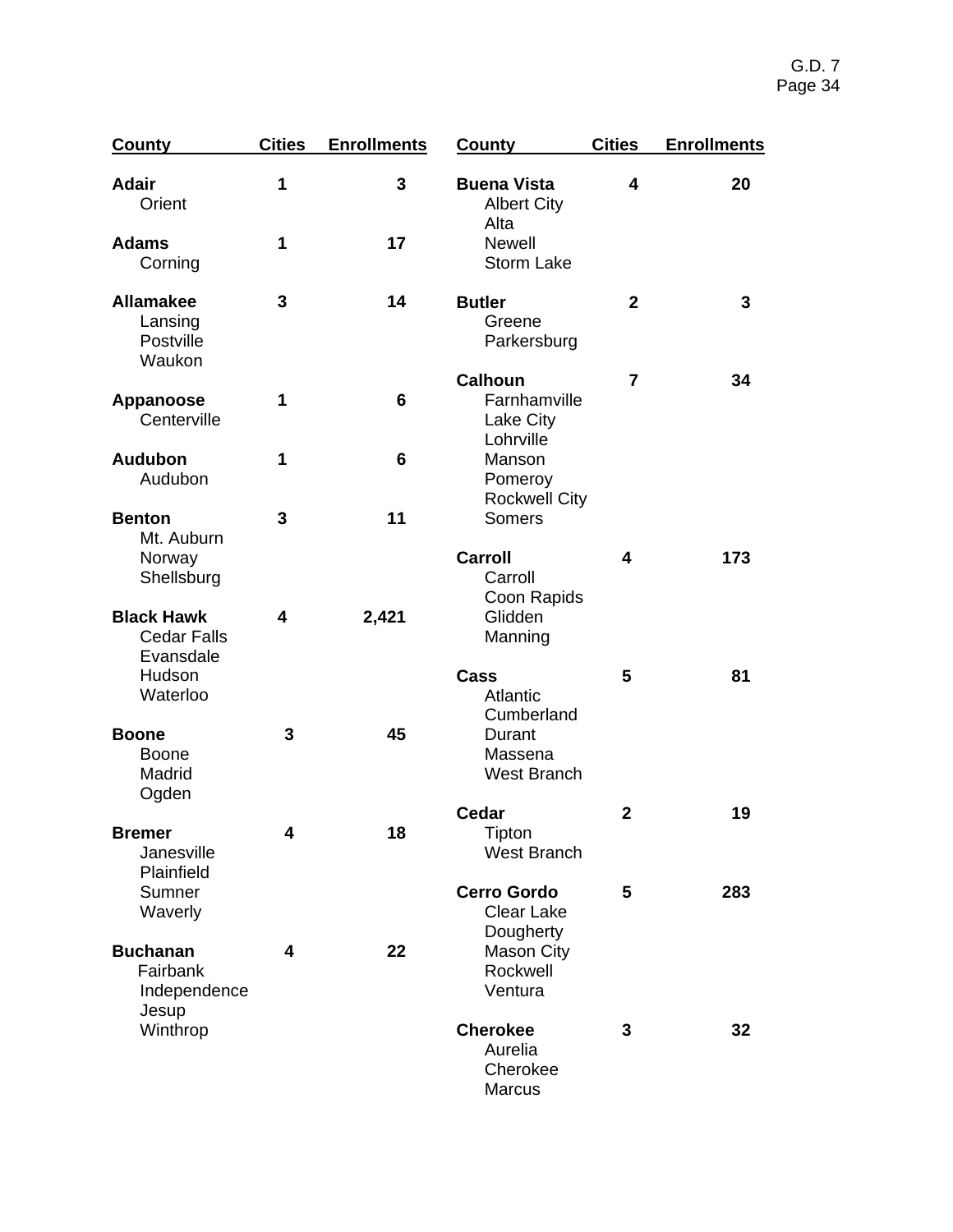| <b>County</b>                                         | <b>Cities</b> | <b>Enrollments</b> | <b>County</b>                                            | <b>Cities</b>           | <b>Enrollments</b> |
|-------------------------------------------------------|---------------|--------------------|----------------------------------------------------------|-------------------------|--------------------|
| <b>Adair</b><br>Orient                                | 1             | 3                  | <b>Buena Vista</b><br><b>Albert City</b><br>Alta         | $\overline{\mathbf{4}}$ | 20                 |
| <b>Adams</b><br>Corning                               | 1             | 17                 | <b>Newell</b><br><b>Storm Lake</b>                       |                         |                    |
| <b>Allamakee</b><br>Lansing<br>Postville<br>Waukon    | 3             | 14                 | <b>Butler</b><br>Greene<br>Parkersburg                   | $\mathbf{2}$            | 3                  |
| <b>Appanoose</b><br>Centerville                       | 1             | 6                  | <b>Calhoun</b><br>Farnhamville<br>Lake City<br>Lohrville | $\overline{7}$          | 34                 |
| <b>Audubon</b><br>Audubon                             | 1             | 6                  | Manson<br>Pomeroy<br><b>Rockwell City</b>                |                         |                    |
| <b>Benton</b><br>Mt. Auburn<br>Norway                 | 3             | 11                 | Somers<br>Carroll                                        | 4                       | 173                |
| Shellsburg<br><b>Black Hawk</b><br><b>Cedar Falls</b> | 4             | 2,421              | Carroll<br>Coon Rapids<br>Glidden<br>Manning             |                         |                    |
| Evansdale<br>Hudson<br>Waterloo                       |               |                    | Cass<br>Atlantic<br>Cumberland                           | 5                       | 81                 |
| <b>Boone</b><br><b>Boone</b><br>Madrid<br>Ogden       | 3             | 45                 | Durant<br>Massena<br><b>West Branch</b>                  |                         |                    |
| <b>Bremer</b><br>Janesville<br>Plainfield             | 4             | 18                 | <b>Cedar</b><br>Tipton<br><b>West Branch</b>             | $\mathbf 2$             | 19                 |
| Sumner<br>Waverly                                     |               |                    | <b>Cerro Gordo</b><br><b>Clear Lake</b><br>Dougherty     | 5                       | 283                |
| <b>Buchanan</b><br>Fairbank<br>Independence<br>Jesup  | 4             | 22                 | <b>Mason City</b><br>Rockwell<br>Ventura                 |                         |                    |
| Winthrop                                              |               |                    | <b>Cherokee</b><br>Aurelia<br>Cherokee<br><b>Marcus</b>  | 3                       | 32                 |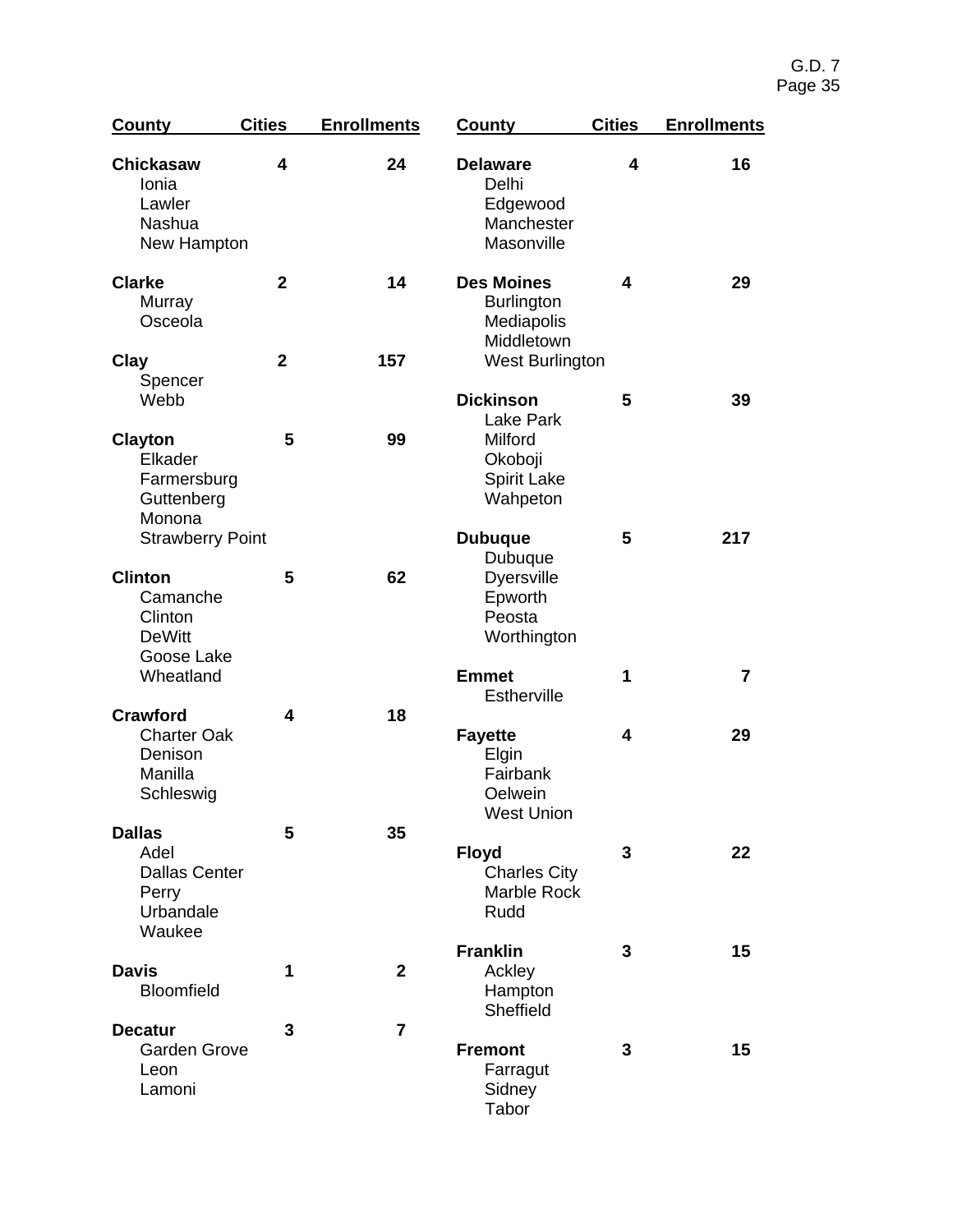| <b>County</b>                                                                 | <b>Cities</b>  | <b>Enrollments</b> | <b>County</b>                                                                                | <b>Cities</b> | <b>Enrollments</b> |
|-------------------------------------------------------------------------------|----------------|--------------------|----------------------------------------------------------------------------------------------|---------------|--------------------|
| <b>Chickasaw</b><br>Ionia<br>Lawler<br>Nashua<br>New Hampton                  | 4              | 24                 | <b>Delaware</b><br>Delhi<br>Edgewood<br>Manchester<br>Masonville                             | 4             | 16                 |
| <b>Clarke</b><br>Murray<br>Osceola                                            | $\overline{2}$ | 14                 | <b>Des Moines</b><br><b>Burlington</b><br>Mediapolis<br>Middletown                           | 4             | 29                 |
| Clay<br>Spencer                                                               | $\mathbf{2}$   | 157                | West Burlington                                                                              |               |                    |
| Webb<br><b>Clayton</b><br>Elkader<br>Farmersburg<br>Guttenberg<br>Monona      | 5              | 99                 | <b>Dickinson</b><br><b>Lake Park</b><br>Milford<br>Okoboji<br><b>Spirit Lake</b><br>Wahpeton | 5             | 39                 |
| <b>Strawberry Point</b>                                                       |                |                    | <b>Dubuque</b><br>Dubuque                                                                    | 5             | 217                |
| <b>Clinton</b><br>Camanche<br>Clinton<br><b>DeWitt</b><br>Goose Lake          | 5              | 62                 | <b>Dyersville</b><br>Epworth<br>Peosta<br>Worthington                                        |               |                    |
| Wheatland                                                                     |                |                    | <b>Emmet</b><br><b>Estherville</b>                                                           | 1             | $\overline{7}$     |
| <b>Crawford</b><br><b>Charter Oak</b><br>Denison<br>Manilla<br>Schleswig      | 4              | 18                 | <b>Fayette</b><br>Elgin<br>Fairbank<br>Oelwein<br><b>West Union</b>                          | 4             | 29                 |
| <b>Dallas</b><br>Adel<br><b>Dallas Center</b><br>Perry<br>Urbandale<br>Waukee | 5              | 35                 | <b>Floyd</b><br><b>Charles City</b><br>Marble Rock<br>Rudd                                   | 3             | 22                 |
| <b>Davis</b><br>Bloomfield                                                    | 1              | $\overline{2}$     | <b>Franklin</b><br>Ackley<br>Hampton<br>Sheffield                                            | 3             | 15                 |
| <b>Decatur</b><br><b>Garden Grove</b><br>Leon<br>Lamoni                       | 3              | 7                  | <b>Fremont</b><br>Farragut<br>Sidney<br>Tabor                                                | 3             | 15                 |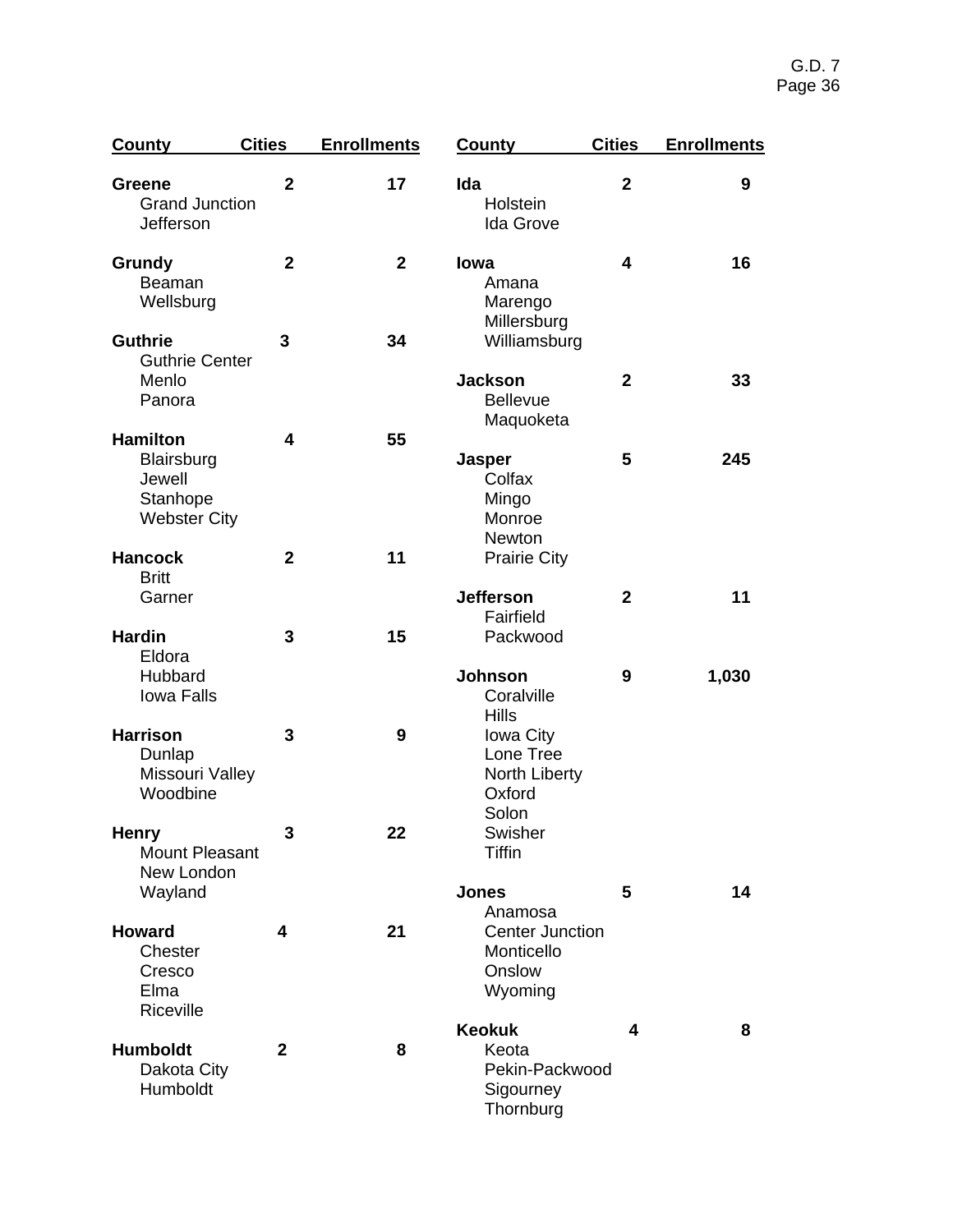| <b>County</b>                                            | <b>Cities</b>  | <b>Enrollments</b> | <b>County</b>                                                            | <b>Cities</b>           | <b>Enrollments</b> |
|----------------------------------------------------------|----------------|--------------------|--------------------------------------------------------------------------|-------------------------|--------------------|
| <b>Greene</b><br><b>Grand Junction</b><br>Jefferson      | $\overline{2}$ | 17                 | Ida<br>Holstein<br><b>Ida Grove</b>                                      | $\overline{2}$          | 9                  |
| Grundy<br>Beaman<br>Wellsburg                            | $\overline{2}$ | $\overline{2}$     | lowa<br>Amana<br>Marengo<br>Millersburg                                  | $\overline{\mathbf{4}}$ | 16                 |
| <b>Guthrie</b><br><b>Guthrie Center</b>                  | 3              | 34                 | Williamsburg                                                             |                         |                    |
| Menlo<br>Panora                                          |                |                    | <b>Jackson</b><br><b>Bellevue</b><br>Maquoketa                           | $\mathbf{2}$            | 33                 |
| <b>Hamilton</b>                                          | 4              | 55                 |                                                                          |                         |                    |
| Blairsburg<br>Jewell<br>Stanhope<br><b>Webster City</b>  |                |                    | <b>Jasper</b><br>Colfax<br>Mingo<br>Monroe<br><b>Newton</b>              | 5                       | 245                |
| <b>Hancock</b><br><b>Britt</b>                           | $\overline{2}$ | 11                 | <b>Prairie City</b>                                                      |                         |                    |
| Garner                                                   |                |                    | <b>Jefferson</b><br>Fairfield                                            | $\mathbf{2}$            | 11                 |
| <b>Hardin</b><br>Eldora<br>Hubbard<br><b>Iowa Falls</b>  | 3              | 15                 | Packwood<br><b>Johnson</b><br>Coralville                                 | 9                       | 1,030              |
| <b>Harrison</b><br>Dunlap<br>Missouri Valley<br>Woodbine | 3              | 9                  | <b>Hills</b><br><b>Iowa City</b><br>Lone Tree<br>North Liberty<br>Oxford |                         |                    |
| <b>Henry</b><br><b>Mount Pleasant</b><br>New London      | 3              | 22                 | Solon<br>Swisher<br><b>Tiffin</b>                                        |                         |                    |
| Wayland                                                  |                |                    | <b>Jones</b>                                                             | 5                       | 14                 |
| <b>Howard</b><br>Chester<br>Cresco<br>Elma<br>Riceville  | 4              | 21                 | Anamosa<br><b>Center Junction</b><br>Monticello<br>Onslow<br>Wyoming     |                         |                    |
|                                                          |                |                    | <b>Keokuk</b>                                                            | $\overline{\mathbf{4}}$ | 8                  |
| <b>Humboldt</b><br>Dakota City<br>Humboldt               | $\mathbf{2}$   | 8                  | Keota<br>Pekin-Packwood<br>Sigourney<br>Thornburg                        |                         |                    |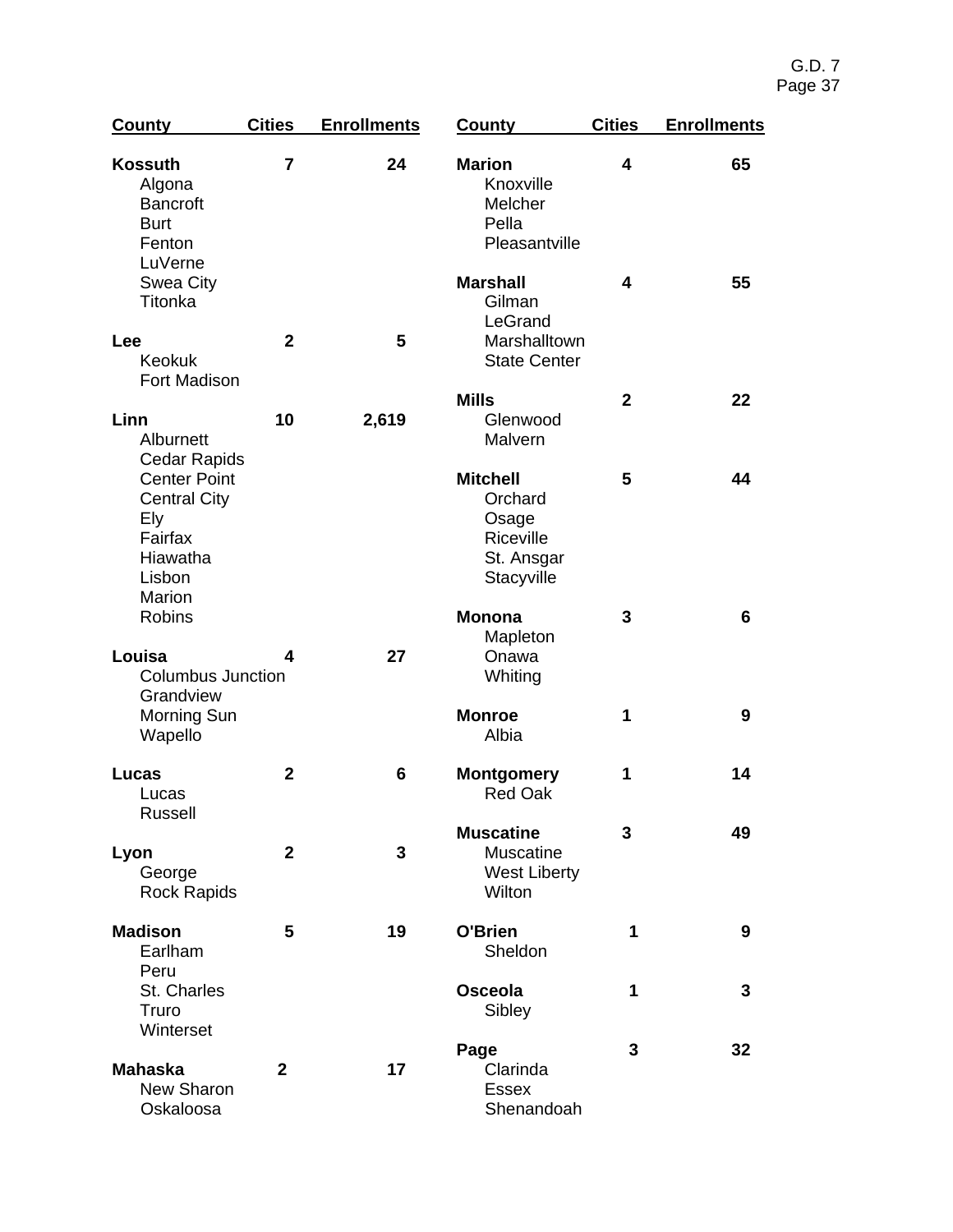| <b>County</b>                                                                                     | <b>Cities</b>  | <b>Enrollments</b> | <b>County</b>                                                                | <b>Cities</b> | <b>Enrollments</b> |
|---------------------------------------------------------------------------------------------------|----------------|--------------------|------------------------------------------------------------------------------|---------------|--------------------|
| <b>Kossuth</b><br>Algona<br><b>Bancroft</b><br><b>Burt</b><br>Fenton<br>LuVerne                   | $\overline{7}$ | 24                 | <b>Marion</b><br>Knoxville<br>Melcher<br>Pella<br>Pleasantville              | 4             | 65                 |
| Swea City<br>Titonka                                                                              |                |                    | <b>Marshall</b><br>Gilman<br>LeGrand                                         | 4             | 55                 |
| Lee<br><b>Keokuk</b><br>Fort Madison                                                              | $\overline{2}$ | 5                  | Marshalltown<br><b>State Center</b>                                          |               |                    |
| Linn<br>Alburnett<br><b>Cedar Rapids</b>                                                          | 10             | 2,619              | <b>Mills</b><br>Glenwood<br>Malvern                                          | $\mathbf{2}$  | 22                 |
| <b>Center Point</b><br><b>Central City</b><br>Ely<br>Fairfax<br>Hiawatha<br>Lisbon<br>Marion      |                |                    | <b>Mitchell</b><br>Orchard<br>Osage<br>Riceville<br>St. Ansgar<br>Stacyville | 5             | 44                 |
| <b>Robins</b><br>Louisa<br><b>Columbus Junction</b><br>Grandview<br><b>Morning Sun</b><br>Wapello | 4              | 27                 | <b>Monona</b><br>Mapleton<br>Onawa                                           | 3             | 6                  |
|                                                                                                   |                |                    | Whiting<br><b>Monroe</b><br>Albia                                            | 1             | 9                  |
| Lucas<br>Lucas<br><b>Russell</b>                                                                  | $\mathbf{2}$   | 6                  | <b>Montgomery</b><br><b>Red Oak</b>                                          | 1             | 14                 |
| Lyon<br>George<br><b>Rock Rapids</b>                                                              | $\mathbf{2}$   | 3                  | <b>Muscatine</b><br><b>Muscatine</b><br><b>West Liberty</b><br>Wilton        | 3             | 49                 |
| <b>Madison</b><br>Earlham<br>Peru                                                                 | 5              | 19                 | O'Brien<br>Sheldon                                                           | 1             | 9                  |
| St. Charles<br>Truro<br>Winterset                                                                 |                |                    | Osceola<br>Sibley                                                            | 1             | 3                  |
| <b>Mahaska</b><br>New Sharon<br>Oskaloosa                                                         | $\overline{2}$ | 17                 | Page<br>Clarinda<br><b>Essex</b><br>Shenandoah                               | 3             | 32                 |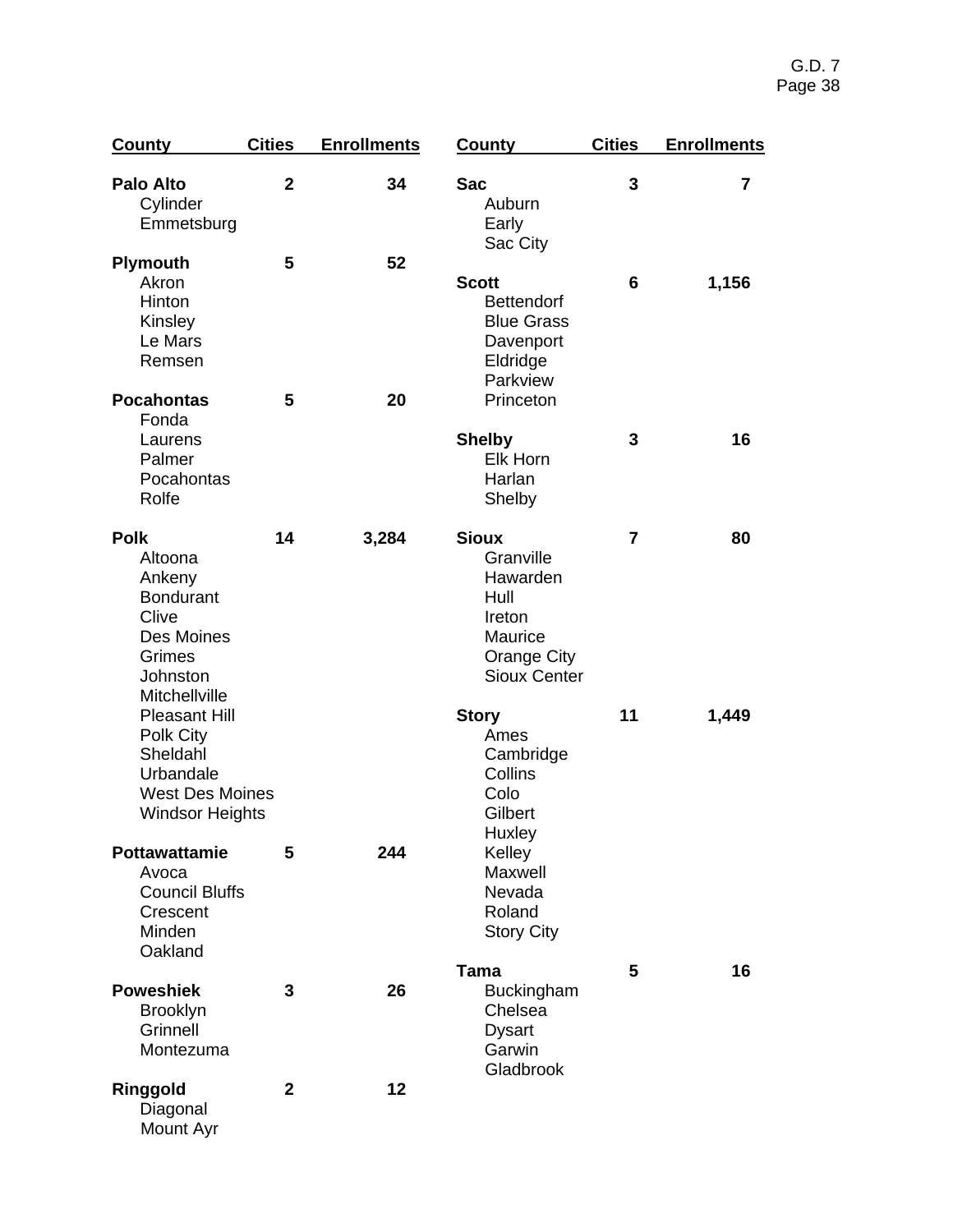| <b>County</b>                                                                                                                   | <b>Cities</b>  | <b>Enrollments</b> | <b>County</b>                                                                                                   | <b>Cities</b>  | <b>Enrollments</b> |
|---------------------------------------------------------------------------------------------------------------------------------|----------------|--------------------|-----------------------------------------------------------------------------------------------------------------|----------------|--------------------|
| <b>Palo Alto</b><br>Cylinder<br>Emmetsburg                                                                                      | $\mathbf{2}$   | 34                 | <b>Sac</b><br>Auburn<br>Early<br>Sac City                                                                       | 3              | $\overline{7}$     |
| <b>Plymouth</b><br>Akron<br>Hinton<br>Kinsley<br>Le Mars<br>Remsen                                                              | 5              | 52                 | <b>Scott</b><br><b>Bettendorf</b><br><b>Blue Grass</b><br>Davenport<br>Eldridge<br>Parkview                     | 6              | 1,156              |
| <b>Pocahontas</b><br>Fonda<br>Laurens<br>Palmer<br>Pocahontas<br>Rolfe                                                          | 5              | 20                 | Princeton<br><b>Shelby</b><br><b>Elk Horn</b><br>Harlan<br>Shelby                                               | 3              | 16                 |
| <b>Polk</b><br>Altoona<br>Ankeny<br><b>Bondurant</b><br>Clive<br>Des Moines<br>Grimes<br>Johnston                               | 14             | 3,284              | <b>Sioux</b><br>Granville<br>Hawarden<br>Hull<br>Ireton<br>Maurice<br><b>Orange City</b><br><b>Sioux Center</b> | $\overline{7}$ | 80                 |
| Mitchellville<br><b>Pleasant Hill</b><br>Polk City<br>Sheldahl<br>Urbandale<br><b>West Des Moines</b><br><b>Windsor Heights</b> |                |                    | <b>Story</b><br>Ames<br>Cambridge<br>Collins<br>Colo<br>Gilbert<br>Huxley                                       | 11             | 1,449              |
| <b>Pottawattamie</b><br>Avoca<br><b>Council Bluffs</b><br>Crescent<br>Minden<br>Oakland                                         | 5              | 244                | Kelley<br>Maxwell<br>Nevada<br>Roland<br><b>Story City</b>                                                      |                |                    |
| <b>Poweshiek</b><br><b>Brooklyn</b><br>Grinnell<br>Montezuma                                                                    | 3              | 26                 | Tama<br><b>Buckingham</b><br>Chelsea<br><b>Dysart</b><br>Garwin<br>Gladbrook                                    | 5              | 16                 |
| Ringgold<br>Diagonal<br>Mount Ayr                                                                                               | $\overline{2}$ | 12                 |                                                                                                                 |                |                    |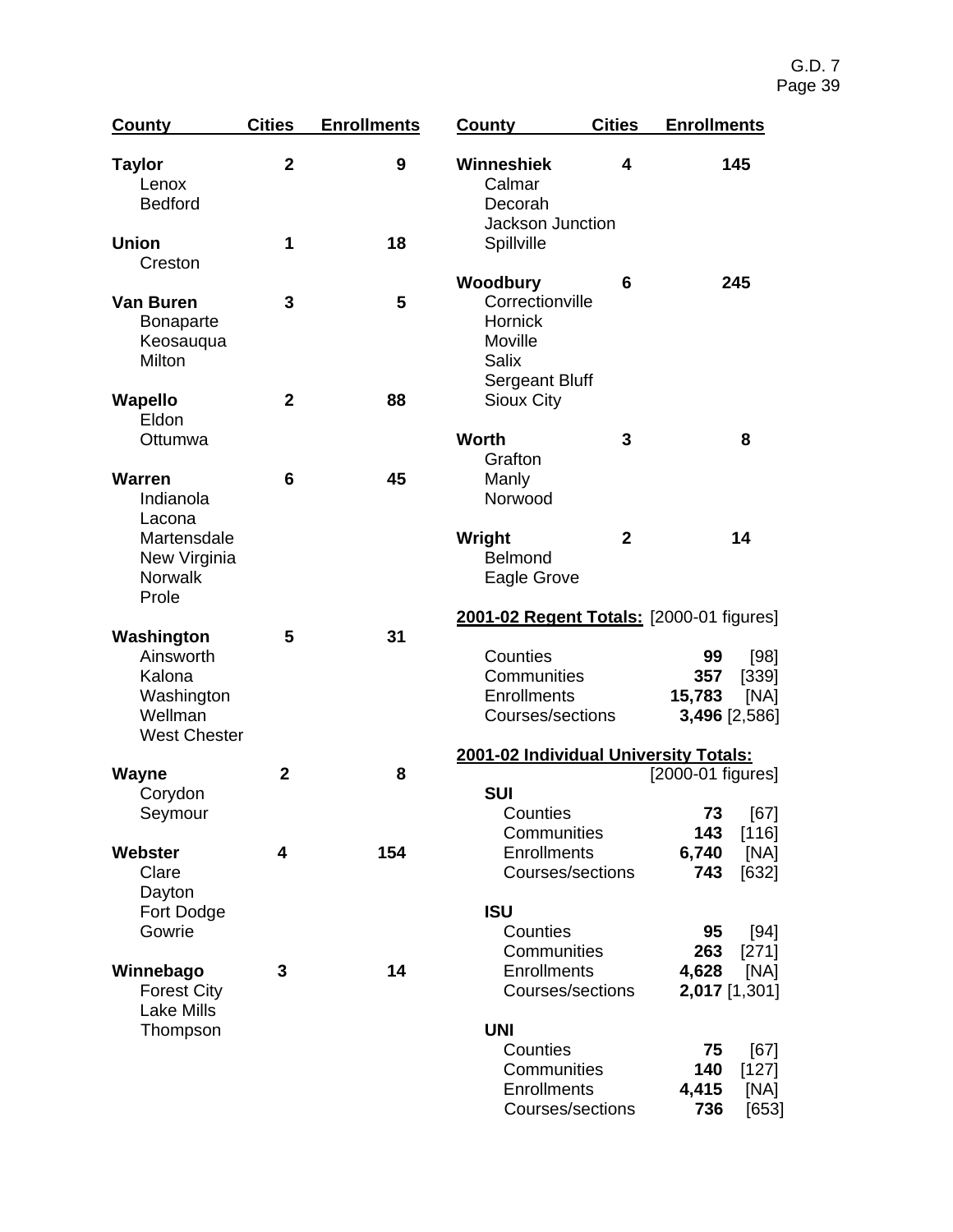| County                                                                         | <b>Cities</b>  | <b>Enrollments</b> | <b>County</b>                                                                              | <b>Cities</b>                                              | <b>Enrollments</b>                                            |  |  |
|--------------------------------------------------------------------------------|----------------|--------------------|--------------------------------------------------------------------------------------------|------------------------------------------------------------|---------------------------------------------------------------|--|--|
| <b>Taylor</b><br>Lenox<br><b>Bedford</b>                                       | $\mathbf{2}$   | 9                  | Winneshiek<br>Calmar<br>Decorah<br>Jackson Junction                                        | 4                                                          | 145                                                           |  |  |
| <b>Union</b><br>Creston                                                        | 1              | 18                 | Spillville                                                                                 |                                                            |                                                               |  |  |
| <b>Van Buren</b><br><b>Bonaparte</b><br>Keosauqua<br><b>Milton</b>             | 3              | 5                  | Woodbury<br>Correctionville<br><b>Hornick</b><br>Moville<br><b>Salix</b><br>Sergeant Bluff | 6                                                          | 245                                                           |  |  |
| Wapello<br>Eldon                                                               | $\overline{2}$ | 88                 | <b>Sioux City</b>                                                                          |                                                            |                                                               |  |  |
| Ottumwa                                                                        |                |                    | <b>Worth</b><br>Grafton                                                                    | 3                                                          | 8                                                             |  |  |
| Warren<br>Indianola<br>Lacona<br>Martensdale<br>New Virginia<br><b>Norwalk</b> | 6              | 45                 | Manly<br>Norwood<br>Wright<br>Belmond<br>Eagle Grove                                       | $\mathbf{2}$                                               | 14                                                            |  |  |
| Prole<br>Washington                                                            | 5              | 31                 |                                                                                            |                                                            | 2001-02 Regent Totals: [2000-01 figures]                      |  |  |
| Ainsworth<br>Kalona<br>Washington<br>Wellman<br><b>West Chester</b>            |                |                    | Counties<br>Communities<br><b>Enrollments</b><br>Courses/sections                          |                                                            | 99<br>[98]<br>357<br>[339]<br>15,783<br>[NA]<br>3,496 [2,586] |  |  |
| <b>Wayne</b>                                                                   | $\overline{2}$ | 8                  |                                                                                            | 2001-02 Individual University Totals:<br>[2000-01 figures] |                                                               |  |  |
| Corydon<br>Seymour                                                             |                |                    | <b>SUI</b><br>Counties                                                                     |                                                            | [67]<br>73                                                    |  |  |
| Webster<br>Clare<br>Dayton                                                     | 4              | 154                | Communities<br><b>Enrollments</b><br>Courses/sections                                      |                                                            | 143<br>[116]<br>6,740<br>[NA]<br>743<br>$[632]$               |  |  |
| Fort Dodge<br>Gowrie                                                           |                |                    | <b>ISU</b><br>Counties<br>Communities                                                      |                                                            | 95<br>[94]<br>263<br>$[271]$                                  |  |  |
| Winnebago<br><b>Forest City</b><br><b>Lake Mills</b><br>Thompson               | 3              | 14                 | <b>Enrollments</b><br>Courses/sections                                                     |                                                            | 4,628<br>[NA]<br>2,017 [1,301]                                |  |  |
|                                                                                |                |                    | <b>UNI</b><br>Counties<br>Communities<br><b>Enrollments</b><br>Courses/sections            |                                                            | [67]<br>75<br>$[127]$<br>140<br>4,415<br>[NA]<br>736<br>[653] |  |  |